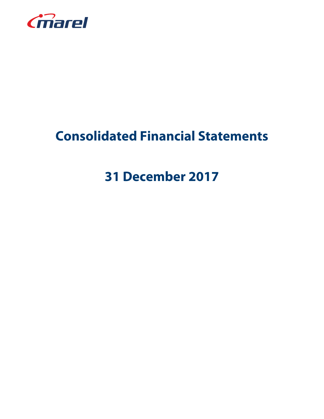

# **Consolidated Financial Statements**

# **31 December 2017**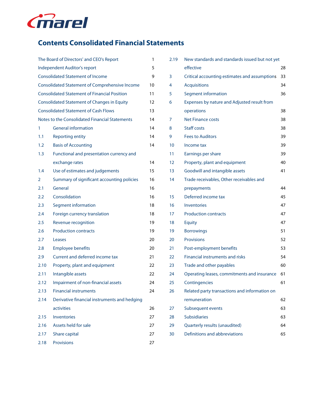

# **Contents Consolidated Financial Statements**

| The Board of Directors' and CEO's Report<br>1  |                                                       |    |  |  |  |  |
|------------------------------------------------|-------------------------------------------------------|----|--|--|--|--|
| Independent Auditor's report<br>5              |                                                       |    |  |  |  |  |
| <b>Consolidated Statement of Income</b><br>9   |                                                       |    |  |  |  |  |
|                                                | <b>Consolidated Statement of Comprehensive Income</b> | 10 |  |  |  |  |
|                                                | <b>Consolidated Statement of Financial Position</b>   | 11 |  |  |  |  |
|                                                | <b>Consolidated Statement of Changes in Equity</b>    | 12 |  |  |  |  |
| <b>Consolidated Statement of Cash Flows</b>    |                                                       |    |  |  |  |  |
| Notes to the Consolidated Financial Statements |                                                       |    |  |  |  |  |
| 1                                              | <b>General information</b>                            | 14 |  |  |  |  |
| 1.1                                            | <b>Reporting entity</b>                               | 14 |  |  |  |  |
| 1.2                                            | <b>Basis of Accounting</b>                            | 14 |  |  |  |  |
| 1.3                                            | Functional and presentation currency and              |    |  |  |  |  |
|                                                | exchange rates                                        | 14 |  |  |  |  |
| 1.4                                            | Use of estimates and judgements                       | 15 |  |  |  |  |
| 2                                              | Summary of significant accounting policies            | 16 |  |  |  |  |
| 2.1                                            | General                                               | 16 |  |  |  |  |
| 2.2                                            | Consolidation                                         | 16 |  |  |  |  |
| 2.3                                            | Segment information                                   | 18 |  |  |  |  |
| 2.4                                            | Foreign currency translation                          | 18 |  |  |  |  |
| 2.5                                            | Revenue recognition                                   | 19 |  |  |  |  |
| 2.6                                            | <b>Production contracts</b>                           | 19 |  |  |  |  |
| 2.7                                            | Leases                                                | 20 |  |  |  |  |
| 2.8                                            | <b>Employee benefits</b>                              | 20 |  |  |  |  |
| 2.9                                            | Current and deferred income tax                       | 21 |  |  |  |  |
| 2.10                                           | Property, plant and equipment                         | 22 |  |  |  |  |
| 2.11                                           | Intangible assets                                     | 22 |  |  |  |  |
| 2.12                                           | Impairment of non-financial assets                    | 24 |  |  |  |  |
| 2.13                                           | <b>Financial instruments</b>                          | 24 |  |  |  |  |
| 2.14                                           | Derivative financial instruments and hedging          |    |  |  |  |  |
|                                                | activities                                            | 26 |  |  |  |  |
| 2.15                                           | <b>Inventories</b>                                    | 27 |  |  |  |  |
| 2.16                                           | Assets held for sale                                  | 27 |  |  |  |  |
| 2.17                                           | Share capital                                         | 27 |  |  |  |  |
| 2.18                                           | <b>Provisions</b>                                     | 27 |  |  |  |  |

| 2.19 | New standards and standards issued but not yet |    |
|------|------------------------------------------------|----|
|      | effective                                      | 28 |
| 3    | Critical accounting estimates and assumptions  | 33 |
| 4    | <b>Acquisitions</b>                            | 34 |
| 5    | Segment information                            | 36 |
| 6    | Expenses by nature and Adjusted result from    |    |
|      | operations                                     | 38 |
| 7    | <b>Net Finance costs</b>                       | 38 |
| 8    | <b>Staff costs</b>                             | 38 |
| 9    | <b>Fees to Auditors</b>                        | 39 |
| 10   | Income tax                                     | 39 |
| 11   | Earnings per share                             | 39 |
| 12   | Property, plant and equipment                  | 40 |
| 13   | Goodwill and intangible assets                 | 41 |
| 14   | Trade receivables, Other receivables and       |    |
|      | prepayments                                    | 44 |
| 15   | Deferred income tax                            | 45 |
| 16   | <b>Inventories</b>                             | 47 |
| 17   | <b>Production contracts</b>                    | 47 |
| 18   | <b>Equity</b>                                  | 47 |
| 19   | <b>Borrowings</b>                              | 51 |
| 20   | <b>Provisions</b>                              | 52 |
| 21   | Post-employment benefits                       | 53 |
| 22   | <b>Financial instruments and risks</b>         | 54 |
| 23   | Trade and other payables                       | 60 |
| 24   | Operating leases, commitments and insurance    | 61 |
| 25   | Contingencies                                  | 61 |
| 26   | Related party transactions and information on  |    |
|      | remuneration                                   | 62 |
| 27   | Subsequent events                              | 63 |
| 28   | <b>Subsidiaries</b>                            | 63 |
| 29   | Quarterly results (unaudited)                  | 64 |
| 30   | Definitions and abbreviations                  | 65 |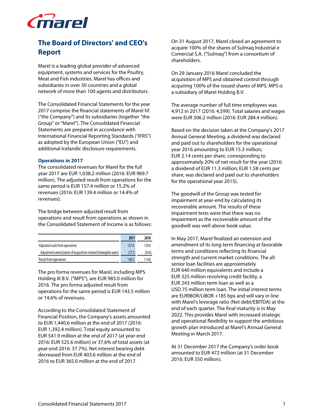

# **The Board of Directors' and CEO's Report**

Marel is a leading global provider of advanced equipment, systems and services for the Poultry, Meat and Fish industries. Marel has offices and subsidiaries in over 30 countries and a global network of more than 100 agents and distributors.

The Consolidated Financial Statements for the year 2017 comprise the financial statements of Marel hf. ("the Company") and its subsidiaries (together "the Group" or "Marel"). The Consolidated Financial Statements are prepared in accordance with International Financial Reporting Standards ("IFRS") as adopted by the European Union ("EU") and additional Icelandic disclosure requirements.

#### **Operations in 2017**

The consolidated revenues for Marel for the full year 2017 are EUR 1,038.2 million (2016: EUR 969.7 million). The adjusted result from operations for the same period is EUR 157.4 million or 15.2% of revenues (2016: EUR 139.4 million or 14.4% of revenues).

The bridge between adjusted result from operations and result from operations as shown in the Consolidated Statement of Income is as follows:

|                                                                    | 2017   | 2016   |
|--------------------------------------------------------------------|--------|--------|
| Adjusted result from operations                                    | 157.4  | 139.4  |
| Adjustment amortization of acquisition-related (in)tangible assets | (17.1) | (24.6) |
| Result from operations                                             | 140.3  | 114.8  |

The pro forma revenues for Marel, including MPS Holding III B.V. ("MPS"), are EUR 983.0 million for 2016. The pro forma adjusted result from operations for the same period is EUR 143.5 million or 14.6% of revenues.

According to the Consolidated Statement of Financial Position, the Company's assets amounted to EUR 1,440.6 million at the end of 2017 (2016: EUR 1,392.4 million). Total equity amounted to EUR 541.9 million at the end of 2017 (at year-end 2016: EUR 525.6 million) or 37.6% of total assets (at year-end 2016: 37.7%). Net interest bearing debt decreased from EUR 403.6 million at the end of 2016 to EUR 365.0 million at the end of 2017.

On 31 August 2017, Marel closed an agreement to acquire 100% of the shares of Sulmaq Industrial e Comercial S.A. ("Sulmaq") from a consortium of shareholders.

On 29 January 2016 Marel concluded the acquisition of MPS and obtained control through acquiring 100% of the issued shares of MPS. MPS is a subsidiary of Marel Holding B.V.

The average number of full time employees was 4,912 in 2017 (2016: 4,599). Total salaries and wages were EUR 306.2 million (2016: EUR 284.4 million).

Based on the decision taken at the Company's 2017 Annual General Meeting, a dividend was declared and paid out to shareholders for the operational year 2016 amounting to EUR 15.3 million; EUR 2.14 cents per share, corresponding to approximately 20% of net result for the year (2016: a dividend of EUR 11.3 million; EUR 1.58 cents per share, was declared and paid out to shareholders for the operational year 2015).

The goodwill of the Group was tested for impairment at year-end by calculating its recoverable amount. The results of these impairment tests were that there was no impairment as the recoverable amount of the goodwill was well above book value.

In May 2017, Marel finalized an extension and amendment of its long term financing at favorable terms and conditions reflecting its financial strength and current market conditions. The all senior loan facilities are approximately EUR 640 million equivalents and include a EUR 325 million revolving credit facility, a EUR 243 million term loan as well as a USD 75 million term loan. The initial interest terms are EURIBOR/LIBOR +185 bps and will vary in line with Marel's leverage ratio (Net debt/EBITDA) at the end of each quarter. The final maturity is in May 2022. This provides Marel with increased strategic and operational flexibility to support the ambitious growth plan introduced at Marel's Annual General Meeting in March 2017.

At 31 December 2017 the Company's order book amounted to EUR 472 million (at 31 December 2016: EUR 350 million).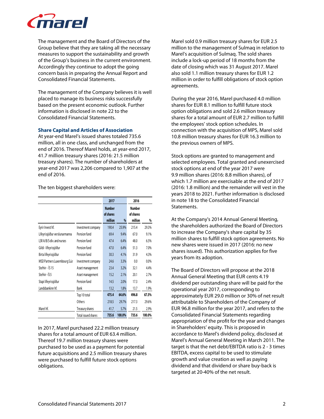

The management and the Board of Directors of the Group believe that they are taking all the necessary measures to support the sustainability and growth of the Group's business in the current environment. Accordingly they continue to adopt the going concern basis in preparing the Annual Report and Consolidated Financial Statements.

The management of the Company believes it is well placed to manage its business risks successfully based on the present economic outlook. Further information is disclosed in note 22 to the Consolidated Financial Statements.

### **Share Capital and Articles of Association**

At year-end Marel's issued shares totaled 735.6 million, all in one class, and unchanged from the end of 2016. Thereof Marel holds, at year-end 2017, 41.7 million treasury shares (2016: 21.5 million treasury shares). The number of shareholders at year-end 2017 was 2,206 compared to 1,907 at the end of 2016.

|                               |                     | 2017                                  |        | 2016                                  |        |
|-------------------------------|---------------------|---------------------------------------|--------|---------------------------------------|--------|
|                               |                     | <b>Number</b><br>of shares<br>million | $\%$   | <b>Number</b><br>of shares<br>million | %      |
| Eyrir Invest hf.              | Investment company  | 190.4                                 | 25.9%  | 215.4                                 | 29.3%  |
| Lífeyrissjóður verslunarmanna | Pension fund        | 69.4                                  | 9.4%   | 67.0                                  | 9.1%   |
| LSR A/B/S-div. and nurses     | Pension fund        | 47.4                                  | 6.4%   | 48.0                                  | 6.5%   |
| Gildi - lífeyrissjóður        | Pension fund        | 47.0                                  | 6.4%   | 51.3                                  | 7.0%   |
| Birta lífeyrissjóður          | Pension fund        | 30.3                                  | 4.1%   | 31.9                                  | 4.3%   |
| MSD Partners Luxembourg S.á.r | Investment company  | 24.6                                  | 3.3%   | 0.0                                   | 0.0%   |
| Stefnir - ÍS15                | Asset management    | 23.4                                  | 3.2%   | 32.1                                  | 4.4%   |
| Stefnir - IS 5                | Asset management    | 15.2                                  | 2.1%   | 20.1                                  | 2.7%   |
| Stapi lífeyrissjóður          | Pension fund        | 14.5                                  | 2.0%   | 173                                   | 2.4%   |
| Landsbankinn hf.              | Bank                | 13.2                                  | 1.8%   | 13.7                                  | 1.9%   |
|                               | Top 10 total        | 475.4                                 | 64.6%  | 496.8                                 | 67.5%  |
|                               | Others              | 218.5                                 | 29.7%  | 217.3                                 | 29.6%  |
| Marel hf.                     | Treasury shares     | 41.7                                  | 5.7%   | 21.5                                  | 2.9%   |
|                               | Total issued shares | 735.6                                 | 100.0% | 735.6                                 | 100.0% |

The ten biggest shareholders were:

In 2017, Marel purchased 22.2 million treasury shares for a total amount of EUR 63.4 million. Thereof 19.7 million treasury shares were purchased to be used as a payment for potential future acquisitions and 2.5 million treasury shares were purchased to fulfill future stock options obligations.

Marel sold 0.9 million treasury shares for EUR 2.5 million to the management of Sulmaq in relation to Marel's acquisition of Sulmaq. The sold shares include a lock-up period of 18 months from the date of closing which was 31 August 2017. Marel also sold 1.1 million treasury shares for EUR 1.2 million in order to fulfill obligations of stock option agreements.

During the year 2016, Marel purchased 4.0 million shares for EUR 8.1 million to fulfill future stock option obligations and sold 2.6 million treasury shares for a total amount of EUR 2.7 million to fulfill the employees' stock option schedules. In connection with the acquisition of MPS, Marel sold 10.8 million treasury shares for EUR 16.3 million to the previous owners of MPS.

Stock options are granted to management and selected employees. Total granted and unexercised stock options at end of the year 2017 were 9.9 million shares (2016: 8.8 million shares), of which 1.7 million are exercisable at the end of 2017 (2016: 1.8 million) and the remainder will vest in the years 2018 to 2021. Further information is disclosed in note 18 to the Consolidated Financial Statements.

At the Company's 2014 Annual General Meeting, the shareholders authorized the Board of Directors to increase the Company's share capital by 35 million shares to fulfill stock option agreements. No new shares were issued in 2017 (2016: no new shares issued). This authorization applies for five years from its adoption.

The Board of Directors will propose at the 2018 Annual General Meeting that EUR cents 4.19 dividend per outstanding share will be paid for the operational year 2017, corresponding to approximately EUR 29.0 million or 30% of net result attributable to Shareholders of the Company of EUR 96.8 million for the year 2017, and refers to the Consolidated Financial Statements regarding appropriation of the profit for the year and changes in Shareholders' equity. This is proposed in accordance to Marel's dividend policy, disclosed at Marel's Annual General Meeting in March 2011. The target is that the net debt/EBITDA ratio is 2 - 3 times EBITDA, excess capital to be used to stimulate growth and value creation as well as paying dividend and that dividend or share buy-back is targeted at 20-40% of the net result.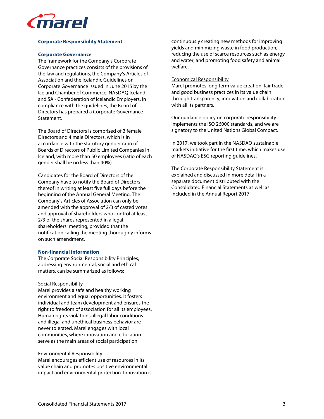

# **Corporate Responsibility Statement**

### **Corporate Governance**

The framework for the Company's Corporate Governance practices consists of the provisions of the law and regulations, the Company's Articles of Association and the Icelandic Guidelines on Corporate Governance issued in June 2015 by the Iceland Chamber of Commerce, NASDAQ Iceland and SA - Confederation of Icelandic Employers. In compliance with the guidelines, the Board of Directors has prepared a Corporate Governance **Statement** 

The Board of Directors is comprised of 3 female Directors and 4 male Directors, which is in accordance with the statutory gender ratio of Boards of Directors of Public Limited Companies in Iceland, with more than 50 employees (ratio of each gender shall be no less than 40%).

Candidates for the Board of Directors of the Company have to notify the Board of Directors thereof in writing at least five full days before the beginning of the Annual General Meeting. The Company's Articles of Association can only be amended with the approval of 2/3 of casted votes and approval of shareholders who control at least 2/3 of the shares represented in a legal shareholders' meeting, provided that the notification calling the meeting thoroughly informs on such amendment.

# **Non-financial information**

The Corporate Social Responsibility Principles, addressing environmental, social and ethical matters, can be summarized as follows:

#### Social Responsibility

Marel provides a safe and healthy working environment and equal opportunities. It fosters individual and team development and ensures the right to freedom of association for all its employees. Human rights violations, illegal labor conditions and illegal and unethical business behavior are never tolerated. Marel engages with local communities, where innovation and education serve as the main areas of social participation.

#### Environmental Responsibility

Marel encourages efficient use of resources in its value chain and promotes positive environmental impact and environmental protection. Innovation is continuously creating new methods for improving yields and minimizing waste in food production, reducing the use of scarce resources such as energy and water, and promoting food safety and animal welfare.

### Economical Responsibility

Marel promotes long term value creation, fair trade and good business practices in its value chain through transparency, innovation and collaboration with all its partners.

Our guidance policy on corporate responsibility implements the ISO 26000 standards, and we are signatory to the United Nations Global Compact.

In 2017, we took part in the NASDAQ sustainable markets initiative for the first time, which makes use of NASDAQ's ESG reporting guidelines.

The Corporate Responsibility Statement is explained and discussed in more detail in a separate document distributed with the Consolidated Financial Statements as well as included in the Annual Report 2017.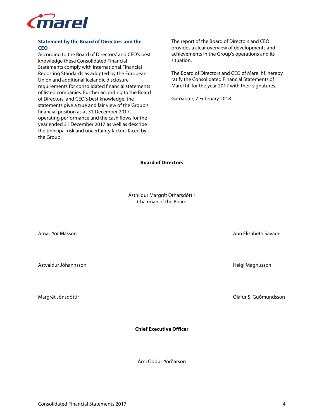

# **Statement by the Board of Directors and the CEO**

According to the Board of Directors' and CEO's best knowledge these Consolidated Financial Statements comply with International Financial Reporting Standards as adopted by the European Union and additional Icelandic disclosure requirements for consolidated financial statements of listed companies. Further according to the Board of Directors' and CEO's best knowledge, the statements give a true and fair view of the Group's financial position as at 31 December 2017, operating performance and the cash flows for the year ended 31 December 2017 as well as describe the principal risk and uncertainty factors faced by the Group.

The report of the Board of Directors and CEO provides a clear overview of developments and achievements in the Group's operations and its situation.

The Board of Directors and CEO of Marel hf. hereby ratify the Consolidated Financial Statements of Marel hf. for the year 2017 with their signatures.

Garðabær, 7 February 2018

# **Board of Directors**

Ásthildur Margrét Otharsdóttir Chairman of the Board

Ástvaldur Jóhannsson Helgi Magnússon

**Chief Executive Officer** 

Árni Oddur Þórðarson

Arnar Þór Másson Ann Elizabeth Savage

Margrét Jónsdóttir Ólafur S. Guðmundsson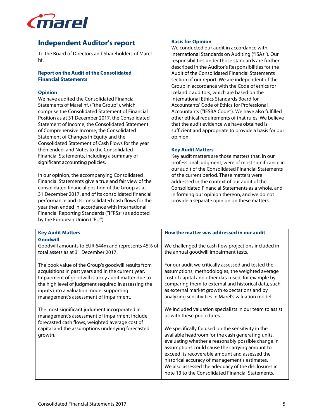

# **Independent Auditor's report**

To the Board of Directors and Shareholders of Marel hf.

# **Report on the Audit of the Consolidated Financial Statements**

# **Opinion**

We have audited the Consolidated Financial Statements of Marel hf. (''the Group''), which comprise the Consolidated Statement of Financial Position as at 31 December 2017, the Consolidated Statement of Income, the Consolidated Statement of Comprehensive Income, the Consolidated Statement of Changes in Equity and the Consolidated Statement of Cash Flows for the year then ended, and Notes to the Consolidated Financial Statements, including a summary of significant accounting policies.

In our opinion, the accompanying Consolidated Financial Statements give a true and fair view of the consolidated financial position of the Group as at 31 December 2017, and of its consolidated financial performance and its consolidated cash flows for the year then ended in accordance with International Financial Reporting Standards (''IFRSs'') as adopted by the European Union ("EU").

# **Basis for Opinion**

We conducted our audit in accordance with International Standards on Auditing (''ISAs''). Our responsibilities under those standards are further described in the Auditor's Responsibilities for the Audit of the Consolidated Financial Statements section of our report. We are independent of the Group in accordance with the Code of ethics for Icelandic auditors, which are based on the International Ethics Standards Board for Accountants' Code of Ethics for Professional Accountants (''IESBA Code''). We have also fulfilled other ethical requirements of that rules. We believe that the audit evidence we have obtained is sufficient and appropriate to provide a basis for our opinion.

# **Key Audit Matters**

Key audit matters are those matters that, in our professional judgment, were of most significance in our audit of the Consolidated Financial Statements of the current period. These matters were addressed in the context of our audit of the Consolidated Financial Statements as a whole, and in forming our opinion thereon, and we do not provide a separate opinion on these matters.

| <b>Key Audit Matters</b>                                                                                                                                                                                                                                                                                        | How the matter was addressed in our audit                                                                                                                                                                                                                                                                                                                                                                                                                                                                              |
|-----------------------------------------------------------------------------------------------------------------------------------------------------------------------------------------------------------------------------------------------------------------------------------------------------------------|------------------------------------------------------------------------------------------------------------------------------------------------------------------------------------------------------------------------------------------------------------------------------------------------------------------------------------------------------------------------------------------------------------------------------------------------------------------------------------------------------------------------|
| Goodwill<br>Goodwill amounts to EUR 644m and represents 45% of<br>total assets as at 31 December 2017.                                                                                                                                                                                                          | We challenged the cash flow projections included in<br>the annual goodwill impairment tests.                                                                                                                                                                                                                                                                                                                                                                                                                           |
| The book value of the Group's goodwill results from<br>acquisitions in past years and in the current year.<br>Impairment of goodwill is a key audit matter due to<br>the high level of judgment required in assessing the<br>inputs into a valuation model supporting<br>management's assessment of impairment. | For our audit we critically assessed and tested the<br>assumptions, methodologies, the weighted average<br>cost of capital and other data used, for example by<br>comparing them to external and historical data, such<br>as external market growth expectations and by<br>analyzing sensitivities in Marel's valuation model.                                                                                                                                                                                         |
| The most significant judgment incorporated in<br>management's assessment of impairment include<br>forecasted cash flows, weighted average cost of<br>capital and the assumptions underlying forecasted<br>growth.                                                                                               | We included valuation specialists in our team to assist<br>us with these procedures.<br>We specifically focused on the sensitivity in the<br>available headroom for the cash generating units,<br>evaluating whether a reasonably possible change in<br>assumptions could cause the carrying amount to<br>exceed its recoverable amount and assessed the<br>historical accuracy of management's estimates.<br>We also assessed the adequacy of the disclosures in<br>note 13 to the Consolidated Financial Statements. |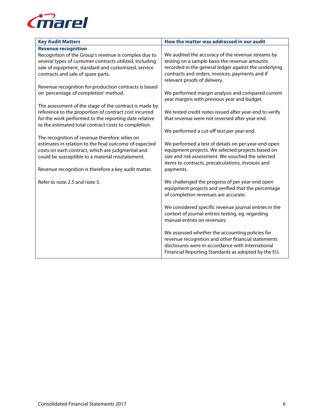

| <b>Key Audit Matters</b>                                | How the matter was addressed in our audit              |
|---------------------------------------------------------|--------------------------------------------------------|
| <b>Revenue recognition</b>                              |                                                        |
| Recognition of the Group's revenue is complex due to    | We audited the accuracy of the revenue streams by      |
| several types of customer contracts utilized, including | testing on a sample basis the revenue amounts          |
| sale of equipment, standard and customized, service     | recorded in the general ledger against the underlying  |
| contracts and sale of spare parts.                      | contracts and orders, invoices, payments and if        |
|                                                         | relevant proofs of delivery.                           |
| Revenue recognition for production contracts is based   |                                                        |
| on 'percentage of completion' method.                   | We performed margin analysis and compared current      |
|                                                         | year margins with previous year and budget.            |
| The assessment of the stage of the contract is made by  |                                                        |
| reference to the proportion of contract cost incurred   | We tested credit notes issued after year-end to verify |
| for the work performed to the reporting date relative   | that revenue were not reversed after year-end.         |
| to the estimated total contract costs to completion.    |                                                        |
|                                                         | We performed a cut-off test per year-end.              |
| The recognition of revenue therefore relies on          |                                                        |
| estimates in relation to the final outcome of expected  | We performed a test of details on per year-end open    |
| costs on each contract, which are judgmental and        | equipment projects. We selected projects based on      |
| could be susceptible to a material misstatement.        | size and risk assessment. We vouched the selected      |
|                                                         | items to contracts, precalculations, invoices and      |
| Revenue recognition is therefore a key audit matter.    | payments.                                              |
| Refer to note 2.5 and note 5.                           | We challenged the progress of per year-end open        |
|                                                         | equipment projects and verified that the percentage    |
|                                                         | of completion revenues are accurate.                   |
|                                                         |                                                        |
|                                                         | We considered specific revenue journal entries in the  |
|                                                         | context of journal entries testing, eg. regarding      |
|                                                         | manual entries on revenues.                            |
|                                                         |                                                        |
|                                                         | We assessed whether the accounting policies for        |
|                                                         | revenue recognition and other financial statements     |
|                                                         | disclosures were in accordance with International      |
|                                                         | Financial Reporting Standards as adopted by the EU.    |
|                                                         |                                                        |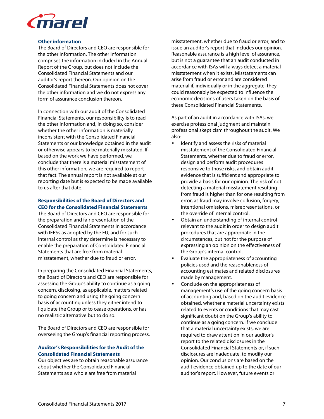

#### **Other information**

The Board of Directors and CEO are responsible for the other information. The other information comprises the information included in the Annual Report of the Group, but does not include the Consolidated Financial Statements and our auditor's report thereon. Our opinion on the Consolidated Financial Statements does not cover the other information and we do not express any form of assurance conclusion thereon.

In connection with our audit of the Consolidated Financial Statements, our responsibility is to read the other information and, in doing so, consider whether the other information is materially inconsistent with the Consolidated Financial Statements or our knowledge obtained in the audit or otherwise appears to be materially misstated. If, based on the work we have performed, we conclude that there is a material misstatement of this other information, we are required to report that fact. The annual report is not available at our reporting date but is expected to be made available to us after that date.

# **Responsibilities of the Board of Directors and CEO for the Consolidated Financial Statements**

The Board of Directors and CEO are responsible for the preparation and fair presentation of the Consolidated Financial Statements in accordance with IFRSs as adopted by the EU, and for such internal control as they determine is necessary to enable the preparation of Consolidated Financial Statements that are free from material misstatement, whether due to fraud or error.

In preparing the Consolidated Financial Statements, the Board of Directors and CEO are responsible for assessing the Group's ability to continue as a going concern, disclosing, as applicable, matters related to going concern and using the going concern basis of accounting unless they either intend to liquidate the Group or to cease operations, or has no realistic alternative but to do so.

The Board of Directors and CEO are responsible for overseeing the Group's financial reporting process.

### **Auditor's Responsibilities for the Audit of the Consolidated Financial Statements**

Our objectives are to obtain reasonable assurance about whether the Consolidated Financial Statements as a whole are free from material

misstatement, whether due to fraud or error, and to issue an auditor's report that includes our opinion. Reasonable assurance is a high level of assurance, but is not a guarantee that an audit conducted in accordance with ISAs will always detect a material misstatement when it exists. Misstatements can arise from fraud or error and are considered material if, individually or in the aggregate, they could reasonably be expected to influence the economic decisions of users taken on the basis of these Consolidated Financial Statements.

As part of an audit in accordance with ISAs, we exercise professional judgment and maintain professional skepticism throughout the audit. We also:

- Identify and assess the risks of material misstatement of the Consolidated Financial Statements, whether due to fraud or error, design and perform audit procedures responsive to those risks, and obtain audit evidence that is sufficient and appropriate to provide a basis for our opinion. The risk of not detecting a material misstatement resulting from fraud is higher than for one resulting from error, as fraud may involve collusion, forgery, intentional omissions, misrepresentations, or the override of internal control.
- Obtain an understanding of internal control relevant to the audit in order to design audit procedures that are appropriate in the circumstances, but not for the purpose of expressing an opinion on the effectiveness of the Group's internal control.
- Evaluate the appropriateness of accounting policies used and the reasonableness of accounting estimates and related disclosures made by management.
- Conclude on the appropriateness of management's use of the going concern basis of accounting and, based on the audit evidence obtained, whether a material uncertainty exists related to events or conditions that may cast significant doubt on the Group's ability to continue as a going concern. If we conclude that a material uncertainty exists, we are required to draw attention in our auditor's report to the related disclosures in the Consolidated Financial Statements or, if such disclosures are inadequate, to modify our opinion. Our conclusions are based on the audit evidence obtained up to the date of our auditor's report. However, future events or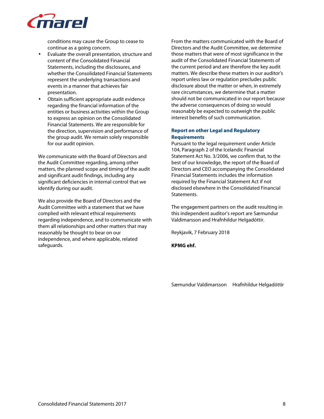

conditions may cause the Group to cease to continue as a going concern.

- Evaluate the overall presentation, structure and content of the Consolidated Financial Statements, including the disclosures, and whether the Consolidated Financial Statements represent the underlying transactions and events in a manner that achieves fair presentation.
- Obtain sufficient appropriate audit evidence regarding the financial information of the entities or business activities within the Group to express an opinion on the Consolidated Financial Statements. We are responsible for the direction, supervision and performance of the group audit. We remain solely responsible for our audit opinion.

We communicate with the Board of Directors and the Audit Committee regarding, among other matters, the planned scope and timing of the audit and significant audit findings, including any significant deficiencies in internal control that we identify during our audit.

We also provide the Board of Directors and the Audit Committee with a statement that we have complied with relevant ethical requirements regarding independence, and to communicate with them all relationships and other matters that may reasonably be thought to bear on our independence, and where applicable, related safeguards.

From the matters communicated with the Board of Directors and the Audit Committee, we determine those matters that were of most significance in the audit of the Consolidated Financial Statements of the current period and are therefore the key audit matters. We describe these matters in our auditor's report unless law or regulation precludes public disclosure about the matter or when, in extremely rare circumstances, we determine that a matter should not be communicated in our report because the adverse consequences of doing so would reasonably be expected to outweigh the public interest benefits of such communication.

# **Report on other Legal and Regulatory Requirements**

Pursuant to the legal requirement under Article 104, Paragraph 2 of the Icelandic Financial Statement Act No. 3/2006, we confirm that, to the best of our knowledge, the report of the Board of Directors and CEO accompanying the Consolidated Financial Statements includes the information required by the Financial Statement Act if not disclosed elsewhere in the Consolidated Financial Statements.

The engagement partners on the audit resulting in this independent auditor's report are Sæmundur Valdimarsson and Hrafnhildur Helgadóttir.

Reykjavik, 7 February 2018

**KPMG ehf.** 

Sæmundur Valdimarsson Hrafnhildur Helgadóttir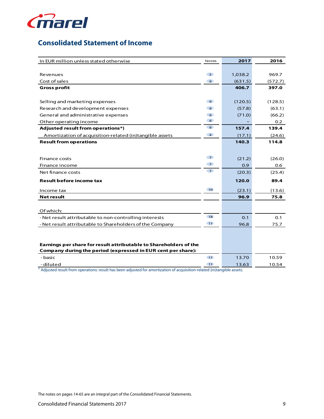

# **Consolidated Statement of Income**

| In EUR million unless stated otherwise                              | Notes           | 2017    | 2016    |
|---------------------------------------------------------------------|-----------------|---------|---------|
|                                                                     |                 |         |         |
| Revenues                                                            | 5 <sup>o</sup>  | 1,038.2 | 969.7   |
| Cost of sales                                                       | 6 <sup>6</sup>  | (631.5) | (572.7) |
| <b>Gross profit</b>                                                 |                 | 406.7   | 397.0   |
|                                                                     |                 |         |         |
| Selling and marketing expenses                                      | 6 <sup>o</sup>  | (120.5) | (128.5) |
| Research and development expenses                                   | 6 <sup>o</sup>  | (57.8)  | (63.1)  |
| General and administrative expenses                                 | 6 <sup>o</sup>  | (71.0)  | (66.2)  |
| Other operating income                                              | 6 <sup>o</sup>  |         | 0.2     |
| Adjusted result from operations*)                                   | 6 <sup>o</sup>  | 157.4   | 139.4   |
| Amortization of acquisition-related (in)tangible assets             | $\overline{4}$  | (17.1)  | (24.6)  |
| <b>Result from operations</b>                                       |                 | 140.3   | 114.8   |
|                                                                     |                 |         |         |
| <b>Finance costs</b>                                                | $\overline{7}$  | (21.2)  | (26.0)  |
| Finance income                                                      | 7 <sup>o</sup>  | 0.9     |         |
| Net finance costs                                                   | $\overline{7}$  |         | 0.6     |
|                                                                     |                 | (20.3)  | (25.4)  |
| <b>Result before income tax</b>                                     |                 | 120.0   | 89.4    |
| Income tax                                                          | 10              | (23.1)  | (13.6)  |
| <b>Net result</b>                                                   |                 | 96.9    | 75.8    |
|                                                                     |                 |         |         |
| Of which:                                                           |                 |         |         |
| - Net result attributable to non-controlling interests              | <b>18</b>       | 0.1     | 0.1     |
| - Net result attributable to Shareholders of the Company            | 11              | 96.8    | 75.7    |
|                                                                     |                 |         |         |
|                                                                     |                 |         |         |
| Earnings per share for result attributable to Shareholders of the   |                 |         |         |
| <b>Company during the period (expressed in EUR cent per share):</b> |                 |         |         |
| - basic                                                             | $\overline{11}$ | 13.70   | 10.59   |
| -diluted                                                            | $-11$           | 13.63   | 10.54   |

\*) Adjusted result from operations: result has been adjusted for amortization of acquisition-related (in)tangible assets.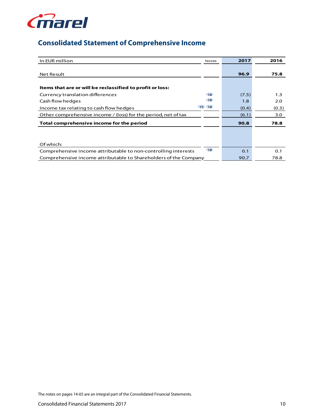

# **Consolidated Statement of Comprehensive Income**

| In EUR million                                                   | <b>Notes</b> | 2017  | 2016  |
|------------------------------------------------------------------|--------------|-------|-------|
|                                                                  |              |       |       |
| <b>Net Result</b>                                                |              | 96.9  | 75.8  |
|                                                                  |              |       |       |
| Items that are or will be reclassified to profit or loss:        |              |       |       |
| Currency translation differences                                 | <b>18</b>    | (7.5) | 1.3   |
| Cash flow hedges                                                 | 18           | 1.8   | 2.0   |
| Income tax relating to cash flow hedges                          | 15 18        | (0.4) | (0.3) |
| Other comprehensive income / (loss) for the period, net of tax   |              | (6.1) | 3.0   |
| Total comprehensive income for the period                        |              | 90.8  | 78.8  |
|                                                                  |              |       |       |
|                                                                  |              |       |       |
| Of which:                                                        |              |       |       |
| Comprehensive income attributable to non-controlling interests   | 18           | 0.1   | 0.1   |
| Comprehensive income attributable to Shareholders of the Company |              | 90.7  | 78.8  |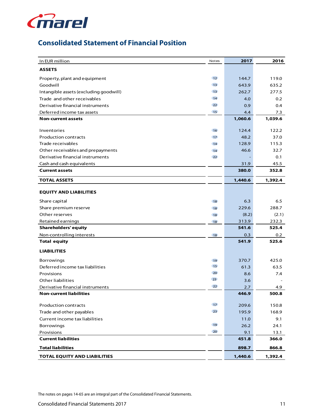

# **Consolidated Statement of Financial Position**

| In EUR million                                     | Notes           | 2017          | 2016          |
|----------------------------------------------------|-----------------|---------------|---------------|
| <b>ASSETS</b>                                      |                 |               |               |
| Property, plant and equipment                      | 12              | 144.7         | 119.0         |
| Goodwill                                           | 13              | 643.9         | 635.2         |
| Intangible assets (excluding goodwill)             | 13              | 262.7         | 277.5         |
| Trade and other receivables                        | 14              | 4.0           | 0.2           |
| Derivative financial instruments                   | 22              | 0.9           | 0.4           |
| Deferred income tax assets                         | 15              | 4.4           | 7.3           |
| <b>Non-current assets</b>                          |                 | 1,060.6       | 1,039.6       |
| Inventories                                        | 16              | 124.4         | 122.2         |
| <b>Production contracts</b>                        | 17              | 48.2          | 37.0          |
| Trade receivables                                  | 14              | 128.9         | 115.3         |
| Other receivables and prepayments                  |                 | 46.6          | 32.7          |
| Derivative financial instruments                   | 14<br>22        |               | 0.1           |
|                                                    |                 |               |               |
| Cash and cash equivalents<br><b>Current assets</b> |                 | 31.9<br>380.0 | 45.5<br>352.8 |
|                                                    |                 |               |               |
| <b>TOTAL ASSETS</b>                                |                 | 1,440.6       | 1,392.4       |
| <b>EQUITY AND LIABILITIES</b>                      |                 |               |               |
| Share capital                                      | 18              | 6.3           | 6.5           |
| Share premium reserve                              | 18              | 229.6         | 288.7         |
| Other reserves                                     | 18              | (8.2)         | (2.1)         |
| Retained earnings                                  | 18              | 313.9         | 232.3         |
| <b>Shareholders' equity</b>                        |                 | 541.6         | 525.4         |
| Non-controlling interests                          | 18              | 0.3           | 0.2           |
| <b>Total equity</b>                                |                 | 541.9         | 525.6         |
| <b>LIABILITIES</b>                                 |                 |               |               |
| <b>Borrowings</b>                                  | 19              | 370.7         | 425.0         |
| Deferred income tax liabilities                    | 15              | 61.3          | 63.5          |
| Provisions                                         | 20              | 8.6           | 7.4           |
| Other liabilities                                  | 23              | 3.6           |               |
| Derivative financial instruments                   | 22              | 2.7           | 4.9           |
| <b>Non-current liabilities</b>                     |                 | 446.9         | 500.8         |
| <b>Production contracts</b>                        | 17 <sup>2</sup> | 209.6         | 150.8         |
| Trade and other payables                           | 23              | 195.9         | 168.9         |
| Current income tax liabilities                     |                 | 11.0          | 9.1           |
| <b>Borrowings</b>                                  | 19              | 26.2          | 24.1          |
| Provisions                                         | 20              | 9.1           | 13.1          |
| <b>Current liabilities</b>                         |                 | 451.8         | 366.0         |
| <b>Total liabilities</b>                           |                 | 898.7         | 866.8         |
| <b>TOTAL EQUITY AND LIABILITIES</b>                |                 | 1,440.6       | 1,392.4       |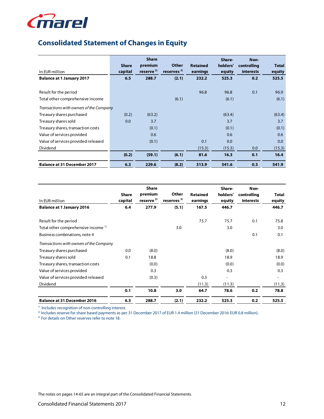

# **Consolidated Statement of Changes in Equity**

| In EUR million                                            | <b>Share</b><br>capital | <b>Share</b><br>premium<br>reserve $^{2)}$ | <b>Other</b><br>reserves <sup>3)</sup> | <b>Retained</b><br>earnings | Share-<br>holders' | Non-<br>controlling<br><b>interests</b> | <b>Total</b>    |
|-----------------------------------------------------------|-------------------------|--------------------------------------------|----------------------------------------|-----------------------------|--------------------|-----------------------------------------|-----------------|
|                                                           | 6.5                     | 288.7                                      |                                        | 232.2                       | equity<br>525.3    | 0.2                                     | equity<br>525.5 |
| <b>Balance at 1 January 2017</b>                          |                         |                                            | (2.1)                                  |                             |                    |                                         |                 |
| Result for the period<br>Total other comprehensive income |                         |                                            | (6.1)                                  | 96.8                        | 96.8<br>(6.1)      | 0.1                                     | 96.9<br>(6.1)   |
| Transactions with owners of the Company                   |                         |                                            |                                        |                             |                    |                                         |                 |
| Treasury shares purchased                                 | (0.2)                   | (63.2)                                     |                                        |                             | (63.4)             |                                         | (63.4)          |
| Treasury shares sold                                      | 0.0                     | 3.7                                        |                                        |                             | 3.7                |                                         | 3.7             |
| Treasury shares, transaction costs                        |                         | (0.1)                                      |                                        |                             | (0.1)              |                                         | (0.1)           |
| Value of services provided                                |                         | 0.6                                        |                                        |                             | 0.6                |                                         | 0.6             |
| Value of services provided released                       |                         | (0.1)                                      |                                        | 0.1                         | 0.0                |                                         | 0.0             |
| Dividend                                                  |                         |                                            |                                        | (15.3)                      | (15.3)             | 0.0                                     | (15.3)          |
|                                                           | (0.2)                   | (59.1)                                     | (6.1)                                  | 81.6                        | 16.3               | 0.1                                     | 16.4            |
| <b>Balance at 31 December 2017</b>                        | 6.3                     | 229.6                                      | (8.2)                                  | 313.9                       | 541.6              | 0.3                                     | 541.9           |

| In EUR million                                 | <b>Share</b><br>capital | <b>Share</b><br>premium<br>reserve <sup>2)</sup> | Other<br>reserves <sup>3)</sup> | <b>Retained</b><br>earnings | Share-<br>holders'<br>equity | Non-<br>controlling<br><b>interests</b> | <b>Total</b><br>equity |
|------------------------------------------------|-------------------------|--------------------------------------------------|---------------------------------|-----------------------------|------------------------------|-----------------------------------------|------------------------|
| <b>Balance at 1 January 2016</b>               | 6.4                     | 277.9                                            | (5.1)                           | 167.5                       | 446.7                        |                                         | 446.7                  |
| Result for the period                          |                         |                                                  |                                 | 75.7                        | 75.7                         | 0.1                                     | 75.8                   |
| Total other comprehensive income <sup>1)</sup> |                         |                                                  | 3.0                             |                             | 3.0                          |                                         | 3.0                    |
| Business combinations, note 4                  |                         |                                                  |                                 |                             |                              | 0.1                                     | 0.1                    |
| Transactions with owners of the Company        |                         |                                                  |                                 |                             |                              |                                         |                        |
| Treasury shares purchased                      | 0.0                     | (8.0)                                            |                                 |                             | (8.0)                        |                                         | (8.0)                  |
| Treasury shares sold                           | 0.1                     | 18.8                                             |                                 |                             | 18.9                         |                                         | 18.9                   |
| Treasury shares, transaction costs             |                         | (0.0)                                            |                                 |                             | (0.0)                        |                                         | (0.0)                  |
| Value of services provided                     |                         | 0.3                                              |                                 |                             | 0.3                          |                                         | 0.3                    |
| Value of services provided released            |                         | (0.3)                                            |                                 | 0.3                         |                              |                                         |                        |
| Dividend                                       |                         |                                                  |                                 | (11.3)                      | (11.3)                       |                                         | (11.3)                 |
|                                                | 0.1                     | 10.8                                             | 3.0                             | 64.7                        | 78.6                         | 0.2                                     | 78.8                   |
| <b>Balance at 31 December 2016</b>             | 6.5                     | 288.7                                            | (2.1)                           | 232.2                       | 525.3                        | 0.2                                     | 525.5                  |

<sup>1)</sup> Includes recognition of non-controlling interest.

<sup>2)</sup> Includes reserve for share based payments as per 31 December 2017 of EUR 1.4 million (31 December 2016: EUR 0.8 million).

<sup>3)</sup> For details on Other reserves refer to note 18.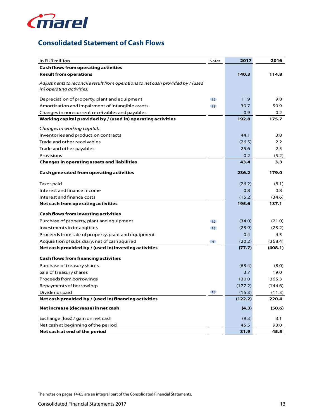

# **Consolidated Statement of Cash Flows**

| In EUR million                                                                  | Notes           | 2017    | 2016          |
|---------------------------------------------------------------------------------|-----------------|---------|---------------|
| <b>Cash flows from operating activities</b>                                     |                 |         |               |
| <b>Result from operations</b>                                                   |                 | 140.3   | 114.8         |
| Adjustments to reconcile result from operations to net cash provided by / (used |                 |         |               |
| in) operating activities:                                                       |                 |         |               |
| Depreciation of property, plant and equipment                                   | 12              | 11.9    | 9.8           |
| Amortization and impairment of intangible assets                                | 13              | 39.7    | 50.9          |
| Changes in non-current receivables and payables                                 |                 | 0.9     | 0.2           |
| Working capital provided by / (used in) operating activities                    |                 | 192.8   | 175.7         |
| Changes in working capital:                                                     |                 |         |               |
| Inventories and production contracts                                            |                 | 44.1    | 3.8           |
| Trade and other receivables                                                     |                 | (26.5)  | $2.2^{\circ}$ |
| Trade and other payables                                                        |                 | 25.6    | 2.5           |
| Provisions                                                                      |                 | 0.2     | (5.2)         |
| <b>Changes in operating assets and liabilities</b>                              |                 | 43.4    | 3.3           |
| <b>Cash generated from operating activities</b>                                 |                 | 236.2   | 179.0         |
| Taxes paid                                                                      |                 | (26.2)  | (8.1)         |
| Interest and finance income                                                     |                 | 0.8     | 0.8           |
| Interest and finance costs                                                      |                 | (15.2)  | (34.6)        |
| Net cash from operating activities                                              |                 | 195.6   | 137.1         |
| <b>Cash flows from investing activities</b>                                     |                 |         |               |
| Purchase of property, plant and equipment                                       | 12 <sup>°</sup> | (34.0)  | (21.0)        |
| Investments in intangibles                                                      | 13              | (23.9)  | (23.2)        |
| Proceeds from sale of property, plant and equipment                             |                 | 0.4     | 4.5           |
| Acquisition of subsidiary, net of cash aquired                                  | $\overline{4}$  | (20.2)  | (368.4)       |
| Net cash provided by / (used in) investing activities                           |                 | (77.7)  | (408.1)       |
| <b>Cash flows from financing activities</b>                                     |                 |         |               |
| Purchase of treasury shares                                                     |                 | (63.4)  | (8.0)         |
| Sale of treasury shares                                                         |                 | 3.7     | 19.0          |
| Proceeds from borrowings                                                        |                 | 130.0   | 365.3         |
| Repayments of borrowings                                                        |                 | (177.2) | (144.6)       |
| Dividends paid                                                                  | 18              | (15.3)  | (11.3)        |
| Net cash provided by / (used in) financing activities                           |                 | (122.2) | 220.4         |
| Net increase (decrease) in net cash                                             |                 | (4.3)   | (50.6)        |
| Exchange (loss) / gain on net cash                                              |                 | (9.3)   | 3.1           |
| Net cash at beginning of the period                                             |                 | 45.5    | 93.0          |
| Net cash at end of the period                                                   |                 | 31.9    | 45.5          |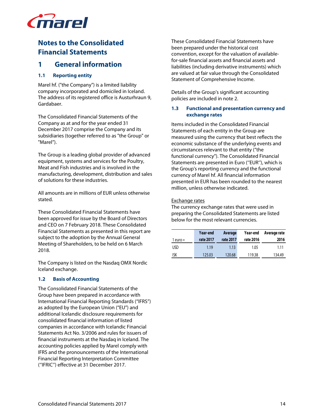

# **Notes to the Consolidated Financial Statements**

# **1 General information**

# **1.1 Reporting entity**

Marel hf. ("the Company") is a limited liability company incorporated and domiciled in Iceland. The address of its registered office is Austurhraun 9, Gardabaer.

The Consolidated Financial Statements of the Company as at and for the year ended 31 December 2017 comprise the Company and its subsidiaries (together referred to as "the Group" or "Marel").

The Group is a leading global provider of advanced equipment, systems and services for the Poultry, Meat and Fish industries and is involved in the manufacturing, development, distribution and sales of solutions for these industries.

All amounts are in millions of EUR unless otherwise stated.

These Consolidated Financial Statements have been approved for issue by the Board of Directors and CEO on 7 February 2018. These Consolidated Financial Statements as presented in this report are subject to the adoption by the Annual General Meeting of Shareholders, to be held on 6 March 2018.

The Company is listed on the Nasdaq OMX Nordic Iceland exchange.

# **1.2 Basis of Accounting**

The Consolidated Financial Statements of the Group have been prepared in accordance with International Financial Reporting Standards ("IFRS") as adopted by the European Union ("EU") and additional Icelandic disclosure requirements for consolidated financial information of listed companies in accordance with Icelandic Financial Statements Act No. 3/2006 and rules for issuers of financial instruments at the Nasdaq in Iceland. The accounting policies applied by Marel comply with IFRS and the pronouncements of the International Financial Reporting Interpretation Committee (''IFRIC'') effective at 31 December 2017.

These Consolidated Financial Statements have been prepared under the historical cost convention, except for the valuation of availablefor-sale financial assets and financial assets and liabilities (including derivative instruments) which are valued at fair value through the Consolidated Statement of Comprehensive Income.

Details of the Group's significant accounting policies are included in note 2.

# **1.3 Functional and presentation currency and exchange rates**

Items included in the Consolidated Financial Statements of each entity in the Group are measured using the currency that best reflects the economic substance of the underlying events and circumstances relevant to that entity ("the functional currency"). The Consolidated Financial Statements are presented in Euro (''EUR''), which is the Group's reporting currency and the functional currency of Marel hf. All financial information presented in EUR has been rounded to the nearest million, unless otherwise indicated.

Exchange rates

The currency exchange rates that were used in preparing the Consolidated Statements are listed below for the most relevant currencies.

|            | Year-end  | Average   | Year-end  | Average rate |
|------------|-----------|-----------|-----------|--------------|
| 1 euro $=$ | rate 2017 | rate 2017 | rate 2016 | 2016         |
| <b>USD</b> | 1.19      | 1.13      | 1.05      | 1.11         |
| ISK        | 125.03    | 120.68    | 119.38    | 134.49       |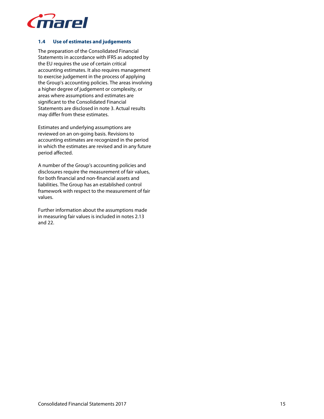

# **1.4 Use of estimates and judgements**

The preparation of the Consolidated Financial Statements in accordance with IFRS as adopted by the EU requires the use of certain critical accounting estimates. It also requires management to exercise judgement in the process of applying the Group's accounting policies. The areas involving a higher degree of judgement or complexity, or areas where assumptions and estimates are significant to the Consolidated Financial Statements are disclosed in note 3. Actual results may differ from these estimates.

Estimates and underlying assumptions are reviewed on an on-going basis. Revisions to accounting estimates are recognized in the period in which the estimates are revised and in any future period affected.

A number of the Group's accounting policies and disclosures require the measurement of fair values, for both financial and non-financial assets and liabilities. The Group has an established control framework with respect to the measurement of fair values.

Further information about the assumptions made in measuring fair values is included in notes 2.13 and 22.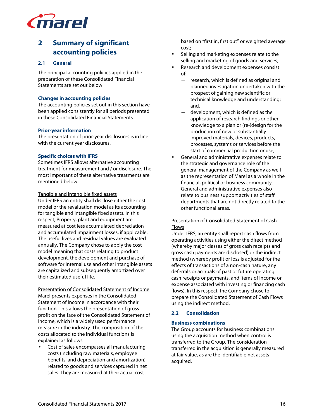

# **2 Summary of significant accounting policies**

### **2.1 General**

The principal accounting policies applied in the preparation of these Consolidated Financial Statements are set out below.

### **Changes in accounting policies**

The accounting policies set out in this section have been applied consistently for all periods presented in these Consolidated Financial Statements.

### **Prior-year information**

The presentation of prior-year disclosures is in line with the current year disclosures.

### **Specific choices with IFRS**

Sometimes IFRS allows alternative accounting treatment for measurement and / or disclosure. The most important of these alternative treatments are mentioned below:

#### Tangible and intangible fixed assets

Under IFRS an entity shall disclose either the cost model or the revaluation model as its accounting for tangible and intangible fixed assets. In this respect, Property, plant and equipment are measured at cost less accumulated depreciation and accumulated impairment losses, if applicable. The useful lives and residual values are evaluated annually. The Company chose to apply the cost model meaning that costs relating to product development, the development and purchase of software for internal use and other intangible assets are capitalized and subsequently amortized over their estimated useful life.

Presentation of Consolidated Statement of Income Marel presents expenses in the Consolidated Statement of Income in accordance with their function. This allows the presentation of gross profit on the face of the Consolidated Statement of Income, which is a widely used performance measure in the industry. The composition of the costs allocated to the individual functions is explained as follows:

• Cost of sales encompasses all manufacturing costs (including raw materials, employee benefits, and depreciation and amortization) related to goods and services captured in net sales. They are measured at their actual cost

based on "first in, first out" or weighted average cost;

- Selling and marketing expenses relate to the selling and marketing of goods and services;
- Research and development expenses consist of:
	- − research, which is defined as original and planned investigation undertaken with the prospect of gaining new scientific or technical knowledge and understanding; and,
	- − development, which is defined as the application of research findings or other knowledge to a plan or (re-)design for the production of new or substantially improved materials, devices, products, processes, systems or services before the start of commercial production or use;
- General and administrative expenses relate to the strategic and governance role of the general management of the Company as well as the representation of Marel as a whole in the financial, political or business community. General and administrative expenses also relate to business support activities of staff departments that are not directly related to the other functional areas.

# Presentation of Consolidated Statement of Cash **Flows**

Under IFRS, an entity shall report cash flows from operating activities using either the direct method (whereby major classes of gross cash receipts and gross cash payments are disclosed) or the indirect method (whereby profit or loss is adjusted for the effects of transactions of a non-cash nature, any deferrals or accruals of past or future operating cash receipts or payments, and items of income or expense associated with investing or financing cash flows). In this respect, the Company chose to prepare the Consolidated Statement of Cash Flows using the indirect method.

# **2.2 Consolidation**

# **Business combinations**

The Group accounts for business combinations using the acquisition method when control is transferred to the Group. The consideration transferred in the acquisition is generally measured at fair value, as are the identifiable net assets acquired.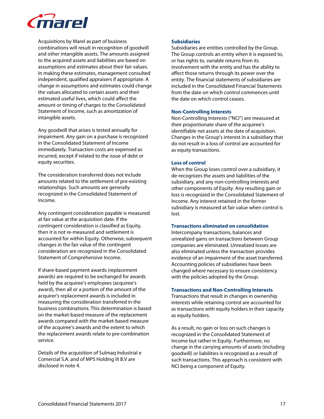

Acquisitions by Marel as part of business combinations will result in recognition of goodwill and other intangible assets. The amounts assigned to the acquired assets and liabilities are based on assumptions and estimates about their fair values. In making these estimates, management consulted independent, qualified appraisers if appropriate. A change in assumptions and estimates could change the values allocated to certain assets and their estimated useful lives, which could affect the amount or timing of charges to the Consolidated Statement of Income, such as amortization of intangible assets.

Any goodwill that arises is tested annually for impairment. Any gain on a purchase is recognized in the Consolidated Statement of Income immediately. Transaction costs are expensed as incurred, except if related to the issue of debt or equity securities.

The consideration transferred does not include amounts related to the settlement of pre-existing relationships. Such amounts are generally recognized in the Consolidated Statement of Income.

Any contingent consideration payable is measured at fair value at the acquisition date. If the contingent consideration is classified as Equity, then it is not re-measured and settlement is accounted for within Equity. Otherwise, subsequent changes in the fair value of the contingent consideration are recognized in the Consolidated Statement of Comprehensive Income.

If share-based payment awards (replacement awards) are required to be exchanged for awards held by the acquiree's employees (acquiree's award), then all or a portion of the amount of the acquirer's replacement awards is included in measuring the consideration transferred in the business combinations. This determination is based on the market-based measure of the replacement awards compared with the market-based measure of the acquiree's awards and the extent to which the replacement awards relate to pre-combination service.

Details of the acquisition of Sulmaq Industrial e Comercial S.A. and of MPS Holding III B.V are disclosed in note 4.

### **Subsidiaries**

Subsidiaries are entities controlled by the Group. The Group controls an entity when it is exposed to, or has rights to, variable returns from its involvement with the entity and has the ability to affect those returns through its power over the entity. The financial statements of subsidiaries are included in the Consolidated Financial Statements from the date on which control commences until the date on which control ceases.

### **Non-Controlling Interests**

Non-Controlling Interests ("NCI") are measured at their proportionate share of the acquiree's identifiable net assets at the date of acquisition. Changes in the Group's interest in a subsidiary that do not result in a loss of control are accounted for as equity transactions.

# **Loss of control**

When the Group loses control over a subsidiary, it de-recognizes the assets and liabilities of the subsidiary, and any non-controlling interests and other components of Equity. Any resulting gain or loss is recognized in the Consolidated Statement of Income. Any interest retained in the former subsidiary is measured at fair value when control is lost.

# **Transactions eliminated on consolidation**

Intercompany transactions, balances and unrealized gains on transactions between Group companies are eliminated. Unrealized losses are also eliminated unless the transaction provides evidence of an impairment of the asset transferred. Accounting policies of subsidiaries have been changed where necessary to ensure consistency with the policies adopted by the Group.

#### **Transactions and Non-Controlling Interests**

Transactions that result in changes in ownership interests while retaining control are accounted for as transactions with equity holders in their capacity as equity holders.

As a result, no gain or loss on such changes is recognized in the Consolidated Statement of Income but rather in Equity. Furthermore, no change in the carrying amounts of assets (including goodwill) or liabilities is recognized as a result of such transactions. This approach is consistent with NCI being a component of Equity.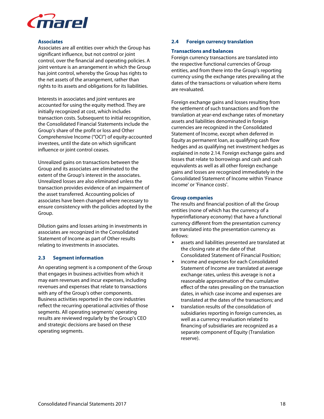

#### **Associates**

Associates are all entities over which the Group has significant influence, but not control or joint control, over the financial and operating policies. A joint venture is an arrangement in which the Group has joint control, whereby the Group has rights to the net assets of the arrangement, rather than rights to its assets and obligations for its liabilities.

Interests in associates and joint ventures are accounted for using the equity method. They are initially recognized at cost, which includes transaction costs. Subsequent to initial recognition, the Consolidated Financial Statements include the Group's share of the profit or loss and Other Comprehensive Income ("OCI") of equity-accounted investees, until the date on which significant influence or joint control ceases.

Unrealized gains on transactions between the Group and its associates are eliminated to the extent of the Group's interest in the associates. Unrealized losses are also eliminated unless the transaction provides evidence of an impairment of the asset transferred. Accounting policies of associates have been changed where necessary to ensure consistency with the policies adopted by the Group.

Dilution gains and losses arising in investments in associates are recognized in the Consolidated Statement of Income as part of Other results relating to investments in associates.

#### **2.3 Segment information**

An operating segment is a component of the Group that engages in business activities from which it may earn revenues and incur expenses, including revenues and expenses that relate to transactions with any of the Group's other components. Business activities reported in the core industries reflect the recurring operational activities of those segments. All operating segments' operating results are reviewed regularly by the Group's CEO and strategic decisions are based on these operating segments.

### **2.4 Foreign currency translation**

#### **Transactions and balances**

Foreign currency transactions are translated into the respective functional currencies of Group entities, and from there into the Group's reporting currency using the exchange rates prevailing at the dates of the transactions or valuation where items are revaluated.

Foreign exchange gains and losses resulting from the settlement of such transactions and from the translation at year-end exchange rates of monetary assets and liabilities denominated in foreign currencies are recognized in the Consolidated Statement of Income, except when deferred in Equity as permanent loan, as qualifying cash flow hedges and as qualifying net investment hedges as explained in note 2.14. Foreign exchange gains and losses that relate to borrowings and cash and cash equivalents as well as all other foreign exchange gains and losses are recognized immediately in the Consolidated Statement of Income within 'Finance income' or 'Finance costs'.

#### **Group companies**

The results and financial position of all the Group entities (none of which has the currency of a hyperinflationary economy) that have a functional currency different from the presentation currency are translated into the presentation currency as follows:

- assets and liabilities presented are translated at the closing rate at the date of that Consolidated Statement of Financial Position;
- income and expenses for each Consolidated Statement of Income are translated at average exchange rates, unless this average is not a reasonable approximation of the cumulative effect of the rates prevailing on the transaction dates, in which case income and expenses are translated at the dates of the transactions; and
- translation results of the consolidation of subsidiaries reporting in foreign currencies, as well as a currency revaluation related to financing of subsidiaries are recognized as a separate component of Equity (Translation reserve).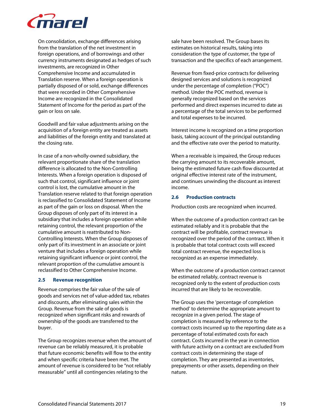

On consolidation, exchange differences arising from the translation of the net investment in foreign operations, and of borrowings and other currency instruments designated as hedges of such investments, are recognized in Other Comprehensive Income and accumulated in Translation reserve. When a foreign operation is partially disposed of or sold, exchange differences that were recorded in Other Comprehensive Income are recognized in the Consolidated Statement of Income for the period as part of the gain or loss on sale.

Goodwill and fair value adjustments arising on the acquisition of a foreign entity are treated as assets and liabilities of the foreign entity and translated at the closing rate.

In case of a non-wholly-owned subsidiary, the relevant proportionate share of the translation difference is allocated to the Non-Controlling Interests. When a foreign operation is disposed of such that control, significant influence or joint control is lost, the cumulative amount in the Translation reserve related to that foreign operation is reclassified to Consolidated Statement of Income as part of the gain or loss on disposal. When the Group disposes of only part of its interest in a subsidiary that includes a foreign operation while retaining control, the relevant proportion of the cumulative amount is reattributed to Non-Controlling Interests. When the Group disposes of only part of its investment in an associate or joint venture that includes a foreign operation while retaining significant influence or joint control, the relevant proportion of the cumulative amount is reclassified to Other Comprehensive Income.

#### **2.5 Revenue recognition**

Revenue comprises the fair value of the sale of goods and services net of value-added tax, rebates and discounts, after eliminating sales within the Group. Revenue from the sale of goods is recognized when significant risks and rewards of ownership of the goods are transferred to the buyer.

The Group recognizes revenue when the amount of revenue can be reliably measured, it is probable that future economic benefits will flow to the entity and when specific criteria have been met. The amount of revenue is considered to be "not reliably measurable" until all contingencies relating to the

sale have been resolved. The Group bases its estimates on historical results, taking into consideration the type of customer, the type of transaction and the specifics of each arrangement.

Revenue from fixed-price contracts for delivering designed services and solutions is recognized under the percentage of completion ("POC") method. Under the POC method, revenue is generally recognized based on the services performed and direct expenses incurred to date as a percentage of the total services to be performed and total expenses to be incurred.

Interest income is recognized on a time proportion basis, taking account of the principal outstanding and the effective rate over the period to maturity.

When a receivable is impaired, the Group reduces the carrying amount to its recoverable amount, being the estimated future cash flow discounted at original effective interest rate of the instrument, and continues unwinding the discount as interest income.

# **2.6 Production contracts**

Production costs are recognized when incurred.

When the outcome of a production contract can be estimated reliably and it is probable that the contract will be profitable, contract revenue is recognized over the period of the contract. When it is probable that total contract costs will exceed total contract revenue, the expected loss is recognized as an expense immediately.

When the outcome of a production contract cannot be estimated reliably, contract revenue is recognized only to the extent of production costs incurred that are likely to be recoverable.

The Group uses the 'percentage of completion method' to determine the appropriate amount to recognize in a given period. The stage of completion is measured by reference to the contract costs incurred up to the reporting date as a percentage of total estimated costs for each contract. Costs incurred in the year in connection with future activity on a contract are excluded from contract costs in determining the stage of completion. They are presented as inventories, prepayments or other assets, depending on their nature.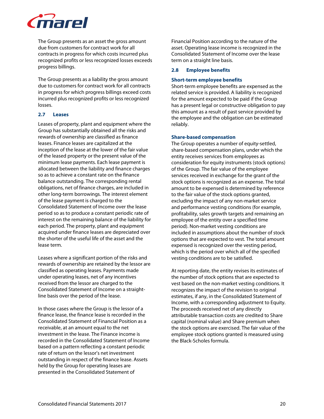

The Group presents as an asset the gross amount due from customers for contract work for all contracts in progress for which costs incurred plus recognized profits or less recognized losses exceeds progress billings.

The Group presents as a liability the gross amount due to customers for contract work for all contracts in progress for which progress billings exceed costs incurred plus recognized profits or less recognized losses.

# **2.7 Leases**

Leases of property, plant and equipment where the Group has substantially obtained all the risks and rewards of ownership are classified as finance leases. Finance leases are capitalized at the inception of the lease at the lower of the fair value of the leased property or the present value of the minimum lease payments. Each lease payment is allocated between the liability and finance charges so as to achieve a constant rate on the finance balance outstanding. The corresponding rental obligations, net of finance charges, are included in other long-term borrowings. The interest element of the lease payment is charged to the Consolidated Statement of Income over the lease period so as to produce a constant periodic rate of interest on the remaining balance of the liability for each period. The property, plant and equipment acquired under finance leases are depreciated over the shorter of the useful life of the asset and the lease term.

Leases where a significant portion of the risks and rewards of ownership are retained by the lessor are classified as operating leases. Payments made under operating leases, net of any incentives received from the lessor are charged to the Consolidated Statement of Income on a straightline basis over the period of the lease.

In those cases where the Group is the lessor of a finance lease, the finance lease is recorded in the Consolidated Statement of Financial Position as a receivable, at an amount equal to the net investment in the lease. The Finance income is recorded in the Consolidated Statement of Income based on a pattern reflecting a constant periodic rate of return on the lessor's net investment outstanding in respect of the finance lease. Assets held by the Group for operating leases are presented in the Consolidated Statement of

Financial Position according to the nature of the asset. Operating lease income is recognized in the Consolidated Statement of Income over the lease term on a straight line basis.

### **2.8 Employee benefits**

### **Short-term employee benefits**

Short-term employee benefits are expensed as the related service is provided. A liability is recognized for the amount expected to be paid if the Group has a present legal or constructive obligation to pay this amount as a result of past service provided by the employee and the obligation can be estimated reliably.

# **Share-based compensation**

The Group operates a number of equity-settled, share-based compensation plans, under which the entity receives services from employees as consideration for equity instruments (stock options) of the Group. The fair value of the employee services received in exchange for the grant of the stock options is recognized as an expense. The total amount to be expensed is determined by reference to the fair value of the stock options granted, excluding the impact of any non-market service and performance vesting conditions (for example, profitability, sales growth targets and remaining an employee of the entity over a specified time period). Non-market vesting conditions are included in assumptions about the number of stock options that are expected to vest. The total amount expensed is recognized over the vesting period, which is the period over which all of the specified vesting conditions are to be satisfied.

At reporting date, the entity revises its estimates of the number of stock options that are expected to vest based on the non-market vesting conditions. It recognizes the impact of the revision to original estimates, if any, in the Consolidated Statement of Income, with a corresponding adjustment to Equity. The proceeds received net of any directly attributable transaction costs are credited to Share capital (nominal value) and Share premium when the stock options are exercised. The fair value of the employee stock options granted is measured using the Black-Scholes formula.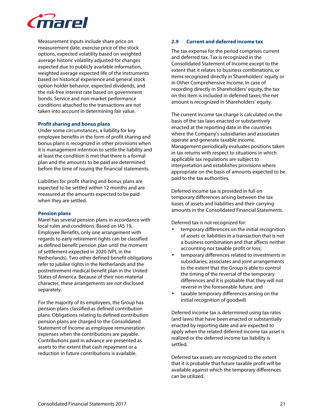

Measurement inputs include share price on measurement date, exercise price of the stock options, expected volatility based on weighted average historic volatility adjusted for changes expected due to publicly available information, weighted average expected life of the instruments based on historical experience and general stock option holder behavior, expected dividends, and the risk-free interest rate based on government bonds. Service and non-market performance conditions attached to the transactions are not taken into account in determining fair value.

#### **Profit sharing and bonus plans**

Under some circumstances, a liability for key employee benefits in the form of profit sharing and bonus plans is recognized in other provisions when it is management intention to settle the liability and at least the condition is met that there is a formal plan and the amounts to be paid are determined before the time of issuing the financial statements.

Liabilities for profit sharing and bonus plans are expected to be settled within 12 months and are measured at the amounts expected to be paid when they are settled.

#### **Pension plans**

Marel has several pension plans in accordance with local rules and conditions. Based on IAS 19, Employee Benefits, only one arrangement with regards to early retirement rights can be classified as defined benefit pension plan until the moment of settlement expected in 2020 (VPL in the Netherlands). Two other defined benefit obligations refer to jubilee rights in the Netherlands and the postretirement medical benefit plan in the United States of America. Because of their non-material character, these arrangements are not disclosed separately.

For the majority of its employees, the Group has pension plans classified as defined contribution plans. Obligations relating to defined contribution pension plans are charged to the Consolidated Statement of Income as employee remuneration expenses when the contributions are payable. Contributions paid in advance are presented as assets to the extent that cash repayment or a reduction in future contributions is available.

### **2.9 Current and deferred income tax**

The tax expense for the period comprises current and deferred tax. Tax is recognized in the Consolidated Statement of Income except to the extent that it relates to business combinations, or items recognized directly in Shareholders' equity or in Other Comprehensive Income. In case of recording directly in Shareholders' equity, the tax on this item is included in deferred taxes; the net amount is recognized in Shareholders' equity.

The current income tax charge is calculated on the basis of the tax laws enacted or substantively enacted at the reporting date in the countries where the Company's subsidiaries and associates operate and generate taxable income. Management periodically evaluates positions taken in tax returns with respect to situations in which applicable tax regulations are subject to interpretation and establishes provisions where appropriate on the basis of amounts expected to be paid to the tax authorities.

Deferred income tax is provided in full on temporary differences arising between the tax bases of assets and liabilities and their carrying amounts in the Consolidated Financial Statements.

Deferred tax is not recognized for:

- temporary differences on the initial recognition of assets or liabilities in a transaction that is not a business combination and that affects neither accounting nor taxable profit or loss;
- temporary differences related to investments in subsidiaries, associates and joint arrangements to the extent that the Group is able to control the timing of the reversal of the temporary differences and it is probable that they will not reverse in the foreseeable future; and
- taxable temporary differences arising on the initial recognition of goodwill.

Deferred income tax is determined using tax rates (and laws) that have been enacted or substantially enacted by reporting date and are expected to apply when the related deferred income tax asset is realized or the deferred income tax liability is settled.

Deferred tax assets are recognized to the extent that it is probable that future taxable profit will be available against which the temporary differences can be utilized.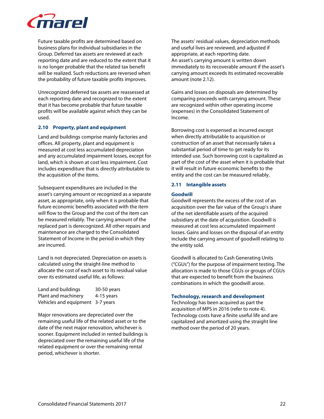

Future taxable profits are determined based on business plans for individual subsidiaries in the Group. Deferred tax assets are reviewed at each reporting date and are reduced to the extent that it is no longer probable that the related tax benefit will be realized. Such reductions are reversed when the probability of future taxable profits improves.

Unrecognized deferred tax assets are reassessed at each reporting date and recognized to the extent that it has become probable that future taxable profits will be available against which they can be used.

# **2.10 Property, plant and equipment**

Land and buildings comprise mainly factories and offices. All property, plant and equipment is measured at cost less accumulated depreciation and any accumulated impairment losses, except for land, which is shown at cost less impairment. Cost includes expenditure that is directly attributable to the acquisition of the items.

Subsequent expenditures are included in the asset's carrying amount or recognized as a separate asset, as appropriate, only when it is probable that future economic benefits associated with the item will flow to the Group and the cost of the item can be measured reliably. The carrying amount of the replaced part is derecognized. All other repairs and maintenance are charged to the Consolidated Statement of Income in the period in which they are incurred.

Land is not depreciated. Depreciation on assets is calculated using the straight-line method to allocate the cost of each asset to its residual value over its estimated useful life, as follows:

| Land and buildings               | 30-50 years |
|----------------------------------|-------------|
| Plant and machinery              | 4-15 years  |
| Vehicles and equipment 3-7 years |             |

Major renovations are depreciated over the remaining useful life of the related asset or to the date of the next major renovation, whichever is sooner. Equipment included in rented buildings is depreciated over the remaining useful life of the related equipment or over the remaining rental period, whichever is shorter.

The assets' residual values, depreciation methods and useful lives are reviewed, and adjusted if appropriate, at each reporting date. An asset's carrying amount is written down immediately to its recoverable amount if the asset's carrying amount exceeds its estimated recoverable amount (note 2.12).

Gains and losses on disposals are determined by comparing proceeds with carrying amount. These are recognized within other operating income (expenses) in the Consolidated Statement of Income.

Borrowing cost is expensed as incurred except when directly attributable to acquisition or construction of an asset that necessarily takes a substantial period of time to get ready for its intended use. Such borrowing cost is capitalized as part of the cost of the asset when it is probable that it will result in future economic benefits to the entity and the cost can be measured reliably.

### **2.11 Intangible assets**

#### **Goodwill**

Goodwill represents the excess of the cost of an acquisition over the fair value of the Group's share of the net identifiable assets of the acquired subsidiary at the date of acquisition. Goodwill is measured at cost less accumulated impairment losses. Gains and losses on the disposal of an entity include the carrying amount of goodwill relating to the entity sold.

Goodwill is allocated to Cash Generating Units ("CGUs") for the purpose of impairment testing. The allocation is made to those CGUs or groups of CGUs that are expected to benefit from the business combinations in which the goodwill arose.

# **Technology, research and development**

Technology has been acquired as part the acquisition of MPS in 2016 (refer to note 4). Technology costs have a finite useful life and are capitalized and amortized using the straight line method over the period of 20 years.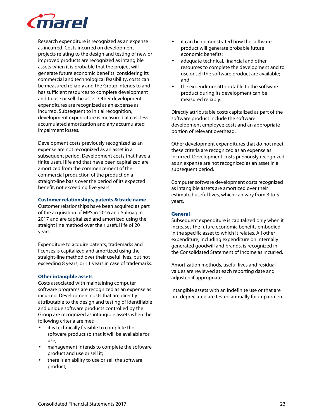

Research expenditure is recognized as an expense as incurred. Costs incurred on development projects relating to the design and testing of new or improved products are recognized as intangible assets when it is probable that the project will generate future economic benefits, considering its commercial and technological feasibility, costs can be measured reliably and the Group intends to and has sufficient resources to complete development and to use or sell the asset. Other development expenditures are recognized as an expense as incurred. Subsequent to initial recognition, development expenditure is measured at cost less accumulated amortization and any accumulated impairment losses.

Development costs previously recognized as an expense are not recognized as an asset in a subsequent period. Development costs that have a finite useful life and that have been capitalized are amortized from the commencement of the commercial production of the product on a straight-line basis over the period of its expected benefit, not exceeding five years.

#### **Customer relationships, patents & trade name**

Customer relationships have been acquired as part of the acquisition of MPS in 2016 and Sulmaq in 2017 and are capitalized and amortized using the straight line method over their useful life of 20 years.

Expenditure to acquire patents, trademarks and licenses is capitalized and amortized using the straight-line method over their useful lives, but not exceeding 8 years, or 11 years in case of trademarks.

# **Other intangible assets**

Costs associated with maintaining computer software programs are recognized as an expense as incurred. Development costs that are directly attributable to the design and testing of identifiable and unique software products controlled by the Group are recognized as intangible assets when the following criteria are met:

- it is technically feasible to complete the software product so that it will be available for use;
- management intends to complete the software product and use or sell it;
- there is an ability to use or sell the software product;
- it can be demonstrated how the software product will generate probable future economic benefits;
- adequate technical, financial and other resources to complete the development and to use or sell the software product are available; and
- the expenditure attributable to the software product during its development can be measured reliably.

Directly attributable costs capitalized as part of the software product include the software development employee costs and an appropriate portion of relevant overhead.

Other development expenditures that do not meet these criteria are recognized as an expense as incurred. Development costs previously recognized as an expense are not recognized as an asset in a subsequent period.

Computer software development costs recognized as intangible assets are amortized over their estimated useful lives, which can vary from 3 to 5 years.

# **General**

Subsequent expenditure is capitalized only when it increases the future economic benefits embodied in the specific asset to which it relates. All other expenditure, including expenditure on internally generated goodwill and brands, is recognized in the Consolidated Statement of Income as incurred.

Amortization methods, useful lives and residual values are reviewed at each reporting date and adjusted if appropriate.

Intangible assets with an indefinite use or that are not depreciated are tested annually for impairment.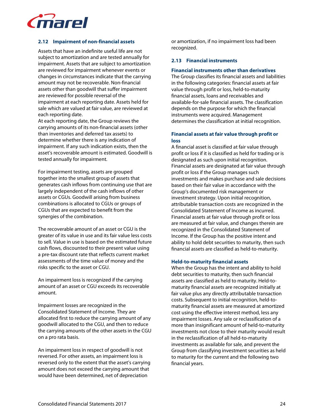

# **2.12 Impairment of non-financial assets**

Assets that have an indefinite useful life are not subject to amortization and are tested annually for impairment. Assets that are subject to amortization are reviewed for impairment whenever events or changes in circumstances indicate that the carrying amount may not be recoverable. Non-financial assets other than goodwill that suffer impairment are reviewed for possible reversal of the impairment at each reporting date. Assets held for sale which are valued at fair value, are reviewed at each reporting date.

At each reporting date, the Group reviews the carrying amounts of its non-financial assets (other than inventories and deferred tax assets) to determine whether there is any indication of impairment. If any such indication exists, then the asset's recoverable amount is estimated. Goodwill is tested annually for impairment.

For impairment testing, assets are grouped together into the smallest group of assets that generates cash inflows from continuing use that are largely independent of the cash inflows of other assets or CGUs. Goodwill arising from business combinations is allocated to CGUs or groups of CGUs that are expected to benefit from the synergies of the combination.

The recoverable amount of an asset or CGU is the greater of its value in use and its fair value less costs to sell. Value in use is based on the estimated future cash flows, discounted to their present value using a pre-tax discount rate that reflects current market assessments of the time value of money and the risks specific to the asset or CGU.

An impairment loss is recognized if the carrying amount of an asset or CGU exceeds its recoverable amount.

Impairment losses are recognized in the Consolidated Statement of Income. They are allocated first to reduce the carrying amount of any goodwill allocated to the CGU, and then to reduce the carrying amounts of the other assets in the CGU on a pro rata basis.

An impairment loss in respect of goodwill is not reversed. For other assets, an impairment loss is reversed only to the extent that the asset's carrying amount does not exceed the carrying amount that would have been determined, net of depreciation

or amortization, if no impairment loss had been recognized.

### **2.13 Financial instruments**

#### **Financial instruments other than derivatives**

The Group classifies its financial assets and liabilities in the following categories: financial assets at fair value through profit or loss, held-to-maturity financial assets, loans and receivables and available-for-sale financial assets. The classification depends on the purpose for which the financial instruments were acquired. Management determines the classification at initial recognition.

# **Financial assets at fair value through profit or loss**

A financial asset is classified at fair value through profit or loss if it is classified as held for trading or is designated as such upon initial recognition. Financial assets are designated at fair value through profit or loss if the Group manages such investments and makes purchase and sale decisions based on their fair value in accordance with the Group's documented risk management or investment strategy. Upon initial recognition, attributable transaction costs are recognized in the Consolidated Statement of Income as incurred. Financial assets at fair value through profit or loss are measured at fair value, and changes therein are recognized in the Consolidated Statement of Income. If the Group has the positive intent and ability to hold debt securities to maturity, then such financial assets are classified as held-to-maturity.

#### **Held-to-maturity financial assets**

When the Group has the intent and ability to hold debt securities to maturity, then such financial assets are classified as held to maturity. Held-tomaturity financial assets are recognized initially at fair value plus any directly attributable transaction costs. Subsequent to initial recognition, held-tomaturity financial assets are measured at amortized cost using the effective interest method, less any impairment losses. Any sale or reclassification of a more than insignificant amount of held-to-maturity investments not close to their maturity would result in the reclassification of all held-to-maturity investments as available for sale, and prevent the Group from classifying investment securities as held to maturity for the current and the following two financial years.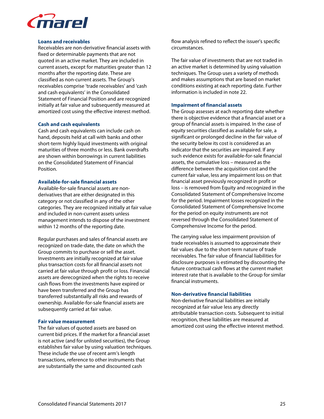

#### **Loans and receivables**

Receivables are non-derivative financial assets with fixed or determinable payments that are not quoted in an active market. They are included in current assets, except for maturities greater than 12 months after the reporting date. These are classified as non-current assets. The Group's receivables comprise 'trade receivables' and 'cash and cash equivalents' in the Consolidated Statement of Financial Position and are recognized initially at fair value and subsequently measured at amortized cost using the effective interest method.

#### **Cash and cash equivalents**

Cash and cash equivalents can include cash on hand, deposits held at call with banks and other short-term highly liquid investments with original maturities of three months or less. Bank overdrafts are shown within borrowings in current liabilities on the Consolidated Statement of Financial Position.

#### **Available-for-sale financial assets**

Available-for-sale financial assets are nonderivatives that are either designated in this category or not classified in any of the other categories. They are recognized initially at fair value and included in non-current assets unless management intends to dispose of the investment within 12 months of the reporting date.

Regular purchases and sales of financial assets are recognized on trade-date, the date on which the Group commits to purchase or sell the asset. Investments are initially recognized at fair value plus transaction costs for all financial assets not carried at fair value through profit or loss. Financial assets are derecognized when the rights to receive cash flows from the investments have expired or have been transferred and the Group has transferred substantially all risks and rewards of ownership. Available-for-sale financial assets are subsequently carried at fair value.

#### **Fair value measurement**

The fair values of quoted assets are based on current bid prices. If the market for a financial asset is not active (and for unlisted securities), the Group establishes fair value by using valuation techniques. These include the use of recent arm's length transactions, reference to other instruments that are substantially the same and discounted cash

flow analysis refined to reflect the issuer's specific circumstances.

The fair value of investments that are not traded in an active market is determined by using valuation techniques. The Group uses a variety of methods and makes assumptions that are based on market conditions existing at each reporting date. Further information is included in note 22.

#### **Impairment of financial assets**

The Group assesses at each reporting date whether there is objective evidence that a financial asset or a group of financial assets is impaired. In the case of equity securities classified as available for sale, a significant or prolonged decline in the fair value of the security below its cost is considered as an indicator that the securities are impaired. If any such evidence exists for available-for-sale financial assets, the cumulative loss – measured as the difference between the acquisition cost and the current fair value, less any impairment loss on that financial asset previously recognized in profit or loss – is removed from Equity and recognized in the Consolidated Statement of Comprehensive Income for the period. Impairment losses recognized in the Consolidated Statement of Comprehensive Income for the period on equity instruments are not reversed through the Consolidated Statement of Comprehensive Income for the period.

The carrying value less impairment provision of trade receivables is assumed to approximate their fair values due to the short-term nature of trade receivables. The fair value of financial liabilities for disclosure purposes is estimated by discounting the future contractual cash flows at the current market interest rate that is available to the Group for similar financial instruments.

#### **Non-derivative financial liabilities**

Non-derivative financial liabilities are initially recognized at fair value less any directly attributable transaction costs. Subsequent to initial recognition, these liabilities are measured at amortized cost using the effective interest method.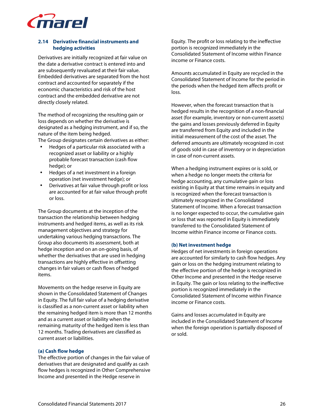

# **2.14 Derivative financial instruments and hedging activities**

Derivatives are initially recognized at fair value on the date a derivative contract is entered into and are subsequently revaluated at their fair value. Embedded derivatives are separated from the host contract and accounted for separately if the economic characteristics and risk of the host contract and the embedded derivative are not directly closely related.

The method of recognizing the resulting gain or loss depends on whether the derivative is designated as a hedging instrument, and if so, the nature of the item being hedged.

The Group designates certain derivatives as either:

- Hedges of a particular risk associated with a recognized asset or liability or a highly probable forecast transaction (cash flow hedge); or
- Hedges of a net investment in a foreign operation (net investment hedge); or
- Derivatives at fair value through profit or loss are accounted for at fair value through profit or loss.

The Group documents at the inception of the transaction the relationship between hedging instruments and hedged items, as well as its risk management objectives and strategy for undertaking various hedging transactions. The Group also documents its assessment, both at hedge inception and on an on-going basis, of whether the derivatives that are used in hedging transactions are highly effective in offsetting changes in fair values or cash flows of hedged items.

Movements on the hedge reserve in Equity are shown in the Consolidated Statement of Changes in Equity. The full fair value of a hedging derivative is classified as a non-current asset or liability when the remaining hedged item is more than 12 months and as a current asset or liability when the remaining maturity of the hedged item is less than 12 months. Trading derivatives are classified as current asset or liabilities.

# **(a) Cash flow hedge**

The effective portion of changes in the fair value of derivatives that are designated and qualify as cash flow hedges is recognized in Other Comprehensive Income and presented in the Hedge reserve in

Equity. The profit or loss relating to the ineffective portion is recognized immediately in the Consolidated Statement of Income within Finance income or Finance costs.

Amounts accumulated in Equity are recycled in the Consolidated Statement of Income for the period in the periods when the hedged item affects profit or loss.

However, when the forecast transaction that is hedged results in the recognition of a non-financial asset (for example, inventory or non-current assets) the gains and losses previously deferred in Equity are transferred from Equity and included in the initial measurement of the cost of the asset. The deferred amounts are ultimately recognized in cost of goods sold in case of inventory or in depreciation in case of non-current assets.

When a hedging instrument expires or is sold, or when a hedge no longer meets the criteria for hedge accounting, any cumulative gain or loss existing in Equity at that time remains in equity and is recognized when the forecast transaction is ultimately recognized in the Consolidated Statement of Income. When a forecast transaction is no longer expected to occur, the cumulative gain or loss that was reported in Equity is immediately transferred to the Consolidated Statement of Income within Finance income or Finance costs.

### **(b) Net investment hedge**

Hedges of net investments in foreign operations are accounted for similarly to cash flow hedges. Any gain or loss on the hedging instrument relating to the effective portion of the hedge is recognized in Other Income and presented in the Hedge reserve in Equity. The gain or loss relating to the ineffective portion is recognized immediately in the Consolidated Statement of Income within Finance income or Finance costs.

Gains and losses accumulated in Equity are included in the Consolidated Statement of Income when the foreign operation is partially disposed of or sold.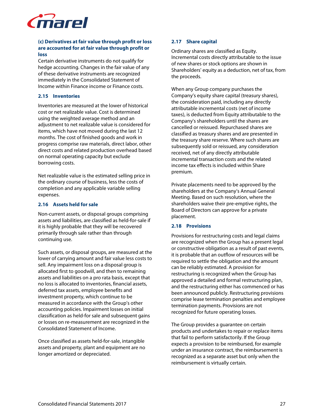

# **(c) Derivatives at fair value through profit or loss are accounted for at fair value through profit or loss**

Certain derivative instruments do not qualify for hedge accounting. Changes in the fair value of any of these derivative instruments are recognized immediately in the Consolidated Statement of Income within Finance income or Finance costs.

# **2.15 Inventories**

Inventories are measured at the lower of historical cost or net realizable value. Cost is determined using the weighted average method and an adjustment to net realizable value is considered for items, which have not moved during the last 12 months. The cost of finished goods and work in progress comprise raw materials, direct labor, other direct costs and related production overhead based on normal operating capacity but exclude borrowing costs.

Net realizable value is the estimated selling price in the ordinary course of business, less the costs of completion and any applicable variable selling expenses.

# **2.16 Assets held for sale**

Non-current assets, or disposal groups comprising assets and liabilities, are classified as held-for-sale if it is highly probable that they will be recovered primarily through sale rather than through continuing use.

Such assets, or disposal groups, are measured at the lower of carrying amount and fair value less costs to sell. Any impairment loss on a disposal group is allocated first to goodwill, and then to remaining assets and liabilities on a pro rata basis, except that no loss is allocated to inventories, financial assets, deferred tax assets, employee benefits and investment property, which continue to be measured in accordance with the Group's other accounting policies. Impairment losses on initial classification as held-for sale and subsequent gains or losses on re-measurement are recognized in the Consolidated Statement of Income.

Once classified as assets held-for-sale, intangible assets and property, plant and equipment are no longer amortized or depreciated.

# **2.17 Share capital**

Ordinary shares are classified as Equity. Incremental costs directly attributable to the issue of new shares or stock options are shown in Shareholders' equity as a deduction, net of tax, from the proceeds.

When any Group company purchases the Company's equity share capital (treasury shares), the consideration paid, including any directly attributable incremental costs (net of income taxes), is deducted from Equity attributable to the Company's shareholders until the shares are cancelled or reissued. Repurchased shares are classified as treasury shares and are presented in the treasury share reserve. Where such shares are subsequently sold or reissued, any consideration received, net of any directly attributable incremental transaction costs and the related income tax effects is included within Share premium.

Private placements need to be approved by the shareholders at the Company's Annual General Meeting. Based on such resolution, where the shareholders waive their pre-emptive rights, the Board of Directors can approve for a private placement.

# **2.18 Provisions**

Provisions for restructuring costs and legal claims are recognized when the Group has a present legal or constructive obligation as a result of past events, it is probable that an outflow of resources will be required to settle the obligation and the amount can be reliably estimated. A provision for restructuring is recognized when the Group has approved a detailed and formal restructuring plan, and the restructuring either has commenced or has been announced publicly. Restructuring provisions comprise lease termination penalties and employee termination payments. Provisions are not recognized for future operating losses.

The Group provides a guarantee on certain products and undertakes to repair or replace items that fail to perform satisfactorily. If the Group expects a provision to be reimbursed, for example under an insurance contract, the reimbursement is recognized as a separate asset but only when the reimbursement is virtually certain.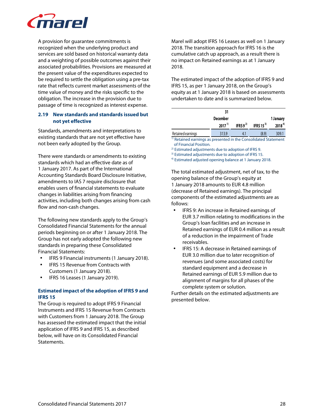

A provision for guarantee commitments is recognized when the underlying product and services are sold based on historical warranty data and a weighting of possible outcomes against their associated probabilities. Provisions are measured at the present value of the expenditures expected to be required to settle the obligation using a pre-tax rate that reflects current market assessments of the time value of money and the risks specific to the obligation. The increase in the provision due to passage of time is recognized as interest expense.

# **2.19 New standards and standards issued but not yet effective**

Standards, amendments and interpretations to existing standards that are not yet effective have not been early adopted by the Group.

There were standards or amendments to existing standards which had an effective date as of 1 January 2017. As part of the International Accounting Standards Board Disclosure Initiative, amendments to IAS 7 require disclosure that enables users of financial statements to evaluate changes in liabilities arising from financing activities, including both changes arising from cash flow and non-cash changes.

The following new standards apply to the Group's Consolidated Financial Statements for the annual periods beginning on or after 1 January 2018. The Group has not early adopted the following new standards in preparing these Consolidated Financial Statements:

- IFRS 9 Financial instruments (1 January 2018).
- IFRS 15 Revenue from Contracts with Customers (1 January 2018).
- IFRS 16 Leases (1 January 2019).

# **Estimated impact of the adoption of IFRS 9 and IFRS 15**

The Group is required to adopt IFRS 9 Financial Instruments and IFRS 15 Revenue from Contracts with Customers from 1 January 2018. The Group has assessed the estimated impact that the initial application of IFRS 9 and IFRS 15, as described below, will have on its Consolidated Financial Statements.

Marel will adopt IFRS 16 Leases as well on 1 January 2018. The transition approach for IFRS 16 is the cumulative catch up approach, as a result there is no impact on Retained earnings as at 1 January 2018.

The estimated impact of the adoption of IFRS 9 and IFRS 15, as per 1 January 2018, on the Group's equity as at 1 January 2018 is based on assessments undertaken to date and is summarized below.

|                                                                            | 31<br><b>December</b><br>$2017^{11}$ | IFRS $9^{2}$ | IFRS 15 $3$ | 1 January<br>$2018^{4}$ |
|----------------------------------------------------------------------------|--------------------------------------|--------------|-------------|-------------------------|
| Retained earnings                                                          | 313.9                                | 4.1          | (8.9)       | 309.1                   |
| <sup>1)</sup> Retained earnings as presented in the Consolidated Statement |                                      |              |             |                         |

of Financial Position.

2) Estimated adjustments due to adoption of IFRS 9.

<sup>3)</sup> Estimated adjustments due to adoption of IFRS 15.

4) Estimated adjusted opening balance at 1 January 2018.

The total estimated adjustment, net of tax, to the opening balance of the Group's equity at 1 January 2018 amounts to EUR 4.8 million (decrease of Retained earnings). The principal components of the estimated adjustments are as follows:

- IFRS 9: An increase in Retained earnings of EUR 3.7 million relating to modifications in the Group's loan facilities and an increase in Retained earnings of EUR 0.4 million as a result of a reduction in the impairment of Trade receivables.
- IFRS 15: A decrease in Retained earnings of EUR 3.0 million due to later recognition of revenues (and some associated costs) for standard equipment and a decrease in Retained earnings of EUR 5.9 million due to alignment of margins for all phases of the complete system or solution.

Further details on the estimated adjustments are presented below.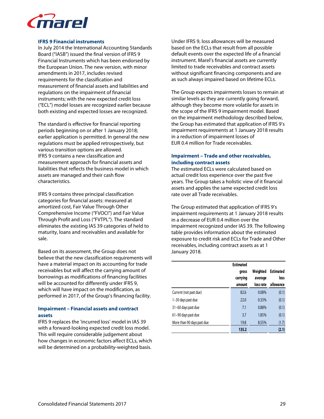

#### **IFRS 9 Financial instruments**

In July 2014 the International Accounting Standards Board ("IASB") issued the final version of IFRS 9 Financial Instruments which has been endorsed by the European Union. The new version, with minor amendments in 2017, includes revised requirements for the classification and measurement of financial assets and liabilities and regulations on the impairment of financial instruments; with the new expected credit loss ("ECL") model losses are recognized earlier because both existing and expected losses are recognized.

The standard is effective for financial reporting periods beginning on or after 1 January 2018; earlier application is permitted. In general the new regulations must be applied retrospectively, but various transition options are allowed. IFRS 9 contains a new classification and measurement approach for financial assets and liabilities that reflects the business model in which assets are managed and their cash flow characteristics.

IFRS 9 contains three principal classification categories for financial assets: measured at amortized cost, Fair Value Through Other Comprehensive Income ("FVOCI") and Fair Value Through Profit and Loss ("FVTPL"). The standard eliminates the existing IAS 39 categories of held to maturity, loans and receivables and available for sale.

Based on its assessment, the Group does not believe that the new classification requirements will have a material impact on its accounting for trade receivables but will affect the carrying amount of borrowings as modifications of financing facilities will be accounted for differently under IFRS 9, which will have impact on the modification, as performed in 2017, of the Group's financing facility.

# **Impairment – Financial assets and contract assets**

IFRS 9 replaces the 'incurred loss' model in IAS 39 with a forward-looking expected credit loss model. This will require considerable judgement about how changes in economic factors affect ECLs, which will be determined on a probability-weighted basis.

Under IFRS 9, loss allowances will be measured based on the ECLs that result from all possible default events over the expected life of a financial instrument. Marel's financial assets are currently limited to trade receivables and contract assets without significant financing components and are as such always impaired based on lifetime ECLs.

The Group expects impairments losses to remain at similar levels as they are currently going forward, although they become more volatile for assets in the scope of the IFRS 9 impairment model. Based on the impairment methodology described below, the Group has estimated that application of IFRS 9's impairment requirements at 1 January 2018 results in a reduction of impairment losses of EUR 0.4 million for Trade receivables.

# **Impairment – Trade and other receivables, including contract assets**

The estimated ECLs were calculated based on actual credit loss experience over the past five years. The Group takes a holistic view of it financial assets and applies the same expected credit loss rate over all Trade receivables.

The Group estimated that application of IFRS 9's impairment requirements at 1 January 2018 results in a decrease of EUR 0.4 million over the impairment recognized under IAS 39. The following table provides information about the estimated exposure to credit risk and ECLs for Trade and Other receivables, including contract assets as at 1 January 2018.

|                            | <b>Estimated</b><br>gross<br>carrying<br>amount | Weighted<br>average<br>loss rate | <b>Estimated</b><br>loss<br>allowance |
|----------------------------|-------------------------------------------------|----------------------------------|---------------------------------------|
| Current (not past due)     | 82.6                                            | 0.08%                            | (0.1)                                 |
| 1-30 days past due         | 72.0                                            | 0.33%                            | (0.1)                                 |
| 31-60 days past due        | 7.1                                             | 0.88%                            | (0.1)                                 |
| 61-90 days past due        | 3.7                                             | 1.85%                            | (0.1)                                 |
| More than 90 days past due | 19.8                                            | 8.55%                            | (1.7)                                 |
|                            | 135.2                                           |                                  | (2.1)                                 |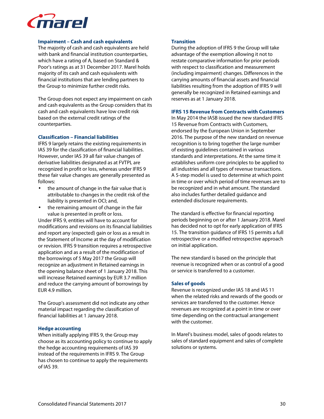

#### **Impairment – Cash and cash equivalents**

The majority of cash and cash equivalents are held with bank and financial institution counterparties, which have a rating of A, based on Standard & Poor's ratings as at 31 December 2017. Marel holds majority of its cash and cash equivalents with financial institutions that are lending partners to the Group to minimize further credit risks.

The Group does not expect any impairment on cash and cash equivalents as the Group considers that its cash and cash equivalents have low credit risk based on the external credit ratings of the counterparties.

#### **Classification – Financial liabilities**

IFRS 9 largely retains the existing requirements in IAS 39 for the classification of financial liabilities. However, under IAS 39 all fair value changes of derivative liabilities designated as at FVTPL are recognized in profit or loss, whereas under IFRS 9 these fair value changes are generally presented as follows:

- the amount of change in the fair value that is attributable to changes in the credit risk of the liability is presented in OCI; and,
- the remaining amount of change in the fair value is presented in profit or loss.

Under IFRS 9, entities will have to account for modifications and revisions on its financial liabilities and report any (expected) gain or loss as a result in the Statement of Income at the day of modification or revision. IFRS 9 transition requires a retrospective application and as a result of the modification of the borrowings of 5 May 2017 the Group will recognize an adjustment in Retained earnings in the opening balance sheet of 1 January 2018. This will increase Retained earnings by EUR 3.7 million and reduce the carrying amount of borrowings by EUR 4.9 million.

The Group's assessment did not indicate any other material impact regarding the classification of financial liabilities at 1 January 2018.

#### **Hedge accounting**

When initially applying IFRS 9, the Group may choose as its accounting policy to continue to apply the hedge accounting requirements of IAS 39 instead of the requirements in IFRS 9. The Group has chosen to continue to apply the requirements of IAS 39.

#### **Transition**

During the adoption of IFRS 9 the Group will take advantage of the exemption allowing it not to restate comparative information for prior periods with respect to classification and measurement (including impairment) changes. Differences in the carrying amounts of financial assets and financial liabilities resulting from the adoption of IFRS 9 will generally be recognized in Retained earnings and reserves as at 1 January 2018.

#### **IFRS 15 Revenue from Contracts with Customers**

In May 2014 the IASB issued the new standard IFRS 15 Revenue from Contracts with Customers, endorsed by the European Union in September 2016. The purpose of the new standard on revenue recognition is to bring together the large number of existing guidelines contained in various standards and interpretations. At the same time it establishes uniform core principles to be applied to all industries and all types of revenue transactions. A 5-step model is used to determine at which point in time or over which period of time revenues are to be recognized and in what amount. The standard also includes further detailed guidance and extended disclosure requirements.

The standard is effective for financial reporting periods beginning on or after 1 January 2018. Marel has decided not to opt for early application of IFRS 15. The transition guidance of IFRS 15 permits a full retrospective or a modified retrospective approach on initial application.

The new standard is based on the principle that revenue is recognized when or as control of a good or service is transferred to a customer.

#### **Sales of goods**

Revenue is recognized under IAS 18 and IAS 11 when the related risks and rewards of the goods or services are transferred to the customer. Hence revenues are recognized at a point in time or over time depending on the contractual arrangement with the customer.

In Marel's business model, sales of goods relates to sales of standard equipment and sales of complete solutions or systems.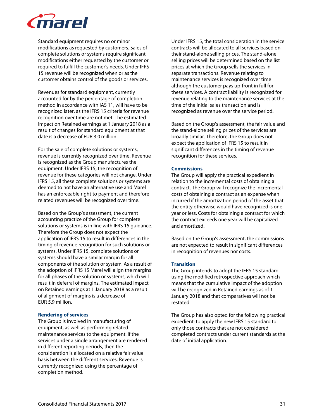

Standard equipment requires no or minor modifications as requested by customers. Sales of complete solutions or systems require significant modifications either requested by the customer or required to fulfill the customer's needs. Under IFRS 15 revenue will be recognized when or as the customer obtains control of the goods or services.

Revenues for standard equipment, currently accounted for by the percentage of completion method in accordance with IAS 11, will have to be recognized later, as the IFRS 15 criteria for revenue recognition over time are not met. The estimated impact on Retained earnings at 1 January 2018 as a result of changes for standard equipment at that date is a decrease of EUR 3.0 million.

For the sale of complete solutions or systems, revenue is currently recognized over time. Revenue is recognized as the Group manufactures the equipment. Under IFRS 15, the recognition of revenue for these categories will not change. Under IFRS 15, all these complete solutions or systems are deemed to not have an alternative use and Marel has an enforceable right to payment and therefore related revenues will be recognized over time.

Based on the Group's assessment, the current accounting practice of the Group for complete solutions or systems is in line with IFRS 15 guidance. Therefore the Group does not expect the application of IFRS 15 to result in differences in the timing of revenue recognition for such solutions or systems. Under IFRS 15, complete solutions or systems should have a similar margin for all components of the solution or system. As a result of the adoption of IFRS 15 Marel will align the margins for all phases of the solution or systems, which will result in deferral of margins. The estimated impact on Retained earnings at 1 January 2018 as a result of alignment of margins is a decrease of EUR 5.9 million.

#### **Rendering of services**

The Group is involved in manufacturing of equipment, as well as performing related maintenance services to the equipment. If the services under a single arrangement are rendered in different reporting periods, then the consideration is allocated on a relative fair value basis between the different services. Revenue is currently recognized using the percentage of completion method.

Under IFRS 15, the total consideration in the service contracts will be allocated to all services based on their stand-alone selling prices. The stand-alone selling prices will be determined based on the list prices at which the Group sells the services in separate transactions. Revenue relating to maintenance services is recognized over time although the customer pays up-front in full for these services. A contract liability is recognized for revenue relating to the maintenance services at the time of the initial sales transaction and is recognized as revenue over the service period.

Based on the Group's assessment, the fair value and the stand-alone selling prices of the services are broadly similar. Therefore, the Group does not expect the application of IFRS 15 to result in significant differences in the timing of revenue recognition for these services.

# **Commissions**

The Group will apply the practical expedient in relation to the incremental costs of obtaining a contract. The Group will recognize the incremental costs of obtaining a contract as an expense when incurred if the amortization period of the asset that the entity otherwise would have recognized is one year or less. Costs for obtaining a contract for which the contract exceeds one year will be capitalized and amortized.

Based on the Group's assessment, the commissions are not expected to result in significant differences in recognition of revenues nor costs.

# **Transition**

The Group intends to adopt the IFRS 15 standard using the modified retrospective approach which means that the cumulative impact of the adoption will be recognized in Retained earnings as of 1 January 2018 and that comparatives will not be restated.

The Group has also opted for the following practical expedient: to apply the new IFRS 15 standard to only those contracts that are not considered completed contracts under current standards at the date of initial application.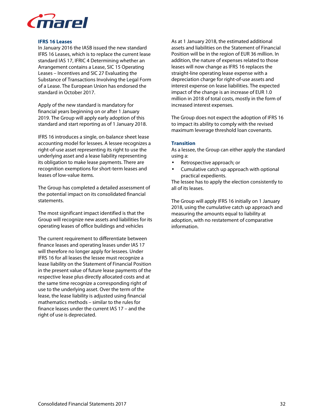

#### **IFRS 16 Leases**

In January 2016 the IASB issued the new standard IFRS 16 Leases, which is to replace the current lease standard IAS 17, IFRIC 4 Determining whether an Arrangement contains a Lease, SIC 15 Operating Leases – Incentives and SIC 27 Evaluating the Substance of Transactions Involving the Legal Form of a Lease. The European Union has endorsed the standard in October 2017.

Apply of the new standard is mandatory for financial years beginning on or after 1 January 2019. The Group will apply early adoption of this standard and start reporting as of 1 January 2018.

IFRS 16 introduces a single, on-balance sheet lease accounting model for lessees. A lessee recognizes a right-of-use asset representing its right to use the underlying asset and a lease liability representing its obligation to make lease payments. There are recognition exemptions for short-term leases and leases of low-value items.

The Group has completed a detailed assessment of the potential impact on its consolidated financial statements.

The most significant impact identified is that the Group will recognize new assets and liabilities for its operating leases of office buildings and vehicles

The current requirement to differentiate between finance leases and operating leases under IAS 17 will therefore no longer apply for lessees. Under IFRS 16 for all leases the lessee must recognize a lease liability on the Statement of Financial Position in the present value of future lease payments of the respective lease plus directly allocated costs and at the same time recognize a corresponding right of use to the underlying asset. Over the term of the lease, the lease liability is adjusted using financial mathematics methods – similar to the rules for finance leases under the current IAS 17 – and the right of use is depreciated.

As at 1 January 2018, the estimated additional assets and liabilities on the Statement of Financial Position will be in the region of EUR 36 million. In addition, the nature of expenses related to those leases will now change as IFRS 16 replaces the straight-line operating lease expense with a depreciation charge for right-of-use assets and interest expense on lease liabilities. The expected impact of the change is an increase of EUR 1.0 million in 2018 of total costs, mostly in the form of increased interest expenses.

The Group does not expect the adoption of IFRS 16 to impact its ability to comply with the revised maximum leverage threshold loan covenants.

#### **Transition**

As a lessee, the Group can either apply the standard using a:

- Retrospective approach; or
- Cumulative catch up approach with optional practical expedients.

The lessee has to apply the election consistently to all of its leases.

The Group will apply IFRS 16 initially on 1 January 2018, using the cumulative catch up approach and measuring the amounts equal to liability at adoption, with no restatement of comparative information.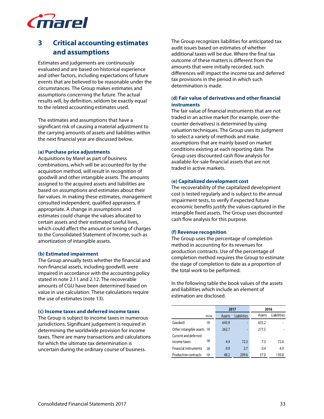

# **3 Critical accounting estimates and assumptions**

Estimates and judgements are continuously evaluated and are based on historical experience and other factors, including expectations of future events that are believed to be reasonable under the circumstances. The Group makes estimates and assumptions concerning the future. The actual results will, by definition, seldom be exactly equal to the related accounting estimates used.

The estimates and assumptions that have a significant risk of causing a material adjustment to the carrying amounts of assets and liabilities within the next financial year are discussed below.

#### **(a) Purchase price adjustments**

Acquisitions by Marel as part of business combinations, which will be accounted for by the acquisition method, will result in recognition of goodwill and other intangible assets. The amounts assigned to the acquired assets and liabilities are based on assumptions and estimates about their fair values. In making these estimates, management consulted independent, qualified appraisers, if appropriate. A change in assumptions and estimates could change the values allocated to certain assets and their estimated useful lives, which could affect the amount or timing of charges to the Consolidated Statement of Income, such as amortization of intangible assets.

#### **(b) Estimated impairment**

The Group annually tests whether the financial and non-financial assets, including goodwill, were impaired in accordance with the accounting policy stated in note 2.11 and 2.12. The recoverable amounts of CGU have been determined based on value in use calculation. These calculations require the use of estimates (note 13).

#### **(c) Income taxes and deferred income taxes**

The Group is subject to income taxes in numerous jurisdictions. Significant judgement is required in determining the worldwide provision for income taxes. There are many transactions and calculations for which the ultimate tax determination is uncertain during the ordinary course of business.

The Group recognizes liabilities for anticipated tax audit issues based on estimates of whether additional taxes will be due. Where the final tax outcome of these matters is different from the amounts that were initially recorded, such differences will impact the income tax and deferred tax provisions in the period in which such determination is made.

### **(d) Fair value of derivatives and other financial instruments**

The fair value of financial instruments that are not traded in an active market (for example, over-thecounter derivatives) is determined by using valuation techniques. The Group uses its judgment to select a variety of methods and make assumptions that are mainly based on market conditions existing at each reporting date. The Group uses discounted cash flow analysis for available-for-sale financial assets that are not traded in active markets.

#### **(e) Capitalized development cost**

The recoverability of the capitalized development cost is tested regularly and is subject to the annual impairment tests, to verify if expected future economic benefits justify the values captured in the intangible fixed assets. The Group uses discounted cash flow analysis for this purpose.

#### **(f) Revenue recognition**

The Group uses the percentage of completion method in accounting for its revenues for production contracts. Use of the percentage of completion method requires the Group to estimate the stage of completion to date as a proportion of the total work to be performed.

In the following table the book values of the assets and liabilities which include an element of estimation are disclosed.

|                                    |        | 2017               |        | 2016        |
|------------------------------------|--------|--------------------|--------|-------------|
| <b>Notes</b>                       | Assets | <b>Liabilities</b> | Assets | Liabilities |
| Goodwill<br>13                     | 643.9  |                    | 635.2  |             |
| Other intangible assets 13         | 262.7  |                    | 277.5  |             |
| Current and deferred               |        |                    |        |             |
| 15<br>income taxes                 | 4.4    | 723                | 73     | 72.6        |
| <b>Financial instruments</b><br>22 | 0.9    | 2.7                | 0.4    | 4.9         |
| <b>Production contracts</b><br>17  | 48.2   | 209.6              | 37.0   | 150.8       |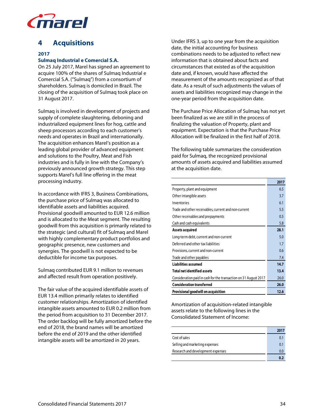

# **4 Acquisitions**

# **2017**

# **Sulmaq Industrial e Comercial S.A.**

On 25 July 2017, Marel has signed an agreement to acquire 100% of the shares of Sulmaq Industrial e Comercial S.A. ("Sulmaq") from a consortium of shareholders. Sulmaq is domiciled in Brazil. The closing of the acquisition of Sulmaq took place on 31 August 2017.

Sulmaq is involved in development of projects and supply of complete slaughtering, deboning and industrialized equipment lines for hog, cattle and sheep processors according to each customer's needs and operates in Brazil and internationally. The acquisition enhances Marel's position as a leading global provider of advanced equipment and solutions to the Poultry, Meat and Fish industries and is fully in line with the Company's previously announced growth strategy. This step supports Marel's full line offering in the meat processing industry.

In accordance with IFRS 3, Business Combinations, the purchase price of Sulmaq was allocated to identifiable assets and liabilities acquired. Provisional goodwill amounted to EUR 12.6 million and is allocated to the Meat segment. The resulting goodwill from this acquisition is primarily related to the strategic (and cultural) fit of Sulmaq and Marel with highly complementary product portfolios and geographic presence, new customers and synergies. The goodwill is not expected to be deductible for income tax purposes.

Sulmaq contributed EUR 9.1 million to revenues and affected result from operation positively.

The fair value of the acquired identifiable assets of EUR 13.4 million primarily relates to identified customer relationships. Amortization of identified intangible assets amounted to EUR 0.2 million from the period from acquisition to 31 December 2017. The order backlog will be fully amortized before the end of 2018, the brand names will be amortized before the end of 2019 and the other identified intangible assets will be amortized in 20 years.

Under IFRS 3, up to one year from the acquisition date, the initial accounting for business combinations needs to be adjusted to reflect new information that is obtained about facts and circumstances that existed as of the acquisition date and, if known, would have affected the measurement of the amounts recognized as of that date. As a result of such adjustments the values of assets and liabilities recognized may change in the one-year period from the acquisition date.

The Purchase Price Allocation of Sulmaq has not yet been finalized as we are still in the process of finalizing the valuation of Property, plant and equipment. Expectation is that the Purchase Price Allocation will be finalized in the first half of 2018.

The following table summarizes the consideration paid for Sulmaq, the recognized provisional amounts of assets acquired and liabilities assumed at the acquisition date.

|                                                                  | 2017 |
|------------------------------------------------------------------|------|
| Property, plant and equipment                                    | 6.5  |
| Other intangible assets                                          | 3.7  |
| Inventories                                                      | 6.1  |
| Trade and other receivables, current and non-current             | 5.5  |
| Other receivables and prepayments                                | 0.5  |
| Cash and cash equivalents                                        | 5.8  |
| Assets acquired                                                  | 28.1 |
| Long-term debt, current and non-current                          | 5.0  |
| Deferred and other tax liabilities                               | 1.7  |
| Provisions, current and non-current                              | 0.6  |
| Trade and other payables                                         | 7.4  |
| <b>Liabilities assumed</b>                                       | 14.7 |
| <b>Total net identified assets</b>                               | 13.4 |
| Consideration paid in cash for the transaction on 31 August 2017 | 26.0 |
| <b>Consideration transferred</b>                                 | 26.0 |
| Provisional good will on acquisition                             | 12.6 |

Amortization of acquisition-related intangible assets relate to the following lines in the Consolidated Statement of Income:

|                                   | 2017 |
|-----------------------------------|------|
| Cost of sales                     | 0.1  |
| Selling and marketing expenses    | 0.1  |
| Research and development expenses | 0.0  |
|                                   | 0.7  |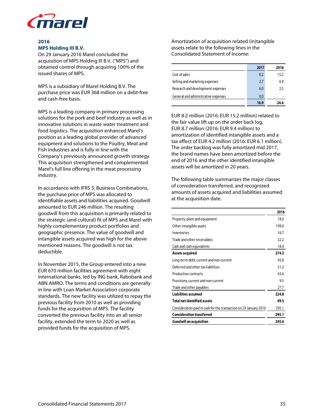

# **2016 MPS Holding III B.V.**

On 29 January 2016 Marel concluded the acquisition of MPS Holding III B.V. ("MPS") and obtained control through acquiring 100% of the issued shares of MPS.

MPS is a subsidiary of Marel Holding B.V. The purchase price was EUR 368 million on a debt-free and cash-free basis.

MPS is a leading company in primary processing solutions for the pork and beef industry as well as in innovative solutions in waste water treatment and food logistics. The acquisition enhanced Marel's position as a leading global provider of advanced equipment and solutions to the Poultry, Meat and Fish industries and is fully in line with the Company's previously announced growth strategy. This acquisition strengthened and complemented Marel's full line offering in the meat processing industry.

In accordance with IFRS 3, Business Combinations, the purchase price of MPS was allocated to identifiable assets and liabilities acquired. Goodwill amounted to EUR 246 million. The resulting goodwill from this acquisition is primarily related to the strategic (and cultural) fit of MPS and Marel with highly complementary product portfolios and geographic presence. The value of goodwill and intangible assets acquired was high for the above mentioned reasons. The goodwill is not tax deductible.

In November 2015, the Group entered into a new EUR 670 million facilities agreement with eight international banks, led by ING bank, Rabobank and ABN AMRO. The terms and conditions are generally in line with Loan Market Association corporate standards. The new facility was utilized to repay the previous facility from 2010 as well as providing funds for the acquisition of MPS. The facility converted the previous facility into an all senior facility, extended the term to 2020 as well as provided funds for the acquisition of MPS.

Amortization of acquisition related (in)tangible assets relate to the following lines in the Consolidated Statement of Income:

|                                     | 2017 | 2016 |
|-------------------------------------|------|------|
| Cost of sales                       | 8.2  | 15.2 |
| Selling and marketing expenses      | 2.7  | 6.9  |
| Research and development expenses   | 6.0  | 2.5  |
| General and administrative expenses | 0.0  |      |
|                                     | 16.9 | 24.6 |

EUR 8.2 million (2016: EUR 15.2 million) related to the fair value lift up on the order back log, EUR 8.7 million (2016: EUR 9.4 million) to amortization of identified intangible assets and a tax effect of EUR 4.2 million (2016: EUR 6.1 million). The order backlog was fully amortized mid 2017, the brand names have been amortized before the end of 2016 and the other identified intangible assets will be amortized in 20 years.

The following table summarizes the major classes of consideration transferred, and recognized amounts of assets acquired and liabilities assumed at the acquisition date.

|                                                                   | 2016  |
|-------------------------------------------------------------------|-------|
| Property, plant and equipment                                     | 18.0  |
| Other intangible assets                                           | 199.0 |
| Inventories                                                       | 16.7  |
| Trade and other receivables                                       | 22.2  |
| Cash and cash equivalents                                         | 18.4  |
| Assets acquired                                                   | 274.3 |
| Long-term debt, current and non-current                           | 92.8  |
| Deferred and other tax liabilities                                | 51.2  |
| Production contracts                                              | 43.6  |
| Provisions, current and non-current                               | 9.5   |
| Trade and other payables                                          | 27.7  |
| <b>Liabilities assumed</b>                                        | 224.8 |
| <b>Total net identified assets</b>                                | 49.5  |
| Consideration paid in cash for the transaction on 29 January 2016 | 295.1 |
| <b>Consideration transferred</b>                                  | 295.1 |
| <b>Goodwill on acquisition</b>                                    | 245.6 |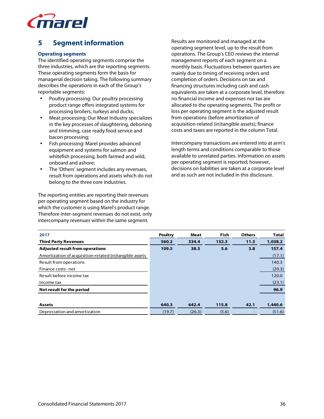

# **5 Segment information**

# **Operating segments**

The identified operating segments comprise the three industries, which are the reporting segments. These operating segments form the basis for managerial decision taking. The following summary describes the operations in each of the Group's reportable segments:

- Poultry processing: Our poultry processing product range offers integrated systems for processing broilers, turkeys and ducks;
- Meat processing: Our Meat Industry specializes in the key processes of slaughtering, deboning and trimming, case ready food service and bacon processing;
- Fish processing: Marel provides advanced equipment and systems for salmon and whitefish processing, both farmed and wild, onboard and ashore;
- The 'Others' segment includes any revenues, result from operations and assets which do not belong to the three core industries.

The reporting entities are reporting their revenues per operating segment based on the industry for which the customer is using Marel's product range. Therefore inter-segment revenues do not exist, only intercompany revenues within the same segment.

Results are monitored and managed at the operating segment level, up to the result from operations. The Group's CEO reviews the internal management reports of each segment on a monthly basis. Fluctuations between quarters are mainly due to timing of receiving orders and completion of orders. Decisions on tax and financing structures including cash and cash equivalents are taken at a corporate level, therefore no financial income and expenses nor tax are allocated to the operating segments. The profit or loss per operating segment is the adjusted result from operations (before amortization of acquisition-related (in)tangible assets); finance costs and taxes are reported in the column Total.

Intercompany transactions are entered into at arm's length terms and conditions comparable to those available to unrelated parties. Information on assets per operating segment is reported; however, decisions on liabilities are taken at a corporate level and as such are not included in this disclosure.

| 2017                                                    | <b>Poultry</b> | <b>Meat</b> | <b>Fish</b> | <b>Others</b> | <b>Total</b> |
|---------------------------------------------------------|----------------|-------------|-------------|---------------|--------------|
| <b>Third Party Revenues</b>                             | 560.2          | 334.4       | 132.3       | 11.3          | 1,038.2      |
| <b>Adjusted result from operations</b>                  | 109.5          | 38.5        | 5.6         | 3.8           | 157.4        |
| Amortization of acquisition-related (in)tangible assets |                |             |             |               | (17.1)       |
| Result from operations                                  |                |             |             |               | 140.3        |
| Finance costs - net                                     |                |             |             |               | (20.3)       |
| Result before income tax                                |                |             |             |               | 120.0        |
| Income tax                                              |                |             |             |               | (23.1)       |
| Net result for the period                               |                |             |             |               | 96.9         |
|                                                         |                |             |             |               |              |
| <b>Assets</b>                                           | 640.3          | 642.4       | 115.8       | 42.1          | 1,440.6      |
| Depreciation and amortization                           | (19.7)         | (26.3)      | (5.6)       |               | (51.6)       |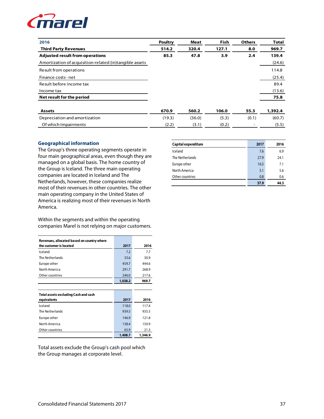

| 2016                                                    | <b>Poultry</b> | Meat   | <b>Fish</b> | <b>Others</b> | <b>Total</b> |
|---------------------------------------------------------|----------------|--------|-------------|---------------|--------------|
| <b>Third Party Revenues</b>                             | 514.2          | 320.4  | 127.1       | 8.0           | 969.7        |
| <b>Adjusted result from operations</b>                  | 85.3           | 47.8   | 3.9         | 2.4           | 139.4        |
| Amortization of acquisition-related (in)tangible assets |                |        |             |               | (24.6)       |
| Result from operations                                  |                |        |             |               | 114.8        |
| Finance costs - net                                     |                |        |             |               | (25.4)       |
| Result before income tax                                |                |        |             |               | 89.4         |
| Income tax                                              |                |        |             |               | (13.6)       |
| Net result for the period                               |                |        |             |               | 75.8         |
| <b>Assets</b>                                           | 670.9          | 560.2  | 106.0       | 55.3          | 1,392.4      |
| Depreciation and amortization                           | (19.3)         | (36.0) | (5.3)       | (0.1)         | (60.7)       |
| Of which Impairments                                    | (2.2)          | (3.1)  | (0.2)       |               | (5.5)        |

### **Geographical information**

The Group's three operating segments operate in four main geographical areas, even though they are managed on a global basis. The home country of the Group is Iceland. The three main operating companies are located in Iceland and The Netherlands, however, these companies realize most of their revenues in other countries. The other main operating company in the United States of America is realizing most of their revenues in North America.

Within the segments and within the operating companies Marel is not relying on major customers.

| Revenues, allocated based on country where |         |       |
|--------------------------------------------|---------|-------|
| the customer is located                    | 2017    | 2016  |
| Iceland                                    | 7.2     | 7.7   |
| The Netherlands                            | 33.6    | 30.9  |
| Europe other                               | 459.7   | 444.6 |
| North America                              | 291.7   | 268.9 |
| Other countries                            | 246.0   | 217.6 |
|                                            | 1,038.2 | 969.7 |
|                                            |         |       |
| Total assets excluding Cash and cash       |         |       |
| equivalents                                | 2017    | 2016  |
| Iceland                                    | 118.0   | 117.4 |
| The Netherlands                            | 939.5   | 935.5 |
| Europe other                               | 146.9   | 121.8 |
| North America                              | 138.4   | 150.9 |
|                                            |         |       |
| Other countries                            | 65.9    | 21.3  |

Total assets exclude the Group's cash pool which the Group manages at corporate level.

| Capital expenditure | 2017 | 2016 |
|---------------------|------|------|
| Iceland             | 7.6  | 6.9  |
| The Netherlands     | 27.9 | 24.1 |
| Europe other        | 16.5 | 7.1  |
| North America       | 5.1  | 5.6  |
| Other countries     | 0.8  | 0.6  |
|                     | 57.9 | 44.3 |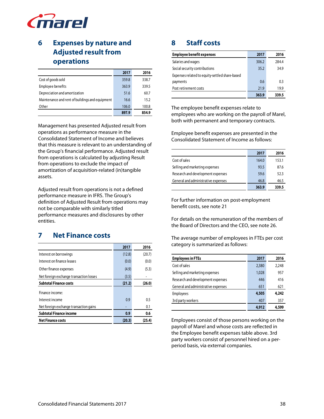

# **6 Expenses by nature and Adjusted result from operations**

|                                                 | 2017  | 2016  |
|-------------------------------------------------|-------|-------|
| Cost of goods sold                              | 359.8 | 338.7 |
| Employee benefits                               | 363.9 | 339.5 |
| Depreciation and amortization                   | 51.6  | 60.7  |
| Maintenance and rent of buildings and equipment | 16.6  | 15.2  |
| Other                                           | 106.0 | 100.8 |
|                                                 | 897.9 | 854.9 |

Management has presented Adjusted result from operations as performance measure in the Consolidated Statement of Income and believes that this measure is relevant to an understanding of the Group's financial performance. Adjusted result from operations is calculated by adjusting Result from operations to exclude the impact of amortization of acquisition-related (in)tangible assets.

Adjusted result from operations is not a defined performance measure in IFRS. The Group's definition of Adjusted Result from operations may not be comparable with similarly titled performance measures and disclosures by other entities.

# **7 Net Finance costs**

|                                         | 2017   | 2016   |
|-----------------------------------------|--------|--------|
| Interest on borrowings                  | (12.8) | (20.7) |
| Interest on finance leases              | (0.0)  | (0.0)  |
| Other finance expenses                  | (4.9)  | (5.3)  |
| Net foreign exchange transaction losses | (3.5)  |        |
| <b>Subtotal Finance costs</b>           | (21.2) | (26.0) |
| Finance income:                         |        |        |
| Interest income                         | 0.9    | 0.5    |
| Net foreign exchange transaction gains  |        | 0.1    |
| <b>Subtotal Finance income</b>          | 0.9    | 0.6    |
| <b>Net Finance costs</b>                | (20.3) | (25.4) |

# **8 Staff costs**

| <b>Employee benefit expenses</b>               | 2017  | 2016  |
|------------------------------------------------|-------|-------|
| Salaries and wages                             | 306.2 | 284.4 |
| Social security contributions                  | 35.2  | 34.9  |
| Expenses related to equity-settled share-based |       |       |
| payments                                       | 0.6   | 0.3   |
| Post retirement costs                          | 21.9  | 19.9  |
|                                                | 363.9 | 339.5 |

The employee benefit expenses relate to employees who are working on the payroll of Marel, both with permanent and temporary contracts.

Employee benefit expenses are presented in the Consolidated Statement of Income as follows:

|                                     | 2017  | 2016  |
|-------------------------------------|-------|-------|
| Cost of sales                       | 164.0 | 153.1 |
| Selling and marketing expenses      | 93.5  | 87.6  |
| Research and development expenses   | 59.6  | 52.3  |
| General and administrative expenses | 46.8  | 46.5  |
|                                     | 363.9 | 339.5 |

For further information on post-employment benefit costs, see note 21

For details on the remuneration of the members of the Board of Directors and the CEO, see note 26.

The average number of employees in FTEs per cost category is summarized as follows:

| <b>Employees in FTEs</b>            | 2017  | 2016  |
|-------------------------------------|-------|-------|
| Cost of sales                       | 2,380 | 2,248 |
| Selling and marketing expenses      | 1,028 | 957   |
| Research and development expenses   | 446   | 416   |
| General and administrative expenses | 651   | 621   |
| Employees                           | 4,505 | 4,242 |
| 3rd party workers                   | 407   | 357   |
|                                     | 4,912 | 4,599 |

Employees consist of those persons working on the payroll of Marel and whose costs are reflected in the Employee benefit expenses table above. 3rd party workers consist of personnel hired on a perperiod basis, via external companies.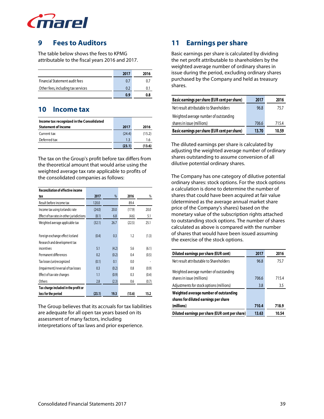

# **9 Fees to Auditors**

The table below shows the fees to KPMG attributable to the fiscal years 2016 and 2017.

|                                    | 2017 | 2016 |
|------------------------------------|------|------|
| Financial Statement audit fees     | 0.7  | 07   |
| Other fees, including tax services | 0.2  | 0.1  |
|                                    | 0.9  | 0.8  |

# **10 Income tax**

| Income tax recognized in the Consolidated |        |        |
|-------------------------------------------|--------|--------|
| <b>Statement of Income</b>                | 2017   | 2016   |
| Current tax                               | (24.4) | (15.2) |
| Deferred tax                              | 1.3    | 1.6    |
|                                           | (23.1) | (13.6) |

The tax on the Group's profit before tax differs from the theoretical amount that would arise using the weighted average tax rate applicable to profits of the consolidated companies as follows:

| <b>Reconciliation of effective income</b>  |        |       |        |       |
|--------------------------------------------|--------|-------|--------|-------|
| tax                                        | 2017   | %     | 2016   | %     |
| Result before income tax                   | 120.0  |       | 89.4   |       |
| Income tax using Icelandic rate            | (24.0) | 20.0  | (17.9) | 20.0  |
| Effect of tax rates in other jurisdictions | (8.1)  | 6.8   | (4.6)  | 5.1   |
| Weighted average applicable tax            | (32.1) | 26.7  | (22.5) | 25.1  |
|                                            |        |       |        |       |
| Foreign exchange effect Iceland            | (0.4)  | 0.3   | 1.2    | (1.3) |
| Research and development tax               |        |       |        |       |
| incentives                                 | 5.1    | (4.2) | 5.6    | (6.1) |
| Permanent differences                      | 0.2    | (0.2) | 0.4    | (0.5) |
| Tax losses (un)recognized                  | (0.1)  | 0.1   | 0.0    |       |
| (Impairment)/reversal of tax losses        | 0.3    | (0.2) | 0.8    | (0.9) |
| Effect of tax rate changes                 | 1.1    | (0.9) | 0.3    | (0.4) |
| Others                                     | 2.8    | (2.3) | 0.6    | (0.7) |
| Tax charge included in the profit or       |        |       |        |       |
| loss for the period                        | (23.1) | 19.3  | (13.6) | 15.2  |

The Group believes that its accruals for tax liabilities are adequate for all open tax years based on its assessment of many factors, including interpretations of tax laws and prior experience.

# **11 Earnings per share**

Basic earnings per share is calculated by dividing the net profit attributable to shareholders by the weighted average number of ordinary shares in issue during the period, excluding ordinary shares purchased by the Company and held as treasury shares.

| Basic earnings per share (EUR cent per share) | 2017  | 2016  |
|-----------------------------------------------|-------|-------|
| Net result attributable to Shareholders       | 96.8  | 75.7  |
| Weighted average number of outstanding        |       |       |
| shares in issue (millions)                    | 706.6 | 715.4 |
| Basic earnings per share (EUR cent per share) | 13.70 | 10.59 |

The diluted earnings per share is calculated by adjusting the weighted average number of ordinary shares outstanding to assume conversion of all dilutive potential ordinary shares.

The Company has one category of dilutive potential ordinary shares: stock options. For the stock options a calculation is done to determine the number of shares that could have been acquired at fair value (determined as the average annual market share price of the Company's shares) based on the monetary value of the subscription rights attached to outstanding stock options. The number of shares calculated as above is compared with the number of shares that would have been issued assuming the exercise of the stock options.

| Diluted earnings per share (EUR cent)           | 2017  | 2016  |
|-------------------------------------------------|-------|-------|
| Net result attributable to Shareholders         | 96.8  | 75.7  |
| Weighted average number of outstanding          |       |       |
| shares in issue (millions)                      | 706.6 | 715.4 |
| Adjustments for stock options (millions)        | 3.8   | 3.5   |
| Weighted average number of outstanding          |       |       |
| shares for diluted earnings per share           |       |       |
| (millions)                                      | 710.4 | 718.9 |
| Diluted earnings per share (EUR cent per share) | 13.63 | 10.54 |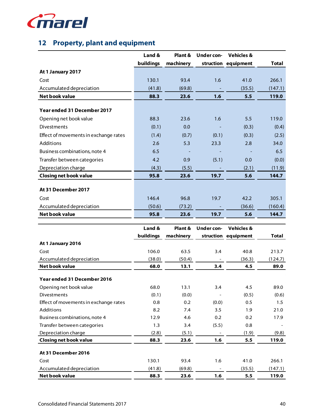

# **12 Property, plant and equipment**

|                                       | Land &          | Plant &        | <b>Under con-</b> | <b>Vehicles &amp;</b> |                  |
|---------------------------------------|-----------------|----------------|-------------------|-----------------------|------------------|
|                                       | buildings       | machinery      |                   | struction equipment   | <b>Total</b>     |
| At 1 January 2017                     |                 |                |                   |                       |                  |
| Cost                                  | 130.1           | 93.4           | 1.6               | 41.0                  | 266.1            |
| Accumulated depreciation              | (41.8)          | (69.8)         |                   | (35.5)                | (147.1)          |
| <b>Net book value</b>                 | 88.3            | 23.6           | 1.6               | 5.5                   | 119.0            |
|                                       |                 |                |                   |                       |                  |
| Year ended 31 December 2017           |                 |                |                   |                       |                  |
| Opening net book value                | 88.3            | 23.6           | 1.6               | 5.5                   | 119.0            |
| Divestments                           | (0.1)           | 0.0            |                   | (0.3)                 | (0.4)            |
| Effect of movements in exchange rates | (1.4)           | (0.7)          | (0.1)             | (0.3)                 | (2.5)            |
| Additions                             | 2.6             | 5.3            | 23.3              | 2.8                   | 34.0             |
| Business combinations, note 4         | 6.5             |                |                   |                       | 6.5              |
| Transfer between categories           | 4.2             | 0.9            | (5.1)             | 0.0                   | (0.0)            |
| Depreciation charge                   | (4.3)           | (5.5)          |                   | (2.1)                 | (11.9)           |
| <b>Closing net book value</b>         | 95.8            | 23.6           | 19.7              | 5.6                   | 144.7            |
|                                       |                 |                |                   |                       |                  |
| At 31 December 2017                   |                 |                |                   |                       |                  |
| Cost                                  | 146.4           | 96.8           | 19.7              | 42.2                  | 305.1            |
| Accumulated depreciation              | (50.6)          | (73.2)         |                   | (36.6)                | (160.4)          |
| Net book value                        | 95.8            | 23.6           | 19.7              | 5.6                   | 144.7            |
|                                       |                 |                |                   |                       |                  |
|                                       |                 |                |                   |                       |                  |
|                                       | Land &          | Plant &        | <b>Under con-</b> | <b>Vehicles &amp;</b> |                  |
|                                       | buildings       | machinery      |                   | struction equipment   | <b>Total</b>     |
| At 1 January 2016                     |                 |                |                   |                       |                  |
| Cost                                  | 106.0           | 63.5           | 3.4               | 40.8                  | 213.7            |
| Accumulated depreciation              | (38.0)          | (50.4)         |                   | (36.3)                | (124.7)          |
| <b>Net book value</b>                 | 68.0            | 13.1           | 3.4               | 4.5                   | 89.0             |
| Year ended 31 December 2016           |                 |                |                   |                       |                  |
| Opening net book value                | 68.0            | 13.1           | 3.4               | 4.5                   | 89.0             |
| Divestments                           | (0.1)           | (0.0)          |                   | (0.5)                 | (0.6)            |
| Effect of movements in exchange rates | 0.8             | 0.2            | (0.0)             | 0.5                   | 1.5              |
| Additions                             | 8.2             | 7.4            | 3.5               | 1.9                   | 21.0             |
| Business combinations, note 4         | 12.9            | 4.6            | 0.2               | 0.2                   | 17.9             |
| Transfer between categories           | 1.3             | 3.4            | (5.5)             | 0.8                   |                  |
| Depreciation charge                   | (2.8)           | (5.1)          |                   | (1.9)                 | (9.8)            |
| <b>Closing net book value</b>         | 88.3            | 23.6           | 1.6               | 5.5                   | 119.0            |
| At 31 December 2016                   |                 |                |                   |                       |                  |
| Cost                                  |                 |                |                   |                       |                  |
| Accumulated depreciation              | 130.1<br>(41.8) | 93.4<br>(69.8) | 1.6               | 41.0<br>(35.5)        | 266.1<br>(147.1) |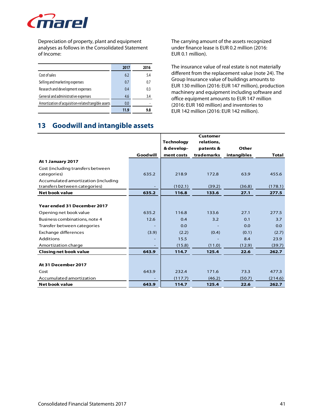

Depreciation of property, plant and equipment analyses as follows in the Consolidated Statement of Income:

|                                                     | 2017 | 2016 |
|-----------------------------------------------------|------|------|
| Cost of sales                                       | 6.2  | 5.4  |
| Selling and marketing expenses                      | 0.7  | 0.7  |
| Research and development expenses                   | 0.4  | 0.3  |
| General and administrative expenses                 | 4.6  | 3.4  |
| Amortization of acquisition-related tangible assets | 0.0  |      |
|                                                     | 11.9 | 9.8  |

The carrying amount of the assets recognized under finance lease is EUR 0.2 million (2016: EUR 0.1 million).

The insurance value of real estate is not materially different from the replacement value (note 24). The Group Insurance value of buildings amounts to EUR 130 million (2016: EUR 147 million), production machinery and equipment including software and office equipment amounts to EUR 147 million (2016: EUR 160 million) and inventories to EUR 142 million (2016: EUR 142 million).

# **13 Goodwill and intangible assets**

|                                     |          |                   | Customer   |             |              |
|-------------------------------------|----------|-------------------|------------|-------------|--------------|
|                                     |          | <b>Technology</b> | relations, |             |              |
|                                     |          | & develop-        | patents &  | Other       |              |
|                                     | Goodwill | ment costs        | trademarks | intangibles | <b>Total</b> |
| At 1 January 2017                   |          |                   |            |             |              |
| Cost (including transfers between   |          |                   |            |             |              |
| categories)                         | 635.2    | 218.9             | 172.8      | 63.9        | 455.6        |
| Accumulated amortization (including |          |                   |            |             |              |
| transfers between categories)       |          | (102.1)           | (39.2)     | (36.8)      | (178.1)      |
| Net book value                      | 635.2    | 116.8             | 133.6      | 27.1        | 277.5        |
|                                     |          |                   |            |             |              |
| Year ended 31 December 2017         |          |                   |            |             |              |
| Opening net book value              | 635.2    | 116.8             | 133.6      | 27.1        | 277.5        |
| Business combinations, note 4       | 12.6     | 0.4               | 3.2        | 0.1         | 3.7          |
| Transfer between categories         |          | 0.0               |            | 0.0         | 0.0          |
| Exchange differences                | (3.9)    | (2.2)             | (0.4)      | (0.1)       | (2.7)        |
| Additions                           |          | 15.5              |            | 8.4         | 23.9         |
| Amortization charge                 |          | (15.8)            | (11.0)     | (12.9)      | (39.7)       |
| <b>Closing net book value</b>       | 643.9    | 114.7             | 125.4      | 22.6        | 262.7        |
|                                     |          |                   |            |             |              |
| At 31 December 2017                 |          |                   |            |             |              |
| Cost                                | 643.9    | 232.4             | 171.6      | 73.3        | 477.3        |
| Accumulated amortization            |          | (117.7)           | (46.2)     | (50.7)      | (214.6)      |
| <b>Net book value</b>               | 643.9    | 114.7             | 125.4      | 22.6        | 262.7        |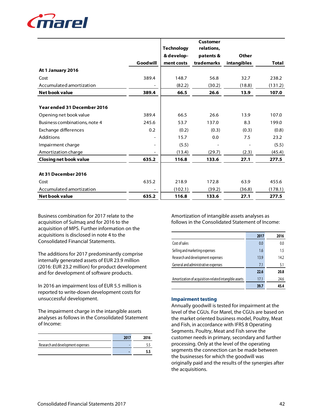

|                               |                          |                   | Customer   |             |              |
|-------------------------------|--------------------------|-------------------|------------|-------------|--------------|
|                               |                          | <b>Technology</b> | relations, |             |              |
|                               |                          | & develop-        | patents &  | Other       |              |
|                               | Goodwill                 | ment costs        | trademarks | intangibles | <b>Total</b> |
| At 1 January 2016             |                          |                   |            |             |              |
| Cost                          | 389.4                    | 148.7             | 56.8       | 32.7        | 238.2        |
| Accumulated amortization      |                          | (82.2)            | (30.2)     | (18.8)      | (131.2)      |
| Net book value                | 389.4                    | 66.5              | 26.6       | 13.9        | 107.0        |
|                               |                          |                   |            |             |              |
| Year ended 31 December 2016   |                          |                   |            |             |              |
| Opening net book value        | 389.4                    | 66.5              | 26.6       | 13.9        | 107.0        |
| Business combinations, note 4 | 245.6                    | 53.7              | 137.0      | 8.3         | 199.0        |
| Exchange differences          | 0.2                      | (0.2)             | (0.3)      | (0.3)       | (0.8)        |
| Additions                     | $\overline{\phantom{0}}$ | 15.7              | 0.0        | 7.5         | 23.2         |
| Impairment charge             |                          | (5.5)             |            |             | (5.5)        |
| Amortization charge           |                          | (13.4)            | (29.7)     | (2.3)       | (45.4)       |
| <b>Closing net book value</b> | 635.2                    | 116.8             | 133.6      | 27.1        | 277.5        |
|                               |                          |                   |            |             |              |
| At 31 December 2016           |                          |                   |            |             |              |
| Cost                          | 635.2                    | 218.9             | 172.8      | 63.9        | 455.6        |
| Accumulated amortization      |                          | (102.1)           | (39.2)     | (36.8)      | (178.1)      |
| Net book value                | 635.2                    | 116.8             | 133.6      | 27.1        | 277.5        |

Business combination for 2017 relate to the acquisition of Sulmaq and for 2016 to the acquisition of MPS. Further information on the acquisitions is disclosed in note 4 to the Consolidated Financial Statements.

The additions for 2017 predominantly comprise internally generated assets of EUR 23.9 million (2016: EUR 23.2 million) for product development and for development of software products.

In 2016 an impairment loss of EUR 5.5 million is reported to write-down development costs for unsuccessful development.

The impairment charge in the intangible assets analyses as follows in the Consolidated Statement of Income:

| Research and development expenses |  |
|-----------------------------------|--|
|                                   |  |

Amortization of intangible assets analyses as follows in the Consolidated Statement of Income:

|                                                       | 2017 | 2016 |
|-------------------------------------------------------|------|------|
| Cost of sales                                         | 0.0  | 0.0  |
| Selling and marketing expenses                        | 1.6  | 1.5  |
| Research and development expenses                     | 13.9 | 14.2 |
| General and administrative expenses                   | 7.1  | 5.1  |
|                                                       | 22.6 | 20.8 |
| Amortization of acquisition-related intangible assets | 17.1 | 24.6 |
|                                                       | 39.7 | 45.4 |

# **Impairment testing**

Annually goodwill is tested for impairment at the level of the CGUs. For Marel, the CGUs are based on the market oriented business model, Poultry, Meat and Fish, in accordance with IFRS 8 Operating Segments. Poultry, Meat and Fish serve the customer needs in primary, secondary and further processing. Only at the level of the operating segments the connection can be made between the businesses for which the goodwill was originally paid and the results of the synergies after the acquisitions.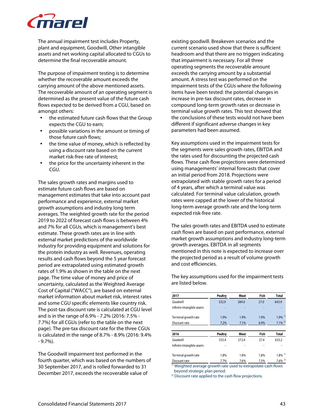

The annual impairment test includes Property, plant and equipment, Goodwill, Other intangible assets and net working capital allocated to CGUs to determine the final recoverable amount.

The purpose of impairment testing is to determine whether the recoverable amount exceeds the carrying amount of the above mentioned assets. The recoverable amount of an operating segment is determined as the present value of the future cash flows expected to be derived from a CGU, based on amongst others:

- the estimated future cash flows that the Group expects the CGU to earn;
- possible variations in the amount or timing of those future cash flows;
- the time value of money, which is reflected by using a discount rate based on the current market risk-free rate of interest;
- the price for the uncertainty inherent in the CGU.

The sales growth rates and margins used to estimate future cash flows are based on management estimates that take into account past performance and experience, external market growth assumptions and industry long term averages. The weighted growth rate for the period 2019 to 2022 of forecast cash flows is between 4% and 7% for all CGUs, which is management's best estimate. These growth rates are in line with external market predictions of the worldwide industry for providing equipment and solutions for the protein industry as well. Revenues, operating results and cash flows beyond the 5 year forecast period are extrapolated using estimated growth rates of 1.9% as shown in the table on the next page. The time value of money and price of uncertainty, calculated as the Weighted Average Cost of Capital ("WACC"), are based on external market information about market risk, interest rates and some CGU specific elements like country risk. The post-tax discount rate is calculated at CGU level and is in the range of 6.9% - 7.2% (2016: 7.5% - 7.7%) for all CGUs (refer to the table on the next page). The pre-tax discount rate for the three CGUs is calculated in the range of 8.7% - 8.9% (2016: 9.4% - 9.7%).

The Goodwill impairment test performed in the fourth quarter, which was based on the numbers of 30 September 2017, and is rolled forwarded to 31 December 2017, exceeds the recoverable value of

existing goodwill. Breakeven scenarios and the current scenario used show that there is sufficient headroom and that there are no triggers indicating that impairment is necessary. For all three operating segments the recoverable amount exceeds the carrying amount by a substantial amount. A stress test was performed on the impairment tests of the CGUs where the following items have been tested: the potential changes in increase in pre-tax discount rates, decrease in compound long-term growth rates or decrease in terminal value growth rates. This test showed that the conclusions of these tests would not have been different if significant adverse changes in key parameters had been assumed.

Key assumptions used in the impairment tests for the segments were sales growth rates, EBITDA and the rates used for discounting the projected cash flows. These cash flow projections were determined using managements' internal forecasts that cover an initial period from 2018. Projections were extrapolated with stable growth rates for a period of 4 years, after which a terminal value was calculated. For terminal value calculation, growth rates were capped at the lower of the historical long-term average growth rate and the long-term expected risk-free rate.

The sales growth rates and EBITDA used to estimate cash flows are based on past performance, external market growth assumptions and industry long-term growth averages. EBITDA in all segments mentioned in this note is expected to increase over the projected period as a result of volume growth and cost efficiencies.

The key assumptions used for the impairment tests are listed below.

| <b>Poultry</b> | <b>Meat</b> | Fish | <b>Total</b>          |
|----------------|-------------|------|-----------------------|
| 332.9          | 284.0       | 27.0 | 643.9                 |
|                |             |      |                       |
| 1.9%           | 1.9%        | 1.9% | $1.9\%$ <sup>1)</sup> |
| 7.2%           | 7.1%        | 6.9% | $7.1\%$ <sup>2)</sup> |
|                |             |      |                       |
| <b>Poultry</b> | Meat        | Fish | <b>Total</b>          |
| 335.4          | 272.4       | 27.4 | 635.2                 |
|                |             |      |                       |
| 1.8%           | 1.8%        | 1.8% | $1.8\%$ <sup>1)</sup> |
| 7.7%           | 7.6%        | 7.5% | $7.6\%$ <sup>2)</sup> |
|                |             |      |                       |

1) Weighted average growth rate used to extrapolate cash flows beyond strategic plan period.

<sup>2)</sup> Discount rate applied to the cash flow projections.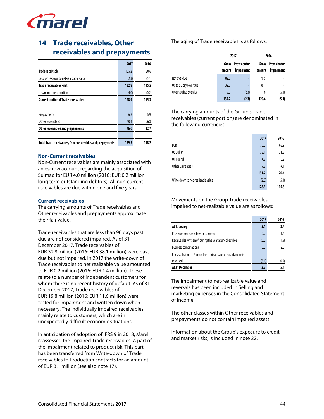

# **14 Trade receivables, Other receivables and prepayments**

|                                                            | 2017  | 2016  |
|------------------------------------------------------------|-------|-------|
| Trade receivables                                          | 135.2 | 120.6 |
| Less: write-down to net-realizable value                   | (2.3) | (5.1) |
| Trade receivables - net                                    | 132.9 | 115.5 |
| Less non-current portion                                   | (4.0) | (0.2) |
| <b>Current portion of Trade receivables</b>                | 128.9 | 115.3 |
|                                                            |       |       |
| Prepayments                                                | 6.2   | 5.9   |
| Other receivables                                          | 40.4  | 26.8  |
| Other receivables and prepayments                          | 46.6  | 32.7  |
|                                                            |       |       |
| Total Trade receivables, Other receivables and prepayments | 179.5 | 148.2 |

#### **Non-Current receivables**

Non-Current receivables are mainly associated with an escrow account regarding the acquisition of Sulmaq for EUR 4.0 million (2016: EUR 0.2 million long term outstanding debtors). All non-current receivables are due within one and five years.

#### **Current receivables**

The carrying amounts of Trade receivables and Other receivables and prepayments approximate their fair value.

Trade receivables that are less than 90 days past due are not considered impaired. As of 31 December 2017, Trade receivables of EUR 32.8 million (2016: EUR 38.1 million) were past due but not impaired. In 2017 the write-down of Trade receivables to net realizable value amounted to EUR 0.2 million (2016: EUR 1.4 million). These relate to a number of independent customers for whom there is no recent history of default. As of 31 December 2017, Trade receivables of EUR 19.8 million (2016: EUR 11.6 million) were tested for impairment and written down when necessary. The individually impaired receivables mainly relate to customers, which are in unexpectedly difficult economic situations.

In anticipation of adoption of IFRS 9 in 2018, Marel reassessed the impaired Trade receivables. A part of the impairment related to product risk. This part has been transferred from Write-down of Trade receivables to Production contracts for an amount of EUR 3.1 million (see also note 17).

The aging of Trade receivables is as follows:

|                       |                 | 2017                               |                 | 2016                               |
|-----------------------|-----------------|------------------------------------|-----------------|------------------------------------|
|                       | Gross<br>amount | <b>Provision for</b><br>Impairment | Gross<br>amount | Provision for<br><b>Impairment</b> |
| Not overdue           | 82.6            | ٠                                  | 70.9            |                                    |
| Up to 90 days overdue | 32.8            | ٠                                  | 38.1            |                                    |
| Over 90 days overdue  | 19.8            | (2.3)                              | 11.6            | (5.1)                              |
|                       | 135.2           | (2.3)                              | 120.6           | (5.1)                              |

The carrying amounts of the Group's Trade receivables (current portion) are denominated in the following currencies:

|                                    | 2017  | 2016  |
|------------------------------------|-------|-------|
| <b>EUR</b>                         | 703   | 68.9  |
| US Dollar                          | 38.1  | 31.2  |
| UK Pound                           | 4.9   | 6.2   |
| <b>Other Currencies</b>            | 17.9  | 14.1  |
|                                    | 131.2 | 120.4 |
| Write-down to net-realizable value | (2.3) | (5.1) |
|                                    | 128.9 | 115.3 |

Movements on the Group Trade receivables impaired to net-realizable value are as follows:

|                                                              | 2017           | 2016  |
|--------------------------------------------------------------|----------------|-------|
| At 1 January                                                 | 5.1            | 3.4   |
| Provision for receivables impairment                         | 0.2            | 1.4   |
| Receivables written off during the year as uncollectible     | (0.2)          | (1.5) |
| <b>Business combinations</b>                                 | 0 <sub>3</sub> | 23    |
| Reclassification to Production contracts and unsused amounts |                |       |
| reversed                                                     | (3.1)          | (0.5) |
| At 31 December                                               | 23             | 5.1   |

The impairment to net-realizable value and reversals has been included in Selling and marketing expenses in the Consolidated Statement of Income.

The other classes within Other receivables and prepayments do not contain impaired assets.

Information about the Group's exposure to credit and market risks, is included in note 22.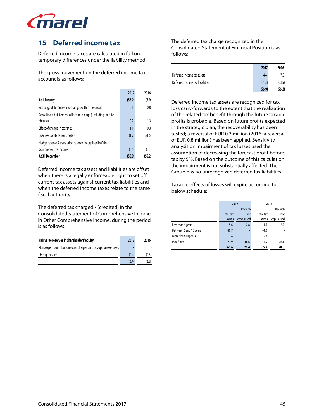

# **15 Deferred income tax**

Deferred income taxes are calculated in full on temporary differences under the liability method.

The gross movement on the deferred income tax account is as follows:

|                                                             | 2017   | 2016   |
|-------------------------------------------------------------|--------|--------|
| At 1 January                                                | (56.2) | (5.9)  |
| Exchange differences and changes within the Group           | 0.1    | 0.0    |
| Consolidated Statement of Income charge (excluding tax rate |        |        |
| change)                                                     | 0.2    | 1.3    |
| Effect of change in tax rates                               | 1.1    | 0.3    |
| Business combinations, note 4                               | (1.7)  | (51.6) |
| Hedge reserve & translation reserve recognized in Other     |        |        |
| Comprehensive Income                                        | (0.4)  | (0.3)  |
| At 31 December                                              | (56.9) | (56.2) |

Deferred income tax assets and liabilities are offset when there is a legally enforceable right to set off current tax assets against current tax liabilities and when the deferred income taxes relate to the same fiscal authority.

The deferred tax charged / (credited) in the Consolidated Statement of Comprehensive Income, in Other Comprehensive Income, during the period is as follows:

| Fair value reserves in Shareholders' equity                        | 2017  | 2016  |
|--------------------------------------------------------------------|-------|-------|
| - Employer's contribution social charges on stock option exercises |       |       |
| - Hedge reserve                                                    | (0.4) | (0.3) |
|                                                                    | (0.4) | (0.3) |

The deferred tax charge recognized in the Consolidated Statement of Financial Position is as follows:

|                                 | 2017   | 2016   |
|---------------------------------|--------|--------|
| Deferred income tax assets      | 4.4    | 73     |
| Deferred income tax liabilities | (61.3) | (63.5) |
|                                 | (56.9) | (56.2) |

Deferred income tax assets are recognized for tax loss carry-forwards to the extent that the realization of the related tax benefit through the future taxable profits is probable. Based on future profits expected in the strategic plan, the recoverability has been tested; a reversal of EUR 0.3 million (2016: a reversal of EUR 0.8 million) has been applied. Sensitivity analysis on impairment of tax losses used the assumption of decreasing the forecast profit before tax by 5%. Based on the outcome of this calculation the impairment is not substantially affected. The Group has no unrecognized deferred tax liabilities.

Taxable effects of losses will expire according to below schedule:

|                        | 2017             |             | 2016      |             |
|------------------------|------------------|-------------|-----------|-------------|
|                        |                  | Of which    |           | Of which    |
|                        | <b>Total tax</b> | not         | Total tax | not         |
|                        | losses           | capitalised | losses    | capitalised |
| Less than 6 years      | 5.6              | 2.8         | 4.6       | 2.7         |
| Between 6 and 10 years | 40.7             |             | 44.0      |             |
| More than 10 years     | 1.4              |             | 5.8       | ٠           |
| Indefinite             | 21.9             | 18.6        | 31.5      | 26.1        |
|                        | 69.6             | 21.4        | 85.9      | 28.8        |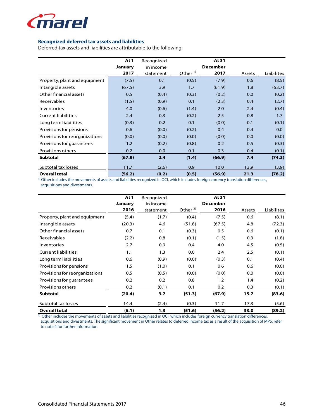

# **Recognized deferred tax assets and liabilities**

Deferred tax assets and liabilities are attributable to the following:

|                                | At 1    | Recognized |           | At 31           |        |                   |
|--------------------------------|---------|------------|-----------|-----------------|--------|-------------------|
|                                | January | in income  |           | <b>December</b> |        |                   |
|                                | 2017    | statement  | Other $1$ | 2017            | Assets | <b>Liabilites</b> |
| Property, plant and equipment  | (7.5)   | 0.1        | (0.5)     | (7.9)           | 0.6    | (8.5)             |
| Intangible assets              | (67.5)  | 3.9        | 1.7       | (61.9)          | 1.8    | (63.7)            |
| Other financial assets         | 0.5     | (0.4)      | (0.3)     | (0.2)           | 0.0    | (0.2)             |
| Receivables                    | (1.5)   | (0.9)      | 0.1       | (2.3)           | 0.4    | (2.7)             |
| Inventories                    | 4.0     | (0.6)      | (1.4)     | 2.0             | 2.4    | (0.4)             |
| <b>Current liabilities</b>     | 2.4     | 0.3        | (0.2)     | 2.5             | 0.8    | 1.7               |
| Long term liabilities          | (0.3)   | 0.2        | 0.1       | (0.0)           | 0.1    | (0.1)             |
| Provisions for pensions        | 0.6     | (0.0)      | (0.2)     | 0.4             | 0.4    | 0.0               |
| Provisions for reorganizations | (0.0)   | (0.0)      | (0.0)     | (0.0)           | 0.0    | (0.0)             |
| Provisions for quarantees      | 1.2     | (0.2)      | (0.8)     | 0.2             | 0.5    | (0.3)             |
| Provisions others              | 0.2     | 0.0        | 0.1       | 0.3             | 0.4    | (0.1)             |
| <b>Subtotal</b>                | (67.9)  | 2.4        | (1.4)     | (66.9)          | 7.4    | (74.3)            |
| Subtotal tax losses            | 11.7    | (2.6)      | 0.9       | 10.0            | 13.9   | (3.9)             |
| <b>Overall total</b>           | (56.2)  | (0.2)      | (0.5)     | (56.9)          | 21.3   | (78.2)            |

 $\frac{1}{10}$  Other includes the movements of assets and liabilities recognized in OCI, which includes foreign currency translation differences, acquisitions and divestments.

|                                | At 1    | Recognized |           | At 31           |        |            |
|--------------------------------|---------|------------|-----------|-----------------|--------|------------|
|                                | January | in income  |           | <b>December</b> |        |            |
|                                | 2016    | statement  | Other $2$ | 2016            | Assets | Liabilites |
| Property, plant and equipment  | (5.4)   | (1.7)      | (0.4)     | (7.5)           | 0.6    | (8.1)      |
| Intangible assets              | (20.3)  | 4.6        | (51.8)    | (67.5)          | 4.8    | (72.3)     |
| Other financial assets         | 0.7     | 0.1        | (0.3)     | 0.5             | 0.6    | (0.1)      |
| <b>Receivables</b>             | (2.2)   | 0.8        | (0.1)     | (1.5)           | 0.3    | (1.8)      |
| Inventories                    | 2.7     | 0.9        | 0.4       | 4.0             | 4.5    | (0.5)      |
| <b>Current liabilities</b>     | 1.1     | 1.3        | 0.0       | 2.4             | 2.5    | (0.1)      |
| Long term liabilities          | 0.6     | (0.9)      | (0.0)     | (0.3)           | 0.1    | (0.4)      |
| Provisions for pensions        | 1.5     | (1.0)      | 0.1       | 0.6             | 0.6    | (0.0)      |
| Provisions for reorganizations | 0.5     | (0.5)      | (0.0)     | (0.0)           | 0.0    | (0.0)      |
| Provisions for quarantees      | 0.2     | 0.2        | 0.8       | 1.2             | 1.4    | (0.2)      |
| Provisions others              | 0.2     | (0.1)      | 0.1       | 0.2             | 0.3    | (0.1)      |
| <b>Subtotal</b>                | (20.4)  | 3.7        | (51.3)    | (67.9)          | 15.7   | (83.6)     |
| Subtotal tax losses            | 14.4    | (2.4)      | (0.3)     | 11.7            | 17.3   | (5.6)      |
| <b>Overall total</b>           | (6.1)   | 1.3        | (51.6)    | (56.2)          | 33.0   | (89.2)     |

<sup>2)</sup> Other includes the movements of assets and liabilities recognized in OCI, which includes foreign currency translation differences, acquisitions and divestments. The significant movement in Other relates to deferred income tax as a result of the acquisition of MPS, refer

to note 4 for further information.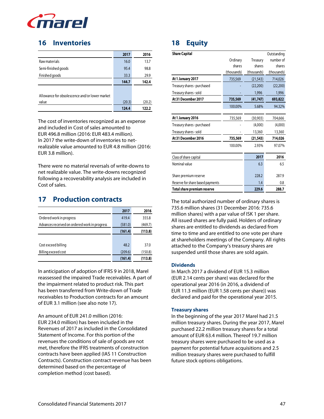

# **16 Inventories**

|                                                | 2017   | 2016   |
|------------------------------------------------|--------|--------|
| Raw materials                                  | 16.0   | 13.7   |
| Semi-finished goods                            | 95.4   | 98.8   |
| Finished goods                                 | 33.3   | 29.9   |
|                                                | 144.7  | 142.4  |
|                                                |        |        |
| Allowance for obsolescence and/or lower market |        |        |
| value                                          | (20.3) | (20.2) |
|                                                | 124.4  | 122.2  |

The cost of inventories recognized as an expense and included in Cost of sales amounted to EUR 496.8 million (2016: EUR 483.4 million). In 2017 the write-down of inventories to netrealizable value amounted to EUR 4.8 million (2016: EUR 3.8 million).

There were no material reversals of write-downs to net realizable value. The write-downs recognized following a recoverability analysis are included in Cost of sales.

# **17 Production contracts**

|                                               | 2017    | 2016    |
|-----------------------------------------------|---------|---------|
| Ordered work in progress                      | 419.4   | 355.8   |
| Advances received on ordered work in progress | (581.0) | (469.7) |
|                                               | (161.4) | (113.8) |
|                                               |         |         |
| Cost exceed billing                           | 48.2    | 37.0    |
| Billing exceed cost                           | (209.6) | (150.8) |
|                                               | (161.4) | (113.8) |

In anticipation of adoption of IFRS 9 in 2018, Marel reassessed the impaired Trade receivables. A part of the impairment related to product risk. This part has been transferred from Write-down of Trade receivables to Production contracts for an amount of EUR 3.1 million (see also note 17).

An amount of EUR 241.0 million (2016: EUR 234.0 million) has been included in the Revenues of 2017 as included in the Consolidated Statement of Income. For this portion of the revenues the conditions of sale of goods are not met, therefore the IFRS treatments of construction contracts have been applied (IAS 11 Construction Contracts). Construction contract revenue has been determined based on the percentage of completion method (cost based).

# **18 Equity**

| <b>Share Capital</b>             |             |             | Outstanding |
|----------------------------------|-------------|-------------|-------------|
|                                  | Ordinary    | Treasury    | number of   |
|                                  | shares      | shares      | shares      |
|                                  | (thousands) | (thousands) | (thousands) |
| At 1 January 2017                | 735,569     | (21, 543)   | 714,026     |
| Treasury shares - purchased      |             | (22, 200)   | (22, 200)   |
| Treasury shares - sold           |             | 1,996       | 1,996       |
| At 31 December 2017              | 735,569     | (41, 747)   | 693,822     |
|                                  | 100.00%     | 5.68%       | 94.32%      |
| At 1 January 2016                | 735,569     | (30,903)    | 704,666     |
| Treasury shares - purchased      |             | (4,000)     | (4,000)     |
| Treasury shares - sold           |             | 13,360      | 13,360      |
| At 31 December 2016              | 735,569     | (21, 543)   | 714,026     |
|                                  | 100.00%     | 2.93%       | 97.07%      |
| Class of share capital           |             | 2017        | 2016        |
| Nominal value                    |             | 6.3         | 6.5         |
| Share premium reserve            |             | 228.2       | 287.9       |
| Reserve for share based payments |             | 1.4         | 0.8         |
| Total share premium reserve      |             | 229.6       | 288.7       |

The total authorized number of ordinary shares is 735.6 million shares (31 December 2016: 735.6 million shares) with a par value of ISK 1 per share. All issued shares are fully paid. Holders of ordinary shares are entitled to dividends as declared from time to time and are entitled to one vote per share at shareholders meetings of the Company. All rights attached to the Company's treasury shares are suspended until those shares are sold again.

# **Dividends**

In March 2017 a dividend of EUR 15.3 million (EUR 2.14 cents per share) was declared for the operational year 2016 (in 2016, a dividend of EUR 11.3 million (EUR 1.58 cents per share)) was declared and paid for the operational year 2015.

# **Treasury shares**

In the beginning of the year 2017 Marel had 21.5 million treasury shares. During the year 2017, Marel purchased 22.2 million treasury shares for a total amount of EUR 63.4 million. Thereof 19.7 million treasury shares were purchased to be used as a payment for potential future acquisitions and 2.5 million treasury shares were purchased to fulfill future stock options obligations.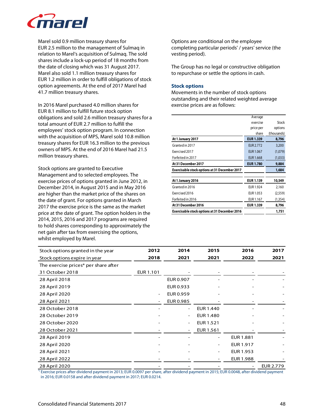

Marel sold 0.9 million treasury shares for EUR 2.5 million to the management of Sulmaq in relation to Marel's acquisition of Sulmaq. The sold shares include a lock-up period of 18 months from the date of closing which was 31 August 2017. Marel also sold 1.1 million treasury shares for EUR 1.2 million in order to fulfill obligations of stock option agreements. At the end of 2017 Marel had 41.7 million treasury shares.

In 2016 Marel purchased 4.0 million shares for EUR 8.1 million to fulfill future stock option obligations and sold 2.6 million treasury shares for a total amount of EUR 2.7 million to fulfill the employees' stock option program. In connection with the acquisition of MPS, Marel sold 10.8 million treasury shares for EUR 16.3 million to the previous owners of MPS. At the end of 2016 Marel had 21.5 million treasury shares.

Stock options are granted to Executive Management and to selected employees. The exercise prices of options granted in June 2012, in December 2014, in August 2015 and in May 2016 are higher than the market price of the shares on the date of grant. For options granted in March 2017 the exercise price is the same as the market price at the date of grant. The option holders in the 2014, 2015, 2016 and 2017 programs are required to hold shares corresponding to approximately the net gain after tax from exercising the options, whilst employed by Marel.

Options are conditional on the employee completing particular periods' / years' service (the vesting period).

The Group has no legal or constructive obligation to repurchase or settle the options in cash.

#### **Stock options**

Movements in the number of stock options outstanding and their related weighted average exercise prices are as follows:

|                                               | Average          |             |
|-----------------------------------------------|------------------|-------------|
|                                               | exercise         | Stock       |
|                                               | price per        | options     |
|                                               | share            | (thousands) |
| At 1 January 2017                             | <b>EUR 1.339</b> | 8,796       |
| Granted in 2017                               | EUR 2.772        | 3,200       |
| Exercised 2017                                | <b>EUR 1.067</b> | (1,079)     |
| Forfeited in 2017                             | <b>EUR 1.668</b> | (1,033)     |
| At 31 December 2017                           | <b>EUR 1.780</b> | 9,884       |
| Exercisable stock options at 31 December 2017 |                  | 1,684       |
| At 1 January 2016                             | <b>EUR 1.139</b> | 10,549      |
| Granted in 2016                               | EUR 1.924        | 2,160       |
| Exercised 2016                                | EUR 1.053        | (2,559)     |
| Forfeited in 2016                             | EUR 1.167        | (1,354)     |
| At 31 December 2016                           | <b>EUR 1.339</b> | 8,796       |
| Exercisable stock options at 31 December 2016 |                  | 1,751       |

| Stock options granted in the year    | 2012                     | 2014      | 2015                     | 2016             | 2017      |
|--------------------------------------|--------------------------|-----------|--------------------------|------------------|-----------|
| Stock options expire in year         | 2018                     | 2021      | 2021                     | 2022             | 2021      |
| The exercise prices* per share after |                          |           |                          |                  |           |
| 31 October 2018                      | EUR 1.101                |           |                          |                  |           |
| 28 April 2018                        |                          | EUR 0.907 |                          |                  |           |
| 28 April 2019                        |                          | EUR 0.933 |                          |                  |           |
| 28 April 2020                        | $\overline{\phantom{a}}$ | EUR 0.959 |                          |                  |           |
| 28 April 2021                        |                          | EUR 0.985 |                          |                  |           |
| 28 October 2018                      |                          |           | EUR 1.440                |                  |           |
| 28 October 2019                      |                          | ۰         | EUR 1.480                |                  |           |
| 28 October 2020                      |                          |           | EUR 1.521                |                  |           |
| 28 October 2021                      |                          |           | EUR 1.561                |                  |           |
| 28 April 2019                        |                          |           |                          | <b>EUR 1.881</b> |           |
| 28 April 2020                        |                          |           |                          | EUR 1.917        |           |
| 28 April 2021                        |                          |           | $\overline{\phantom{0}}$ | EUR 1.953        |           |
| 28 April 2022                        |                          |           |                          | EUR 1.988        |           |
| 28 April 2020                        |                          |           |                          |                  | EUR 2.779 |

\*) Exercise prices after dividend payment in 2013; EUR 0.0097 per share, after dividend payment in 2015; EUR 0.0048, after dividend payment in 2016; EUR 0.0158 and after dividend payment in 2017; EUR 0.0214.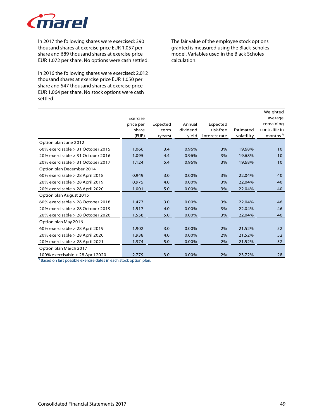

In 2017 the following shares were exercised: 390 thousand shares at exercise price EUR 1.057 per share and 689 thousand shares at exercise price EUR 1.072 per share. No options were cash settled.

In 2016 the following shares were exercised: 2,012 thousand shares at exercise price EUR 1.050 per share and 547 thousand shares at exercise price EUR 1.064 per share. No stock options were cash settled.

The fair value of the employee stock options granted is measured using the Black-Scholes model. Variables used in the Black Scholes calculation:

|                                     |           |          |          |               |            | Weighted            |
|-------------------------------------|-----------|----------|----------|---------------|------------|---------------------|
|                                     | Exercise  |          |          |               |            | average             |
|                                     | price per | Expected | Annual   | Expected      |            | remaining           |
|                                     | share     | term     | dividend | risk-free     | Estimated  | contr. life in      |
|                                     | (EUR)     | (years)  | yield    | interest rate | volatility | months <sup>"</sup> |
| Option plan June 2012               |           |          |          |               |            |                     |
| 60% exercisable $> 31$ October 2015 | 1.066     | 3.4      | 0.96%    | 3%            | 19.68%     | 10                  |
| 20% exercisable > 31 October 2016   | 1.095     | 4.4      | 0.96%    | 3%            | 19.68%     | 10 <sup>°</sup>     |
| 20% exercisable > 31 October 2017   | 1.124     | 5.4      | 0.96%    | 3%            | 19.68%     | 10 <sup>°</sup>     |
| Option plan December 2014           |           |          |          |               |            |                     |
| 60% exercisable > 28 April 2018     | 0.949     | 3.0      | 0.00%    | 3%            | 22.04%     | 40                  |
| 20% exercisable > 28 April 2019     | 0.975     | 4.0      | 0.00%    | 3%            | 22.04%     | 40                  |
| 20% exercisable > 28 April 2020     | 1.001     | 5.0      | 0.00%    | 3%            | 22.04%     | 40                  |
| Option plan August 2015             |           |          |          |               |            |                     |
| 60% exercisable > 28 October 2018   | 1.477     | 3.0      | 0.00%    | 3%            | 22.04%     | 46                  |
| 20% exercisable > 28 October 2019   | 1.517     | 4.0      | 0.00%    | 3%            | 22.04%     | 46                  |
| 20% exercisable > 28 October 2020   | 1.558     | 5.0      | 0.00%    | 3%            | 22.04%     | 46                  |
| Option plan May 2016                |           |          |          |               |            |                     |
| 60% exercisable $>$ 28 April 2019   | 1.902     | 3.0      | 0.00%    | 2%            | 21.52%     | 52                  |
| 20% exercisable > 28 April 2020     | 1.938     | 4.0      | 0.00%    | 2%            | 21.52%     | 52                  |
| 20% exercisable > 28 April 2021     | 1.974     | 5.0      | 0.00%    | 2%            | 21.52%     | 52                  |
| Option plan March 2017              |           |          |          |               |            |                     |
| 100% exercisable > 28 April 2020    | 2.779     | 3.0      | 0.00%    | 2%            | 23.72%     | 28                  |

\*) Based on last possible exercise dates in each stock option plan.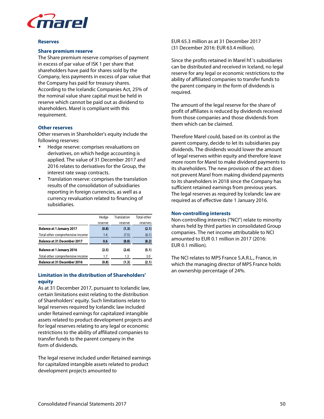

#### **Reserves**

#### **Share premium reserve**

The Share premium reserve comprises of payment in excess of par value of ISK 1 per share that shareholders have paid for shares sold by the Company, less payments in excess of par value that the Company has paid for treasury shares. According to the Icelandic Companies Act, 25% of the nominal value share capital must be held in reserve which cannot be paid out as dividend to shareholders. Marel is compliant with this requirement.

#### **Other reserves**

Other reserves in Shareholder's equity include the following reserves:

- Hedge reserve: comprises revaluations on derivatives, on which hedge accounting is applied. The value of 31 December 2017 and 2016 relates to derivatives for the Group, the interest rate swap contracts.
- Translation reserve: comprises the translation results of the consolidation of subsidiaries reporting in foreign currencies, as well as a currency revaluation related to financing of subsidiaries.

|                                    | Hedge   | Translation | Total other |
|------------------------------------|---------|-------------|-------------|
|                                    | reserve | reserve     | reserves    |
| <b>Balance at 1 January 2017</b>   | (0.8)   | (1.3)       | (2.1)       |
| Total other comprehensive income   | 1.4     | (7.5)       | (6.1)       |
| <b>Balance at 31 December 2017</b> | 0.6     | (8.8)       | (8.2)       |
| <b>Balance at 1 January 2016</b>   | (2.5)   | (2.6)       | (5.1)       |
| Total other comprehensive income   | 1.7     | 1.3         | 3.0         |
| <b>Balance at 31 December 2016</b> | (0.8)   | (1.3)       | (2.1)       |

# **Limitation in the distribution of Shareholders' equity**

As at 31 December 2017, pursuant to Icelandic law, certain limitations exist relating to the distribution of Shareholders' equity. Such limitations relate to legal reserves required by Icelandic law included under Retained earnings for capitalized intangible assets related to product development projects and for legal reserves relating to any legal or economic restrictions to the ability of affiliated companies to transfer funds to the parent company in the form of dividends.

The legal reserve included under Retained earnings for capitalized intangible assets related to product development projects amounted to

EUR 65.3 million as at 31 December 2017 (31 December 2016: EUR 63.4 million).

Since the profits retained in Marel hf.'s subsidiaries can be distributed and received in Iceland, no legal reserve for any legal or economic restrictions to the ability of affiliated companies to transfer funds to the parent company in the form of dividends is required.

The amount of the legal reserve for the share of profit of affiliates is reduced by dividends received from those companies and those dividends from them which can be claimed.

Therefore Marel could, based on its control as the parent company, decide to let its subsidiaries pay dividends. The dividends would lower the amount of legal reserves within equity and therefore leave more room for Marel to make dividend payments to its shareholders. The new provision of the act does not prevent Marel from making dividend payments to its shareholders in 2018 since the Company has sufficient retained earnings from previous years. The legal reserves as required by Icelandic law are required as of effective date 1 January 2016.

#### **Non-controlling interests**

Non-controlling interests ("NCI") relate to minority shares held by third parties in consolidated Group companies. The net income attributable to NCI amounted to EUR 0.1 million in 2017 (2016: EUR 0.1 million).

The NCI relates to MPS France S.A.R.L., France, in which the managing director of MPS France holds an ownership percentage of 24%.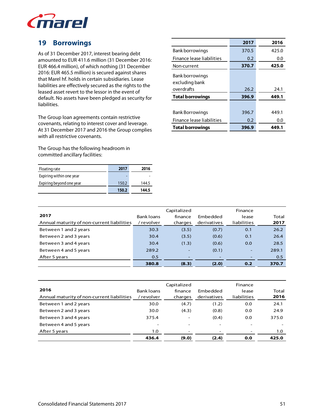

# **19 Borrowings**

As of 31 December 2017, interest bearing debt amounted to EUR 411.6 million (31 December 2016: EUR 466.4 million), of which nothing (31 December 2016: EUR 465.5 million) is secured against shares that Marel hf. holds in certain subsidiaries. Lease liabilities are effectively secured as the rights to the leased asset revert to the lessor in the event of default. No assets have been pledged as security for liabilities.

The Group loan agreements contain restrictive covenants, relating to interest cover and leverage. At 31 December 2017 and 2016 the Group complies with all restrictive covenants.

The Group has the following headroom in committed ancillary facilities:

| Floating rate            | 2017  | 2016  |
|--------------------------|-------|-------|
| Expiring within one year |       |       |
| Expiring beyond one year | 150.2 | 144.5 |
|                          | 150.2 | 144.5 |

|                                   | 2017  | 2016  |
|-----------------------------------|-------|-------|
| Bank borrowings                   | 370.5 | 425.0 |
| Finance lease liabilities         | 0.2   | 0.0   |
| Non-current                       | 370.7 | 425.0 |
| Bank borrowings<br>excluding bank |       |       |
| overdrafts                        | 26.2  | 24.1  |
| <b>Total borrowings</b>           | 396.9 | 449.1 |
|                                   |       |       |
| <b>Bank Borrowings</b>            | 396.7 | 449.1 |
| Finance lease liabilities         | 0.2   | 0.0   |
| <b>Total borrowings</b>           | 396.9 | 449.1 |

|                                            |                   | Capitalized   |             | Finance     |       |
|--------------------------------------------|-------------------|---------------|-------------|-------------|-------|
| 2017                                       | <b>Bank loans</b> | finance       | Embedded    | lease       | Total |
| Annual maturity of non-current liabilities | ' revolver        | charges       | derivatives | liabilities | 2017  |
| Between 1 and 2 years                      | 30.3              | (3.5)         | (0.7)       | 0.1         | 26.2  |
| Between 2 and 3 years                      | 30.4              | (3.5)         | (0.6)       | 0.1         | 26.4  |
| Between 3 and 4 years                      | 30.4              | (1.3)         | (0.6)       | 0.0         | 28.5  |
| Between 4 and 5 years                      | 289.2             | ٠             | (0.1)       | ٠           | 289.1 |
| After 5 years                              | 0.5               | <u>. на п</u> |             |             | 0.5   |
|                                            | 380.8             | (8.3)         | (2.0)       | 0.2         | 370.7 |

|                                            |                   | Capitalized              |             | Finance     |       |
|--------------------------------------------|-------------------|--------------------------|-------------|-------------|-------|
| 2016                                       | <b>Bank loans</b> | finance                  | Embedded    | lease       | Total |
| Annual maturity of non-current liabilities | ' revolver        | charges                  | derivatives | liabilities | 2016  |
| Between 1 and 2 years                      | 30.0              | (4.7)                    | (1.2)       | 0.0         | 24.1  |
| Between 2 and 3 years                      | 30.0              | (4.3)                    | (0.8)       | 0.0         | 24.9  |
| Between 3 and 4 years                      | 375.4             | $\overline{\phantom{a}}$ | (0.4)       | 0.0         | 375.0 |
| Between 4 and 5 years                      |                   | ۰                        |             |             |       |
| After 5 years                              | 1.0               | -                        |             |             | 1.0   |
|                                            | 436.4             | (9.0)                    | (2.4)       | 0.0         | 425.0 |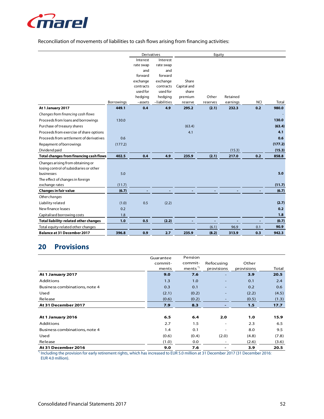

# Reconciliation of movements of liabilities to cash flows arising from financing activities:

|                                                |            | Derivatives |              | Equity      |          |          |            |         |
|------------------------------------------------|------------|-------------|--------------|-------------|----------|----------|------------|---------|
|                                                |            | Interest    | Interest     |             |          |          |            |         |
|                                                |            | rate swap   | rate swap    |             |          |          |            |         |
|                                                |            | and         | and          |             |          |          |            |         |
|                                                |            | forward     | forward      |             |          |          |            |         |
|                                                |            | exchange    | exchange     | Share       |          |          |            |         |
|                                                |            | contracts   | contracts    | Capital and |          |          |            |         |
|                                                |            | used for    | used for     | share       |          |          |            |         |
|                                                |            | hedging     | hedging      | premium     | Other    | Retained |            |         |
|                                                | Borrowings | -assets     | -liabilities | reserve     | reserves | earnings | <b>NCI</b> | Total   |
| At 1 January 2017                              | 449.1      | 0.4         | 4.9          | 295.2       | (2.1)    | 232.3    | 0.2        | 980.0   |
| Changes from financing cash flows              |            |             |              |             |          |          |            |         |
| Proceeds from loans and borrowings             | 130.0      |             |              |             |          |          |            | 130.0   |
| Purchase of treasury shares                    |            |             |              | (63.4)      |          |          |            | (63.4)  |
| Proceeds from exercise of share options        |            |             |              | 4.1         |          |          |            | 4.1     |
| Proceeds from settlement of derivatives        | 0.6        |             |              |             |          |          |            | 0.6     |
| Repayment of borrowings                        | (177.2)    |             |              |             |          |          |            | (177.2) |
| Dividend paid                                  |            |             |              |             |          | (15.3)   |            | (15.3)  |
| <b>Total changes from financing cash flows</b> | 402.5      | 0.4         | 4.9          | 235.9       | (2.1)    | 217.0    | 0.2        | 858.8   |
| Changes arising from obtaining or              |            |             |              |             |          |          |            |         |
| losing control of subsidiaries or other        |            |             |              |             |          |          |            |         |
| businesses                                     | 5.0        |             |              |             |          |          |            | 5.0     |
| The effect of changes in foreign               |            |             |              |             |          |          |            |         |
| exchange rates                                 | (11.7)     |             |              |             |          |          |            | (11.7)  |
| <b>Changes in fair value</b>                   | (6.7)      |             |              |             |          |          |            | (6.7)   |
| Other changes                                  |            |             |              |             |          |          |            |         |
| Liability related                              | (1.0)      | 0.5         | (2.2)        |             |          |          |            | (2.7)   |
| New finance leases                             | 0.2        |             |              |             |          |          |            | 0.2     |
| Capitalised borrowing costs                    | 1.8        |             |              |             |          |          |            | 1.8     |
| Total liability-related other changes          | 1.0        | 0.5         | (2.2)        |             |          |          |            | (0.7)   |
| Total equity-related other changes             |            |             |              |             | (6.1)    | 96.9     | 0.1        | 90.9    |
| <b>Balance at 31 December 2017</b>             | 396.8      | 0.9         | 2.7          | 235.9       | (8.2)    | 313.9    | 0.3        | 942.3   |

# **20 Provisions**

|                               | Guarantee | Pension            |                          |            |       |
|-------------------------------|-----------|--------------------|--------------------------|------------|-------|
|                               | commit-   | commit-            | Refocusing               | Other      |       |
|                               | ments     | ments <sup>*</sup> | provisions               | provisions | Total |
| At 1 January 2017             | 9.0       | 7.6                | $\overline{\phantom{0}}$ | 3.9        | 20.5  |
| Additions                     | 1.3       | 1.0                | $\qquad \qquad -$        | 0.1        | 2.4   |
| Business combinations, note 4 | 0.3       | 0.1                |                          | 0.2        | 0.6   |
| Used                          | (2.1)     | (0.2)              |                          | (2.2)      | (4.5) |
| Release                       | (0.6)     | (0.2)              |                          | (0.5)      | (1.3) |
| At 31 December 2017           | 7.9       | 8.3                |                          | 1.5        | 17.7  |
|                               |           |                    |                          |            |       |
| At 1 January 2016             | 6.5       | 6.4                | 2.0                      | 1.0        | 15.9  |
| Additions                     | 2.7       | 1.5                | $\overline{\phantom{a}}$ | 2.3        | 6.5   |
| Business combinations, note 4 | 1.4       | 0.1                |                          | 8.0        | 9.5   |
| Used                          | (0.6)     | (0.4)              | (2.0)                    | (4.8)      | (7.8) |
| Release                       | (1.0)     | 0.0                |                          | (2.6)      | (3.6) |
| At 31 December 2016           | 9.0       | 7.6                |                          | 3.9        | 20.5  |

\*) Including the provision for early retirement rights, which has increased to EUR 5.0 million at 31 December 2017 (31 December 2016: EUR 4.0 million).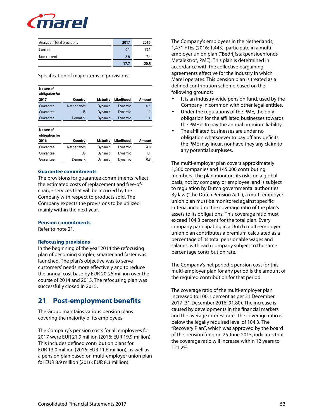

| Analysis of total provisions | 2017 | 2016 |
|------------------------------|------|------|
| Current                      | 9.1  | 13.1 |
| Non-current                  | 8.6  | 7.4  |
|                              | 17.7 | 20 S |

Specification of major items in provisions:

| Nature of<br>obligation for |                    |                 |            |        |
|-----------------------------|--------------------|-----------------|------------|--------|
| 2017                        | Country            | <b>Maturity</b> | Likelihood | Amount |
| Guarantee                   | <b>Netherlands</b> | Dynamic         | Dynamic    | 4.3    |
| Guarantee                   | US                 | Dynamic         | Dynamic    | 1.2    |
| Guarantee                   | Denmark            | Dynamic         | Dynamic    | 1.1    |
|                             |                    |                 |            |        |
| Nature of                   |                    |                 |            |        |
| obligation for              |                    |                 |            |        |
| 2016                        | Country            | Maturity        | Likelihood | Amount |
| Guarantee                   | <b>Netherlands</b> | Dynamic         | Dynamic    | 4.8    |
| Guarantee                   | US                 | Dynamic         | Dynamic    | 1.1    |
| Guarantee                   | Denmark            | Dynamic         | Dynamic    | 0.8    |

#### **Guarantee commitments**

The provisions for guarantee commitments reflect the estimated costs of replacement and free-ofcharge services that will be incurred by the Company with respect to products sold. The Company expects the provisions to be utilized mainly within the next year.

#### **Pension commitments**

Refer to note 21.

# **Refocusing provisions**

In the beginning of the year 2014 the refocusing plan of becoming simpler, smarter and faster was launched. The plan's objective was to serve customers' needs more effectively and to reduce the annual cost base by EUR 20-25 million over the course of 2014 and 2015. The refocusing plan was successfully closed in 2015.

# **21 Post-employment benefits**

The Group maintains various pension plans covering the majority of its employees.

The Company's pension costs for all employees for 2017 were EUR 21.9 million (2016: EUR 19.9 million). This includes defined contribution plans for EUR 13.0 million (2016: EUR 11.6 million), as well as a pension plan based on multi-employer union plan for EUR 8.9 million (2016: EUR 8.3 million).

The Company's employees in the Netherlands, 1,471 FTEs (2016: 1,443), participate in a multiemployer union plan ("Bedrijfstakpensioenfonds Metalektro", PME). This plan is determined in accordance with the collective bargaining agreements effective for the industry in which Marel operates. This pension plan is treated as a defined contribution scheme based on the following grounds:

- It is an industry-wide pension fund, used by the Company in common with other legal entities.
- Under the regulations of the PME, the only obligation for the affiliated businesses towards the PME is to pay the annual premium liability.
- The affiliated businesses are under no obligation whatsoever to pay off any deficits the PME may incur, nor have they any claim to any potential surpluses.

The multi-employer plan covers approximately 1,300 companies and 145,000 contributing members. The plan monitors its risks on a global basis, not by company or employee, and is subject to regulation by Dutch governmental authorities. By law (''the Dutch Pension Act''), a multi-employer union plan must be monitored against specific criteria, including the coverage ratio of the plan's assets to its obligations. This coverage ratio must exceed 104.3 percent for the total plan. Every company participating in a Dutch multi-employer union plan contributes a premium calculated as a percentage of its total pensionable wages and salaries, with each company subject to the same percentage contribution rate.

The Company's net periodic pension cost for this multi-employer plan for any period is the amount of the required contribution for that period.

The coverage ratio of the multi-employer plan increased to 100.1 percent as per 31 December 2017 (31 December 2016: 91.80). The increase is caused by developments in the financial markets and the average interest rate. The coverage ratio is below the legally required level of 104.3. The "Recovery Plan", which was approved by the board of the pension fund on 25 June 2015, indicates that the coverage ratio will increase within 12 years to 121.2%.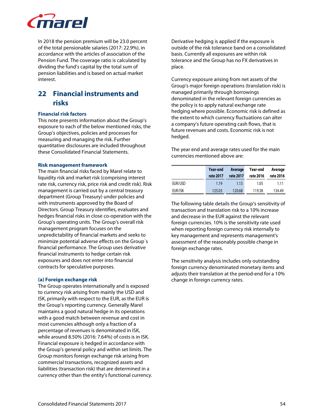

In 2018 the pension premium will be 23.0 percent of the total pensionable salaries (2017: 22.9%), in accordance with the articles of association of the Pension Fund. The coverage ratio is calculated by dividing the fund's capital by the total sum of pension liabilities and is based on actual market interest.

# **22 Financial instruments and risks**

# **Financial risk factors**

This note presents information about the Group's exposure to each of the below mentioned risks, the Group's objectives, policies and processes for measuring and managing the risk. Further quantitative disclosures are included throughout these Consolidated Financial Statements.

#### **Risk management framework**

The main financial risks faced by Marel relate to liquidity risk and market risk (comprising interest rate risk, currency risk, price risk and credit risk). Risk management is carried out by a central treasury department (Group Treasury) under policies and with instruments approved by the Board of Directors. Group Treasury identifies, evaluates and hedges financial risks in close co-operation with the Group's operating units. The Group's overall risk management program focuses on the unpredictability of financial markets and seeks to minimize potential adverse effects on the Group´s financial performance. The Group uses derivative financial instruments to hedge certain risk exposures and does not enter into financial contracts for speculative purposes.

# **(a) Foreign exchange risk**

The Group operates internationally and is exposed to currency risk arising from mainly the USD and ISK, primarily with respect to the EUR, as the EUR is the Group's reporting currency. Generally Marel maintains a good natural hedge in its operations with a good match between revenue and cost in most currencies although only a fraction of a percentage of revenues is denominated in ISK, while around 8.50% (2016: 7.64%) of costs is in ISK. Financial exposure is hedged in accordance with the Group's general policy and within set limits. The Group monitors foreign exchange risk arising from commercial transactions, recognized assets and liabilities (transaction risk) that are determined in a currency other than the entity's functional currency.

Derivative hedging is applied if the exposure is outside of the risk tolerance band on a consolidated basis. Currently all exposures are within risk tolerance and the Group has no FX derivatives in place.

Currency exposure arising from net assets of the Group's major foreign operations (translation risk) is managed primarily through borrowings denominated in the relevant foreign currencies as the policy is to apply natural exchange rate hedging where possible. Economic risk is defined as the extent to which currency fluctuations can alter a company's future operating cash flows, that is future revenues and costs. Economic risk is not hedged.

The year end and average rates used for the main currencies mentioned above are:

|         | Year-end<br>rate 2017 | Average<br>rate 2017 | Year-end<br>rate 2016 | Average<br>rate 2016 |
|---------|-----------------------|----------------------|-----------------------|----------------------|
| EUR/USD | 1.19                  | 1.13                 | 1.05                  | 1.11                 |
| EUR/ISK | 125.03                | 120.68               | 119.38                | 134.49               |

The following table details the Group's sensitivity of transaction and translation risk to a 10% increase and decrease in the EUR against the relevant foreign currencies. 10% is the sensitivity rate used when reporting foreign currency risk internally to key management and represents management's assessment of the reasonably possible change in foreign exchange rates.

The sensitivity analysis includes only outstanding foreign currency denominated monetary items and adjusts their translation at the period-end for a 10% change in foreign currency rates.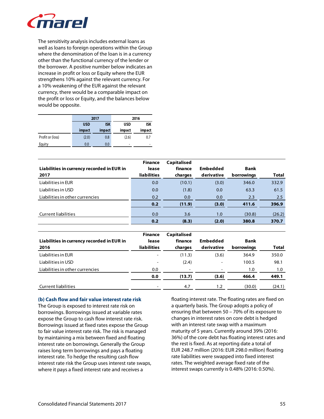

The sensitivity analysis includes external loans as well as loans to foreign operations within the Group where the denomination of the loan is in a currency other than the functional currency of the lender or the borrower. A positive number below indicates an increase in profit or loss or Equity where the EUR strengthens 10% against the relevant currency. For a 10% weakening of the EUR against the relevant currency, there would be a comparable impact on the profit or loss or Equity, and the balances below would be opposite.

|                  |                          | 2017   |            | 2016       |
|------------------|--------------------------|--------|------------|------------|
|                  | <b>ISK</b><br><b>USD</b> |        | <b>USD</b> | <b>ISK</b> |
|                  | impact                   | impact | impact     | impact     |
| Profit or (loss) | (2.0)                    | 0.8    | (2.6)      | 0.7        |
| Equity           | 0.0                      | 0.0    | ۰          | ۰          |

| Liabilities in currency recorded in EUR in<br>2017 | <b>Finance</b><br>lease<br><b>liabilities</b> | <b>Capitalised</b><br>finance<br>charges | Embedded<br>derivative | <b>Bank</b><br>borrowings | <b>Total</b> |
|----------------------------------------------------|-----------------------------------------------|------------------------------------------|------------------------|---------------------------|--------------|
| Liabilities in EUR                                 | 0.0                                           | (10.1)                                   | (3.0)                  | 346.0                     | 332.9        |
| Liabilities in USD                                 | 0.0                                           | (1.8)                                    | 0.0                    | 63.3                      | 61.5         |
| Liabilities in other currencies                    | 0.2                                           | 0.0                                      | 0.0                    | 2.3                       | 2.5          |
|                                                    | 0.2                                           | (11.9)                                   | (3.0)                  | 411.6                     | 396.9        |
| <b>Current liabilities</b>                         | 0.0                                           | 3.6                                      | 1.0                    | (30.8)                    | (26.2)       |
|                                                    | 0.2                                           | (8.3)                                    | (2.0)                  | 380.8                     | 370.7        |

| Liabilities in currency recorded in EUR in<br>2016 | <b>Finance</b><br>lease<br><b>liabilities</b> | <b>Capitalised</b><br>finance<br>charges | Embedded<br>derivative   | <b>Bank</b><br>borrowings | <b>Total</b> |
|----------------------------------------------------|-----------------------------------------------|------------------------------------------|--------------------------|---------------------------|--------------|
| Liabilities in EUR                                 |                                               | (11.3)                                   | (3.6)                    | 364.9                     | 350.0        |
| Liabilities in USD                                 |                                               | (2.4)                                    | $\overline{\phantom{0}}$ | 100.5                     | 98.1         |
| Liabilities in other currencies                    | 0.0                                           | $\overline{\phantom{0}}$                 | $\overline{\phantom{0}}$ | 1.0                       | 1.0          |
|                                                    | 0.0                                           | (13.7)                                   | (3.6)                    | 466.4                     | 449.1        |
| <b>Current liabilities</b>                         |                                               | 4.7                                      | 1.2                      | (30.0)                    | (24.1)       |

#### **(b) Cash flow and fair value interest rate risk**

The Group is exposed to interest rate risk on borrowings. Borrowings issued at variable rates expose the Group to cash flow interest rate risk. Borrowings issued at fixed rates expose the Group to fair value interest rate risk. The risk is managed by maintaining a mix between fixed and floating interest rate on borrowings. Generally the Group raises long term borrowings and pays a floating interest rate. To hedge the resulting cash flow interest rate risk the Group uses interest rate swaps, where it pays a fixed interest rate and receives a

floating interest rate. The floating rates are fixed on a quarterly basis. The Group adopts a policy of ensuring that between 50 – 70% of its exposure to changes in interest rates on core debt is hedged with an interest rate swap with a maximum maturity of 5 years. Currently around 39% (2016: 36%) of the core debt has floating interest rates and the rest is fixed. As at reporting date a total of EUR 248.7 million (2016: EUR 298.0 million) floating rate liabilities were swapped into fixed interest rates. The weighted average fixed rate of the interest swaps currently is 0.48% (2016: 0.50%).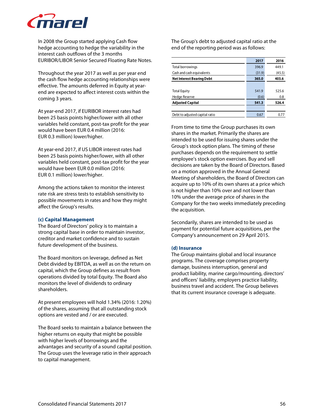

In 2008 the Group started applying Cash flow hedge accounting to hedge the variability in the interest cash outflows of the 3 months EURIBOR/LIBOR Senior Secured Floating Rate Notes.

Throughout the year 2017 as well as per year end the cash flow hedge accounting relationships were effective. The amounts deferred in Equity at yearend are expected to affect interest costs within the coming 3 years.

At year-end 2017, if EURIBOR interest rates had been 25 basis points higher/lower with all other variables held constant, post-tax profit for the year would have been EUR 0.4 million (2016: EUR 0.3 million) lower/higher.

At year-end 2017, if US LIBOR interest rates had been 25 basis points higher/lower, with all other variables held constant, post-tax profit for the year would have been EUR 0.0 million (2016: EUR 0.1 million) lower/higher.

Among the actions taken to monitor the interest rate risk are stress tests to establish sensitivity to possible movements in rates and how they might affect the Group's results.

#### **(c) Capital Management**

The Board of Directors' policy is to maintain a strong capital base in order to maintain investor, creditor and market confidence and to sustain future development of the business.

The Board monitors on leverage, defined as Net Debt divided by EBITDA, as well as on the return on capital, which the Group defines as result from operations divided by total Equity. The Board also monitors the level of dividends to ordinary shareholders.

At present employees will hold 1.34% (2016: 1.20%) of the shares, assuming that all outstanding stock options are vested and / or are executed.

The Board seeks to maintain a balance between the higher returns on equity that might be possible with higher levels of borrowings and the advantages and security of a sound capital position. The Group uses the leverage ratio in their approach to capital management.

The Group's debt to adjusted capital ratio at the end of the reporting period was as follows:

|                                  | 2017   | 2016   |
|----------------------------------|--------|--------|
| Total borrowings                 | 396.9  | 449.1  |
| Cash and cash equivalents        | (31.9) | (45.5) |
| <b>Net Interest Bearing Debt</b> | 365.0  | 403.6  |
|                                  |        |        |
| <b>Total Equity</b>              | 541.9  | 525.6  |
| <b>Hedge Reserve</b>             | (0.6)  | 0.8    |
| <b>Adjusted Capital</b>          | 541.3  | 526.4  |
|                                  |        |        |
| Debt to adjusted capital ratio   | 0.67   | 0.77   |

From time to time the Group purchases its own shares in the market. Primarily the shares are intended to be used for issuing shares under the Group's stock option plans. The timing of these purchases depends on the requirement to settle employee's stock option exercises. Buy and sell decisions are taken by the Board of Directors. Based on a motion approved in the Annual General Meeting of shareholders, the Board of Directors can acquire up to 10% of its own shares at a price which is not higher than 10% over and not lower than 10% under the average price of shares in the Company for the two weeks immediately preceding the acquisition.

Secondarily, shares are intended to be used as payment for potential future acquisitions, per the Company's announcement on 29 April 2015.

# **(d) Insurance**

The Group maintains global and local insurance programs. The coverage comprises property damage, business interruption, general and product liability, marine cargo/mounting, directors' and officers' liability, employers practice liability, business travel and accident. The Group believes that its current insurance coverage is adequate.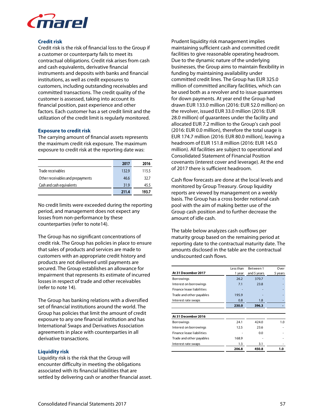

#### **Credit risk**

Credit risk is the risk of financial loss to the Group if a customer or counterparty fails to meet its contractual obligations. Credit risk arises from cash and cash equivalents, derivative financial instruments and deposits with banks and financial institutions, as well as credit exposures to customers, including outstanding receivables and committed transactions. The credit quality of the customer is assessed, taking into account its financial position, past experience and other factors. Each customer has a set credit limit and the utilization of the credit limit is regularly monitored.

### **Exposure to credit risk**

The carrying amount of financial assets represents the maximum credit risk exposure. The maximum exposure to credit risk at the reporting date was:

|                                   | 2017  | 2016  |
|-----------------------------------|-------|-------|
| Trade receivables                 | 132.9 | 115.5 |
| Other receivables and prepayments | 46.6  | 32.7  |
| Cash and cash equivalents         | 31.9  | 45.5  |
|                                   | 211.4 | 193.7 |

No credit limits were exceeded during the reporting period, and management does not expect any losses from non-performance by these counterparties (refer to note14).

The Group has no significant concentrations of credit risk. The Group has policies in place to ensure that sales of products and services are made to customers with an appropriate credit history and products are not delivered until payments are secured. The Group establishes an allowance for impairment that represents its estimate of incurred losses in respect of trade and other receivables (refer to note 14).

The Group has banking relations with a diversified set of financial institutions around the world. The Group has policies that limit the amount of credit exposure to any one financial institution and has International Swaps and Derivatives Association agreements in place with counterparties in all derivative transactions.

# **Liquidity risk**

Liquidity risk is the risk that the Group will encounter difficulty in meeting the obligations associated with its financial liabilities that are settled by delivering cash or another financial asset.

Prudent liquidity risk management implies maintaining sufficient cash and committed credit facilities to give reasonable operating headroom. Due to the dynamic nature of the underlying businesses, the Group aims to maintain flexibility in funding by maintaining availability under committed credit lines. The Group has EUR 325.0 million of committed ancillary facilities, which can be used both as a revolver and to issue guarantees for down payments. At year end the Group had drawn EUR 133.0 million (2016: EUR 52.0 million) on the revolver, issued EUR 33.0 million (2016: EUR 28.0 million) of guarantees under the facility and allocated EUR 7.2 million to the Group's cash pool (2016: EUR 0.0 million), therefore the total usage is EUR 174.7 million (2016: EUR 80.0 million), leaving a headroom of EUR 151.8 million (2016: EUR 145.0 million). All facilities are subject to operational and Consolidated Statement of Financial Position covenants (interest cover and leverage). At the end of 2017 there is sufficient headroom.

Cash flow forecasts are done at the local levels and monitored by Group Treasury. Group liquidity reports are viewed by management on a weekly basis. The Group has a cross border notional cash pool with the aim of making better use of the Group cash position and to further decrease the amount of idle cash.

The table below analyzes cash outflows per maturity group based on the remaining period at reporting date to the contractual maturity date. The amounts disclosed in the table are the contractual undiscounted cash flows.

|                           | Less than | Between 1   | Over    |
|---------------------------|-----------|-------------|---------|
| At 31 December 2017       | 1 year    | and 5 years | 5 years |
| <b>Borrowings</b>         | 26.2      | 370.7       |         |
| Interest on borrowings    | 7.1       | 23.8        |         |
| Finance lease liabilities |           |             |         |
| Trade and other payables  | 195.9     |             |         |
| Interest rate swaps       | 0.8       | 1.8         |         |
|                           | 230.0     | 396.3       |         |
|                           |           |             |         |
| At 31 December 2016       |           |             |         |
| Borrowings                | 24.1      | 424.0       | 1.0     |
| Interest on borrowings    | 12.5      | 23.6        |         |
| Finance lease liabilities |           | 0.0         |         |
| Trade and other payables  | 168.9     |             |         |
| Interest rate swaps       | 1.3       | 3.1         |         |
|                           | 206.8     | 450.8       | 1.0     |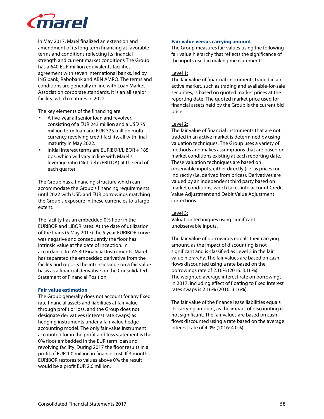

In May 2017, Marel finalized an extension and amendment of its long term financing at favorable terms and conditions reflecting its financial strength and current market conditions The Group has a 640 EUR million equivalents facilities agreement with seven international banks, led by ING bank, Rabobank and ABN AMRO. The terms and conditions are generally in line with Loan Market Association corporate standards. It is an all senior facility, which matures in 2022.

The key elements of the financing are:

- A five-year all senior loan and revolver, consisting of a EUR 243 million and a USD 75 million term loan and EUR 325 million multicurrency revolving credit facility, all with final maturity in May 2022.
- Initial interest terms are EURIBOR/LIBOR + 185 bps, which will vary in line with Marel's leverage ratio (Net debt/EBITDA) at the end of each quarter.

The Group has a financing structure which can accommodate the Group's financing requirements until 2022 with USD and EUR borrowings matching the Group's exposure in these currencies to a large extent.

The facility has an embedded 0% floor in the EURIBOR and LIBOR rates. At the date of utilization of the loans (5 May 2017) the 5 year EURIBOR curve was negative and consequently the floor has intrinsic value at the date of inception. In accordance to IAS 39 Financial Instruments, Marel has separated the embedded derivative from the facility and reports the intrinsic value on a fair value basis as a financial derivative on the Consolidated Statement of Financial Position.

# **Fair value estimation**

The Group generally does not account for any fixed rate financial assets and liabilities at fair value through profit or loss, and the Group does not designate derivatives (interest rate swaps) as hedging instruments under a fair value hedge accounting model. The only fair value instrument accounted for in the profit and loss statement is the 0% floor embedded in the EUR term loan and revolving facility. During 2017 the floor results in a profit of EUR 1.0 million in finance cost. If 3 months EURIBOR restores to values above 0% the result would be a profit EUR 2.6 million.

#### **Fair value versus carrying amount**

The Group measures fair values using the following fair value hierarchy that reflects the significance of the inputs used in making measurements:

# Level 1:

The fair value of financial instruments traded in an active market, such as trading and available-for-sale securities, is based on quoted market prices at the reporting date. The quoted market price used for financial assets held by the Group is the current bid price.

### Level 2:

The fair value of financial instruments that are not traded in an active market is determined by using valuation techniques. The Group uses a variety of methods and makes assumptions that are based on market conditions existing at each reporting date. These valuation techniques are based on observable inputs, either directly (i.e. as prices) or indirectly (i.e. derived from prices). Derivatives are valued by an independent third party based on market conditions, which takes into account Credit Value Adjustment and Debit Value Adjustment corrections.

#### Level 3:

Valuation techniques using significant unobservable inputs.

The fair value of borrowings equals their carrying amount, as the impact of discounting is not significant and is classified as Level 2 in the fair value hierarchy. The fair values are based on cash flows discounted using a rate based on the borrowings rate of 2.16% (2016: 3.16%). The weighted average interest rate on borrowings in 2017, including effect of floating to fixed interest rates swaps is 2.16% (2016: 3.16%).

The fair value of the finance lease liabilities equals its carrying amount, as the impact of discounting is not significant. The fair values are based on cash flows discounted using a rate based on the average interest rate of 4.0% (2016: 4.0%).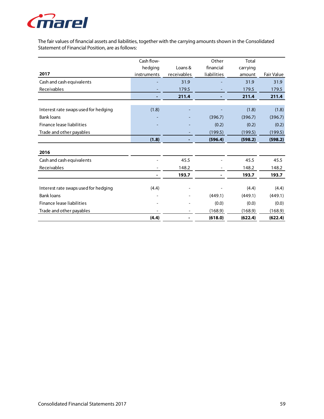

The fair values of financial assets and liabilities, together with the carrying amounts shown in the Consolidated Statement of Financial Position, are as follows:

|                                      | Cash flow-  |             | Other       | <b>Total</b> |            |
|--------------------------------------|-------------|-------------|-------------|--------------|------------|
|                                      | hedging     | Loans &     | financial   | carrying     |            |
| 2017                                 | instruments | receivables | liabilities | amount       | Fair Value |
| Cash and cash equivalents            |             | 31.9        |             | 31.9         | 31.9       |
| Receivables                          |             | 179.5       |             | 179.5        | 179.5      |
|                                      |             | 211.4       |             | 211.4        | 211.4      |
|                                      |             |             |             |              |            |
| Interest rate swaps used for hedging | (1.8)       |             |             | (1.8)        | (1.8)      |
| <b>Bank loans</b>                    |             |             | (396.7)     | (396.7)      | (396.7)    |
| Finance lease liabilities            |             |             | (0.2)       | (0.2)        | (0.2)      |
| Trade and other payables             |             |             | (199.5)     | (199.5)      | (199.5)    |
|                                      | (1.8)       |             | (596.4)     | (598.2)      | (598.2)    |
|                                      |             |             |             |              |            |
| 2016                                 |             |             |             |              |            |
| Cash and cash equivalents            |             | 45.5        |             | 45.5         | 45.5       |
| Receivables                          |             | 148.2       |             | 148.2        | 148.2      |
|                                      |             | 193.7       |             | 193.7        | 193.7      |
| Interest rate swaps used for hedging | (4.4)       |             |             | (4.4)        | (4.4)      |
|                                      |             |             |             |              |            |
| <b>Bank loans</b>                    |             |             | (449.1)     | (449.1)      | (449.1)    |
| Finance lease liabilities            |             |             | (0.0)       | (0.0)        | (0.0)      |
| Trade and other payables             |             |             | (168.9)     | (168.9)      | (168.9)    |
|                                      | (4.4)       |             | (618.0)     | (622.4)      | (622.4)    |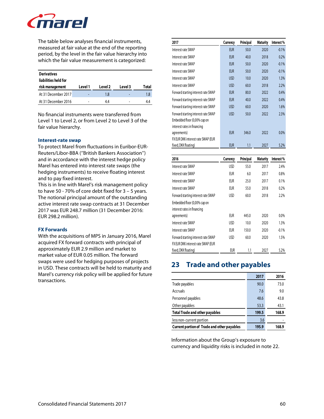

The table below analyses financial instruments, measured at fair value at the end of the reporting period, by the level in the fair value hierarchy into which the fair value measurement is categorized:

| <b>Derivatives</b><br>liabilities held for |         |         |         |       |
|--------------------------------------------|---------|---------|---------|-------|
| risk management                            | Level 1 | Level 2 | Level 3 | Total |
| At 31 December 2017                        | -       | 1.8     |         | 1.8   |
| At 31 December 2016                        |         | 44      |         |       |

No financial instruments were transferred from Level 1 to Level 2, or from Level 2 to Level 3 of the fair value hierarchy.

#### **Interest-rate swap**

To protect Marel from fluctuations in Euribor-EUR-Reuters/Libor-BBA (''British Bankers Association'') and in accordance with the interest hedge policy Marel has entered into interest rate swaps (the hedging instruments) to receive floating interest and to pay fixed interest.

This is in line with Marel's risk management policy to have 50 - 70% of core debt fixed for 3 – 5 years. The notional principal amount of the outstanding active interest rate swap contracts at 31 December 2017 was EUR 248.7 million (31 December 2016: EUR 298.2 million).

#### **FX Forwards**

With the acquisitions of MPS in January 2016, Marel acquired FX forward contracts with principal of approximately EUR 2.9 million and market to market value of EUR 0.05 million. The forward swaps were used for hedging purposes of projects in USD. These contracts will be held to maturity and Marel's currency risk policy will be applied for future transactions.

| 2017                                | Currency   | Principal | <b>Maturity</b> | Interest% |
|-------------------------------------|------------|-----------|-----------------|-----------|
| Interest rate SWAP                  | <b>EUR</b> | 50.0      | 2020            | $-0.1%$   |
| Interest rate SWAP                  | <b>EUR</b> | 40.0      | 2018            | 0.2%      |
| Interest rate SWAP                  | <b>EUR</b> | 50.0      | 2020            | $-0.1%$   |
| Interest rate SWAP                  | <b>EUR</b> | 50.0      | 2020            | $-0.1%$   |
| Interest rate SWAP                  | <b>USD</b> | 10.0      | 2020            | 1.3%      |
| Interest rate SWAP                  | <b>USD</b> | 60.0      | 2018            | 2.2%      |
| Forward starting interest rate SWAP | <b>EUR</b> | 80.0      | 2022            | 0.4%      |
| Forward starting interest rate SWAP | <b>EUR</b> | 40.0      | 2022            | 0.4%      |
| Forward starting interest rate SWAP | <b>USD</b> | 60.0      | 2020            | 1.6%      |
| Forward starting interest rate SWAP | <b>USD</b> | 50.0      | 2022            | 2.3%      |
| Embedded floor (0,00% cap on        |            |           |                 |           |
| interest rates in financing         |            |           |                 |           |
| agreements)                         | <b>EUR</b> | 346.0     | 2022            | 0.0%      |
| FX EUR DKK interest rate SWAP (EUR  |            |           |                 |           |
| fixed, DKK floating)                | <b>EUR</b> | 1.1       | 2027            | 5.2%      |

| 2016                                | Currency | Principal | <b>Maturity</b> | Interest% |
|-------------------------------------|----------|-----------|-----------------|-----------|
| Interest rate SWAP                  | USD      | 55.0      | 2017            | 2.4%      |
| Interest rate SWAP                  | EUR      | 6.0       | 2017            | 0.8%      |
| Interest rate SWAP                  | eur      | 25.0      | 2017            | 0.1%      |
| Interest rate SWAP                  | EUR      | 55.0      | 2018            | 0.2%      |
| Forward starting interest rate SWAP | USD      | 60.0      | 2018            | 2.2%      |
| Embedded floor (0,00% cap on        |          |           |                 |           |
| interest rates in financing         |          |           |                 |           |
| agreements)                         | EUR      | 445.0     | 2020            | 0.0%      |
| Interest rate SWAP                  | USD      | 10.0      | 2020            | 1.3%      |
| Interest rate SWAP                  | eur      | 150.0     | 2020            | $-0.1%$   |
| Forward starting interest rate SWAP | USD      | 60.0      | 2020            | 1.5%      |
| FX EUR DKK interest rate SWAP (EUR  |          |           |                 |           |
| fixed, DKK floating)                | EUR      | 1.1       | 2027            | 5.2%      |

# **23 Trade and other payables**

|                                                    | 2017  | 2016  |
|----------------------------------------------------|-------|-------|
| Trade payables                                     | 90.0  | 73.0  |
| Accruals                                           | 7.6   | 9.0   |
| Personnel payables                                 | 48.6  | 43.8  |
| Other payables                                     | 53.3  | 43.1  |
| <b>Total Trade and other payables</b>              | 199.5 | 168.9 |
| less non-current portion                           | 3.6   |       |
| <b>Current portion of Trade and other payables</b> | 195.9 | 168.9 |

Information about the Group's exposure to currency and liquidity risks is included in note 22.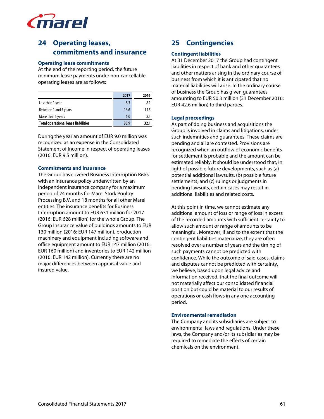

# **24 Operating leases, commitments and insurance**

#### **Operating lease commitments**

At the end of the reporting period, the future minimum lease payments under non-cancellable operating leases are as follows:

|                                            | 2017 | 2016 |
|--------------------------------------------|------|------|
| Less than 1 year                           | 8.3  | 8.1  |
| Between 1 and 5 years                      | 16.6 | 15.5 |
| More than 5 years                          | 6.0  | 8.5  |
| <b>Total operational lease liabilities</b> | 30.9 | 32.1 |

During the year an amount of EUR 9.0 million was recognized as an expense in the Consolidated Statement of Income in respect of operating leases (2016: EUR 9.5 million).

#### **Commitments and Insurance**

The Group has covered Business Interruption Risks with an insurance policy underwritten by an independent insurance company for a maximum period of 24 months for Marel Stork Poultry Processing B.V. and 18 months for all other Marel entities. The insurance benefits for Business Interruption amount to EUR 631 million for 2017 (2016: EUR 628 million) for the whole Group. The Group Insurance value of buildings amounts to EUR 130 million (2016: EUR 147 million), production machinery and equipment including software and office equipment amount to EUR 147 million (2016: EUR 160 million) and inventories to EUR 142 million (2016: EUR 142 million). Currently there are no major differences between appraisal value and insured value.

# **25 Contingencies**

# **Contingent liabilities**

At 31 December 2017 the Group had contingent liabilities in respect of bank and other guarantees and other matters arising in the ordinary course of business from which it is anticipated that no material liabilities will arise. In the ordinary course of business the Group has given guarantees amounting to EUR 50.3 million (31 December 2016: EUR 42.6 million) to third parties.

# **Legal proceedings**

As part of doing business and acquisitions the Group is involved in claims and litigations, under such indemnities and guarantees. These claims are pending and all are contested. Provisions are recognized when an outflow of economic benefits for settlement is probable and the amount can be estimated reliably. It should be understood that, in light of possible future developments, such as (a) potential additional lawsuits, (b) possible future settlements, and (c) rulings or judgments in pending lawsuits, certain cases may result in additional liabilities and related costs.

At this point in time, we cannot estimate any additional amount of loss or range of loss in excess of the recorded amounts with sufficient certainty to allow such amount or range of amounts to be meaningful. Moreover, if and to the extent that the contingent liabilities materialize, they are often resolved over a number of years and the timing of such payments cannot be predicted with confidence. While the outcome of said cases, claims and disputes cannot be predicted with certainty, we believe, based upon legal advice and information received, that the final outcome will not materially affect our consolidated financial position but could be material to our results of operations or cash flows in any one accounting period.

### **Environmental remediation**

The Company and its subsidiaries are subject to environmental laws and regulations. Under these laws, the Company and/or its subsidiaries may be required to remediate the effects of certain chemicals on the environment.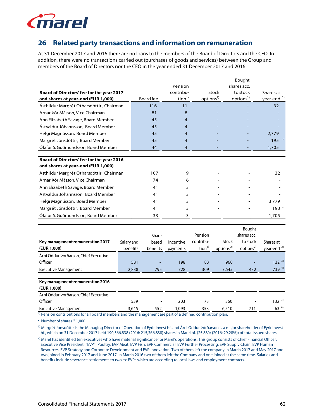

# **26 Related party transactions and information on remuneration**

At 31 December 2017 and 2016 there are no loans to the members of the Board of Directors and the CEO. In addition, there were no transactions carried out (purchases of goods and services) between the Group and members of the Board of Directors nor the CEO in the year ended 31 December 2017 and 2016.

|                                                                                                                       |            |                   |                   |                       |                       | Bought                |                        |
|-----------------------------------------------------------------------------------------------------------------------|------------|-------------------|-------------------|-----------------------|-----------------------|-----------------------|------------------------|
|                                                                                                                       |            |                   | Pension           |                       |                       | shares acc.           |                        |
| Board of Directors' fee for the year 2017                                                                             |            |                   | contribu-         |                       | <b>Stock</b>          | to stock              | Shares at              |
| and shares at year-end (EUR 1,000)                                                                                    |            | Board fee         | tion <sup>1</sup> | options <sup>2)</sup> |                       | options <sup>2)</sup> | year-end <sup>2)</sup> |
| Ásthildur Margrét Otharsdóttir, Chairman                                                                              |            | 116               | 11                |                       |                       |                       | 32                     |
| Arnar Þór Másson, Vice Chairman                                                                                       |            | 81                | 8                 |                       |                       |                       |                        |
| Ann Elizabeth Savage, Board Member                                                                                    |            | 45                | 4                 |                       |                       |                       |                        |
| Ástvaldur Jóhannsson, Board Member                                                                                    |            | 45                | 4                 |                       |                       |                       |                        |
| Helgi Magnússon, Board Member                                                                                         |            | 45                | 4                 |                       |                       |                       | 2,779                  |
| Margrét Jónsdóttir, Board Member                                                                                      |            | 45                | 4                 |                       |                       |                       | $195^{3}$              |
| Ólafur S. Guðmundsson, Board Member                                                                                   |            | 44                | 4                 |                       |                       |                       | 1,705                  |
|                                                                                                                       |            |                   |                   |                       |                       |                       |                        |
| Board of Directors' fee for the year 2016                                                                             |            |                   |                   |                       |                       |                       |                        |
| and shares at year-end (EUR 1,000)                                                                                    |            |                   |                   |                       |                       |                       |                        |
| Ásthildur Margrét Otharsdóttir, Chairman                                                                              |            | 107               | 9                 |                       |                       |                       | 32                     |
| Arnar Þór Másson, Vice Chairman                                                                                       |            | 74                | 6                 |                       |                       |                       |                        |
| Ann Elizabeth Savage, Board Member                                                                                    |            | 41                | 3                 |                       |                       |                       |                        |
| Ástvaldur Jóhannsson, Board Member                                                                                    |            | 41                | 3                 |                       |                       |                       |                        |
| Helgi Magnússon, Board Member                                                                                         |            | 41                | 3                 |                       |                       |                       | 3,779                  |
| Margrét Jónsdóttir, Board Member                                                                                      |            | 41                | 3                 |                       |                       |                       | $193^{3}$              |
| Ólafur S. Guðmundsson, Board Member                                                                                   |            | 33                | 3                 |                       |                       |                       | 1,705                  |
|                                                                                                                       |            |                   |                   |                       |                       |                       |                        |
|                                                                                                                       |            | Share             |                   | Pension               |                       | Bought<br>shares acc. |                        |
| Key management remuneration 2017                                                                                      | Salary and |                   | Incentive         | contribu-             | Stock                 | to stock              | Shares at              |
| (EUR 1,000)                                                                                                           | benefits   | based<br>benefits |                   | tion <sup>1</sup>     | options <sup>2)</sup> | options <sup>2)</sup> | year-end <sup>2)</sup> |
| Árni Oddur Þórðarson, Chief Executive                                                                                 |            |                   | payments          |                       |                       |                       |                        |
| Officer                                                                                                               | 581        |                   | 198               | 83                    | 960                   |                       | $132^{3}$              |
| <b>Executive Management</b>                                                                                           | 2,838      | 795               | 728               | 309                   | 7,645                 | 432                   | 739 4)                 |
|                                                                                                                       |            |                   |                   |                       |                       |                       |                        |
| Key management remuneration 2016                                                                                      |            |                   |                   |                       |                       |                       |                        |
| (EUR 1,000)                                                                                                           |            |                   |                   |                       |                       |                       |                        |
| Árni Oddur Þórðarson, Chief Executive                                                                                 |            |                   |                   |                       |                       |                       |                        |
| Officer                                                                                                               | 539        |                   | 203               | 73                    | 360                   |                       | $132^{3}$              |
| <b>Executive Management</b>                                                                                           | 3.645      | 552               | 1.093             | 353                   | 6,510                 | 711                   | $63^{4}$               |
| <sup>1)</sup> Pension contributions for all board members and the management are part of a defined contribution plan. |            |                   |                   |                       |                       |                       |                        |

2) Number of shares \* 1,000.

3) Margrét Jónsdóttir is the Managing Director of Operation of Eyrir Invest hf. and Árni Oddur Þórðarson is a major shareholder of Eyrir Invest hf., which on 31 December 2017 held 190,366,838 (2016: 215,366,838) shares in Marel hf. (25.88% (2016: 29.28%)) of total issued shares.

4) Marel has identified ten executives who have material significance for Marel's operations. This group consists of Chief Financial Officer, Executive Vice President ("EVP") Poultry, EVP Meat, EVP Fish, EVP Commercial, EVP Further Processing, EVP Supply Chain, EVP Human Resources, EVP Strategy and Corporate Development and EVP Innovation. Two of them left the company in March 2017 and May 2017 and two joined in February 2017 and June 2017. In March 2016 two of them left the Company and one joined at the same time. Salaries and benefits include severance settlements to two ex-EVPs which are according to local laws and employment contracts.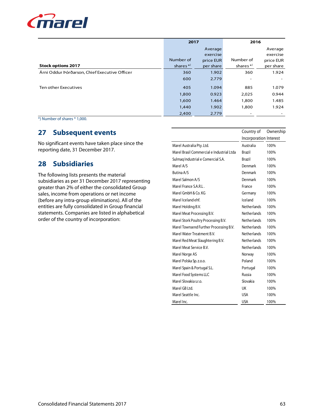

|                                               | 2017       |           |                          | 2016                     |  |
|-----------------------------------------------|------------|-----------|--------------------------|--------------------------|--|
|                                               | Average    |           |                          | Average                  |  |
|                                               |            | exercise  |                          | exercise                 |  |
|                                               | Number of  | price EUR | Number of                | price EUR                |  |
| <b>Stock options 2017</b>                     | shares $*$ | per share | shares $*$               | per share                |  |
| Árni Oddur Þórðarson, Chief Executive Officer | 360        | 1.902     | 360                      | 1.924                    |  |
|                                               | 600        | 2.779     | $\overline{\phantom{a}}$ |                          |  |
| Ten other Executives                          | 405        | 1.094     | 885                      | 1.079                    |  |
|                                               | 1,800      | 0.923     | 2,025                    | 0.944                    |  |
|                                               | 1,600      | 1.464     | 1,800                    | 1.485                    |  |
|                                               | 1,440      | 1.902     | 1,800                    | 1.924                    |  |
|                                               | 2,400      | 2.779     | $\overline{\phantom{0}}$ | $\overline{\phantom{0}}$ |  |

\*) Number of shares \* 1,000.

# **27 Subsequent events**

No significant events have taken place since the reporting date, 31 December 2017.

# **28 Subsidiaries**

The following lists presents the material subsidiaries as per 31 December 2017 representing greater than 2% of either the consolidated Group sales, income from operations or net income (before any intra-group eliminations). All of the entities are fully consolidated in Group financial statements. Companies are listed in alphabetical order of the country of incorporation:

|                                           | Country of             | Ownership |
|-------------------------------------------|------------------------|-----------|
|                                           | Incorporation Interest |           |
| Marel Australia Pty. Ltd.                 | Australia              | 100%      |
| Marel Brasil Commercial e Industrial Ltda | <b>Brazil</b>          | 100%      |
| Sulmag Industrial e Comercial S.A.        | <b>Brazil</b>          | 100%      |
| Marel A/S                                 | Denmark                | 100%      |
| Butina A/S                                | Denmark                | 100%      |
| Marel Salmon A/S                          | Denmark                | 100%      |
| Marel France S.A.R.L.                     | France                 | 100%      |
| Marel GmbH & Co. KG                       | Germany                | 100%      |
| Marel Iceland ehf.                        | Iceland                | 100%      |
| Marel Holding B.V.                        | <b>Netherlands</b>     | 100%      |
| Marel Meat Processing B.V.                | <b>Netherlands</b>     | 100%      |
| Marel Stork Poultry Processing B.V.       | <b>Netherlands</b>     | 100%      |
| Marel Townsend Further Processing B.V.    | <b>Netherlands</b>     | 100%      |
| Marel Water Treatment B.V.                | <b>Netherlands</b>     | 100%      |
| Marel Red Meat Slaughtering B.V.          | <b>Netherlands</b>     | 100%      |
| Marel Meat Service B.V.                   | Netherlands            | 100%      |
| Marel Norge AS                            | Norway                 | 100%      |
| Marel Polska Sp. z.o.o.                   | Poland                 | 100%      |
| Marel Spain & Portugal S.L.               | Portugal               | 100%      |
| Marel Food Systems LLC                    | Russia                 | 100%      |
| Marel Slovakia s.r.o.                     | Slovakia               | 100%      |
| Marel GB Ltd.                             | UK                     | 100%      |
| Marel Seattle Inc.                        | USA                    | 100%      |
| Marel Inc.                                | <b>USA</b>             | 100%      |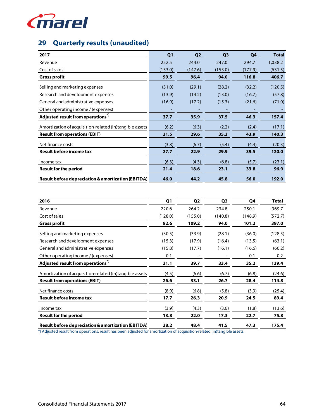

# **29 Quarterly results (unaudited)**

| 2017                                                          | Q <sub>1</sub> | Q <sub>2</sub> | Q <sub>3</sub> | Q4      | <b>Total</b> |
|---------------------------------------------------------------|----------------|----------------|----------------|---------|--------------|
| Revenue                                                       | 252.5          | 244.0          | 247.0          | 294.7   | 1,038.2      |
| Cost of sales                                                 | (153.0)        | (147.6)        | (153.0)        | (177.9) | (631.5)      |
| <b>Gross profit</b>                                           | 99.5           | 96.4           | 94.0           | 116.8   | 406.7        |
| Selling and marketing expenses                                | (31.0)         | (29.1)         | (28.2)         | (32.2)  | (120.5)      |
| Research and development expenses                             | (13.9)         | (14.2)         | (13.0)         | (16.7)  | (57.8)       |
| General and administrative expenses                           | (16.9)         | (17.2)         | (15.3)         | (21.6)  | (71.0)       |
| Other operating income / (expenses)                           |                |                |                |         |              |
| Adjusted result from operations*)                             | 37.7           | 35.9           | 37.5           | 46.3    | 157.4        |
| Amortization of acquisition-related (in)tangible assets       | (6.2)          | (6.3)          | (2.2)          | (2.4)   | (17.1)       |
| <b>Result from operations (EBIT)</b>                          | 31.5           | 29.6           | 35.3           | 43.9    | 140.3        |
| Net finance costs                                             | (3.8)          | (6.7)          | (5.4)          | (4.4)   | (20.3)       |
| Result before income tax                                      | 27.7           | 22.9           | 29.9           | 39.5    | 120.0        |
| Income tax                                                    | (6.3)          | (4.3)          | (6.8)          | (5.7)   | (23.1)       |
| <b>Result for the period</b>                                  | 21.4           | 18.6           | 23.1           | 33.8    | 96.9         |
| <b>Result before depreciation &amp; amortization (EBITDA)</b> | 46.0           | 44.2           | 45.8           | 56.0    | 192.0        |

| 2016                                                          | Q1      | Q <sub>2</sub> | Q <sub>3</sub> | Q4      | Total   |
|---------------------------------------------------------------|---------|----------------|----------------|---------|---------|
| Revenue                                                       | 220.6   | 264.2          | 234.8          | 250.1   | 969.7   |
| Cost of sales                                                 | (128.0) | (155.0)        | (140.8)        | (148.9) | (572.7) |
| <b>Gross profit</b>                                           | 92.6    | 109.2          | 94.0           | 101.2   | 397.0   |
| Selling and marketing expenses                                | (30.5)  | (33.9)         | (28.1)         | (36.0)  | (128.5) |
| Research and development expenses                             | (15.3)  | (17.9)         | (16.4)         | (13.5)  | (63.1)  |
| General and administrative expenses                           | (15.8)  | (17.7)         | (16.1)         | (16.6)  | (66.2)  |
| Other operating income / (expenses)                           | 0.1     |                |                | 0.1     | 0.2     |
| Adjusted result from operations <sup>*)</sup>                 | 31.1    | 39.7           | 33.4           | 35.2    | 139.4   |
| Amortization of acquisition-related (in)tangible assets       | (4.5)   | (6.6)          | (6.7)          | (6.8)   | (24.6)  |
| <b>Result from operations (EBIT)</b>                          | 26.6    | 33.1           | 26.7           | 28.4    | 114.8   |
| Net finance costs                                             | (8.9)   | (6.8)          | (5.8)          | (3.9)   | (25.4)  |
| <b>Result before income tax</b>                               | 17.7    | 26.3           | 20.9           | 24.5    | 89.4    |
| Income tax                                                    | (3.9)   | (4.3)          | (3.6)          | (1.8)   | (13.6)  |
| <b>Result for the period</b>                                  | 13.8    | 22.0           | 17.3           | 22.7    | 75.8    |
| <b>Result before depreciation &amp; amortization (EBITDA)</b> | 38.2    | 48.4           | 41.5           | 47.3    | 175.4   |

\*) Adjusted result from operations: result has been adjusted for amortization of acquisition-related (in)tangible assets.